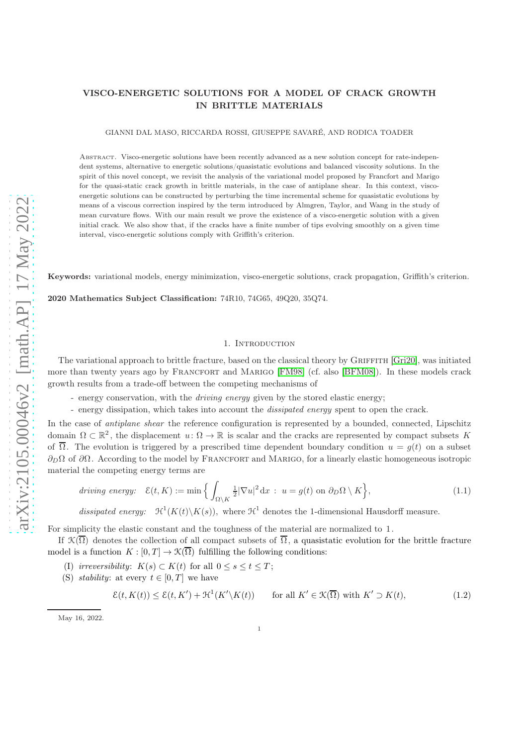# VISCO-ENERGETIC SOLUTIONS FOR A MODEL OF CRACK GROWTH IN BRITTLE MATERIALS

GIANNI DAL MASO, RICCARDA ROSSI, GIUSEPPE SAVARÉ, AND RODICA TOADER

ABSTRACT. Visco-energetic solutions have been recently advanced as a new solution concept for rate-independent systems, alternative to energetic solutions/quasistatic evolutions and balanced viscosity solutions. In the spirit of this novel concept, we revisit the analysis of the variational model proposed by Francfort and Marigo for the quasi-static crack growth in brittle materials, in the case of antiplane shear. In this context, viscoenergetic solutions can be constructed by perturbing the time incremental scheme for quasistatic evolutions by means of a viscous correction inspired by the term introduced by Almgren, Taylor, and Wang in the study of mean curvature flows. With our main result we prove the existence of a visco-energetic solution with a given initial crack. We also show that, if the cracks have a finite number of tips evolving smoothly on a given time interval, visco-energetic solutions comply with Griffith's criterion.

Keywords: variational models, energy minimization, visco-energetic solutions, crack propagation, Griffith's criterion.

2020 Mathematics Subject Classification: 74R10, 74G65, 49Q20, 35Q74.

## <span id="page-0-1"></span>1. INTRODUCTION

The variational approach to brittle fracture, based on the classical theory by GRIFFITH [\[Gri20\]](#page-31-0), was initiated more than twenty years ago by FRANCFORT and MARIGO [\[FM98\]](#page-31-1) (cf. also [\[BFM08\]](#page-30-0)). In these models crack growth results from a trade-off between the competing mechanisms of

- energy conservation, with the *driving energy* given by the stored elastic energy;

- energy dissipation, which takes into account the *dissipated energy* spent to open the crack.

In the case of *antiplane shear* the reference configuration is represented by a bounded, connected, Lipschitz domain  $\Omega \subset \mathbb{R}^2$ , the displacement  $u: \Omega \to \mathbb{R}$  is scalar and the cracks are represented by compact subsets K of  $\overline{\Omega}$ . The evolution is triggered by a prescribed time dependent boundary condition  $u = q(t)$  on a subset  $\partial_D\Omega$  of  $\partial\Omega$ . According to the model by FRANCFORT and MARIGO, for a linearly elastic homogeneous isotropic material the competing energy terms are

$$
driving\ energy: \quad \mathcal{E}(t,K) := \min\Big\{ \int_{\Omega \setminus K} \frac{1}{2} |\nabla u|^2 \, \mathrm{d}x \, : \, u = g(t) \text{ on } \partial_D \Omega \setminus K \Big\},\tag{1.1}
$$

dissipated energy:  $\mathcal{H}^1(K(t)\backslash K(s))$ , where  $\mathcal{H}^1$  denotes the 1-dimensional Hausdorff measure.

For simplicity the elastic constant and the toughness of the material are normalized to 1.

If  $\mathcal{K}(\overline{\Omega})$  denotes the collection of all compact subsets of  $\overline{\Omega}$ , a quasistatic evolution for the brittle fracture model is a function  $K : [0, T] \to \mathcal{K}(\overline{\Omega})$  fulfilling the following conditions:

- (I) irreversibility:  $K(s) \subset K(t)$  for all  $0 \le s \le t \le T$ ;
- (S) stability: at every  $t \in [0, T]$  we have

<span id="page-0-0"></span>
$$
\mathcal{E}(t, K(t)) \le \mathcal{E}(t, K') + \mathcal{H}^1(K' \backslash K(t)) \qquad \text{for all } K' \in \mathcal{K}(\overline{\Omega}) \text{ with } K' \supset K(t), \tag{1.2}
$$

May 16, 2022.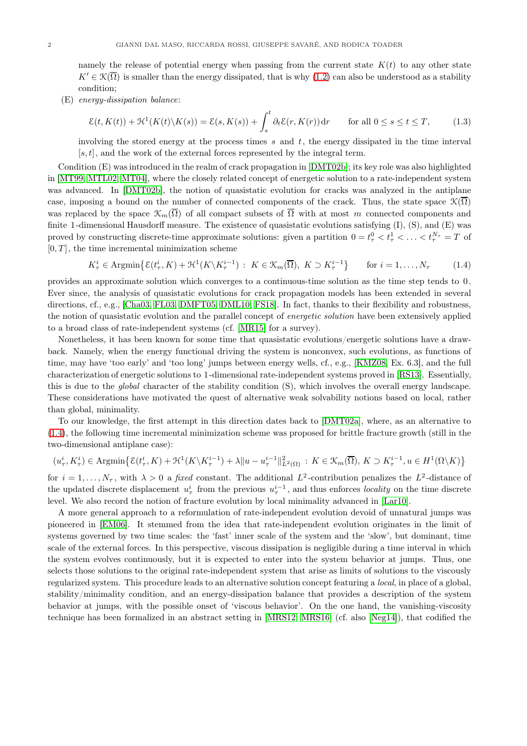namely the release of potential energy when passing from the current state  $K(t)$  to any other state  $K' \in \mathcal{K}(\overline{\Omega})$  is smaller than the energy dissipated, that is why [\(1.2\)](#page-0-0) can also be understood as a stability condition;

(E) energy-dissipation balance:

<span id="page-1-1"></span>
$$
\mathcal{E}(t, K(t)) + \mathcal{H}^1(K(t)\backslash K(s)) = \mathcal{E}(s, K(s)) + \int_s^t \partial_t \mathcal{E}(r, K(r)) dr \quad \text{for all } 0 \le s \le t \le T,
$$
 (1.3)

involving the stored energy at the process times s and t, the energy dissipated in the time interval  $[s, t]$ , and the work of the external forces represented by the integral term.

Condition (E) was introduced in the realm of crack propagation in [\[DMT02b\]](#page-30-1); its key role was also highlighted in [\[MT99,](#page-31-2) [MTL02,](#page-31-3) [MT04\]](#page-31-4), where the closely related concept of energetic solution to a rate-independent system was advanced. In [\[DMT02b\]](#page-30-1), the notion of quasistatic evolution for cracks was analyzed in the antiplane case, imposing a bound on the number of connected components of the crack. Thus, the state space  $\mathcal{K}(\overline{\Omega})$ was replaced by the space  $\mathcal{K}_m(\overline{\Omega})$  of all compact subsets of  $\overline{\Omega}$  with at most m connected components and finite 1-dimensional Hausdorff measure. The existence of quasistatic evolutions satisfying (I), (S), and (E) was proved by constructing discrete-time approximate solutions: given a partition  $0 = t_{\tau}^0 < t_{\tau}^1 < \ldots < t_{\tau}^{N_{\tau}} = T$  of  $[0, T]$ , the time incremental minimization scheme

<span id="page-1-0"></span>
$$
K_{\tau}^{i} \in \operatorname{Argmin}\left\{ \mathcal{E}(t_{\tau}^{i}, K) + \mathcal{H}^{1}(K \setminus K_{\tau}^{i-1}) : K \in \mathcal{K}_{m}(\overline{\Omega}), K \supset K_{\tau}^{i-1} \right\} \quad \text{for } i = 1, \dots, N_{\tau} \quad (1.4)
$$

provides an approximate solution which converges to a continuous-time solution as the time step tends to 0. Ever since, the analysis of quasistatic evolutions for crack propagation models has been extended in several directions, cf., e.g., [\[Cha03,](#page-30-2) [FL03,](#page-31-5) [DMFT05,](#page-30-3) [DML10,](#page-30-4) [FS18\]](#page-31-6). In fact, thanks to their flexibility and robustness, the notion of quasistatic evolution and the parallel concept of *energetic solution* have been extensively applied to a broad class of rate-independent systems (cf. [\[MR15\]](#page-31-7) for a survey).

Nonetheless, it has been known for some time that quasistatic evolutions/energetic solutions have a drawback. Namely, when the energy functional driving the system is nonconvex, such evolutions, as functions of time, may have 'too early' and 'too long' jumps between energy wells, cf., e.g., [\[KMZ08,](#page-31-8) Ex. 6.3], and the full characterization of energetic solutions to 1-dimensional rate-independent systems proved in [\[RS13\]](#page-31-9). Essentially, this is due to the global character of the stability condition (S), which involves the overall energy landscape. These considerations have motivated the quest of alternative weak solvability notions based on local, rather than global, minimality.

To our knowledge, the first attempt in this direction dates back to [\[DMT02a\]](#page-30-5), where, as an alternative to [\(1.4\)](#page-1-0), the following time incremental minimization scheme was proposed for brittle fracture growth (still in the two-dimensional antiplane case):

$$
(u^i_\tau,K^i_\tau)\in \operatorname{Argmin}\bigl\{\mathcal{E}(t^i_\tau,K)+\mathcal{H}^1(K\backslash K^{i-1}_\tau)+\lambda\|u-u^{i-1}_\tau\|^2_{L^2(\Omega)}\,:\, K\in \mathcal{K}_m(\overline{\Omega}),\, K\supset K^{i-1}_\tau, u\in H^1(\Omega\backslash K)\bigr\}
$$

for  $i = 1, ..., N_{\tau}$ , with  $\lambda > 0$  a *fixed* constant. The additional  $L^2$ -contribution penalizes the  $L^2$ -distance of the updated discrete displacement  $u^i_\tau$  from the previous  $u^{i-1}_\tau$ , and thus enforces locality on the time discrete level. We also record the notion of fracture evolution by local minimality advanced in [\[Lar10\]](#page-31-10).

A more general approach to a reformulation of rate-independent evolution devoid of unnatural jumps was pioneered in [\[EM06\]](#page-30-6). It stemmed from the idea that rate-independent evolution originates in the limit of systems governed by two time scales: the 'fast' inner scale of the system and the 'slow', but dominant, time scale of the external forces. In this perspective, viscous dissipation is negligible during a time interval in which the system evolves continuously, but it is expected to enter into the system behavior at jumps. Thus, one selects those solutions to the original rate-independent system that arise as limits of solutions to the viscously regularized system. This procedure leads to an alternative solution concept featuring a local, in place of a global, stability/minimality condition, and an energy-dissipation balance that provides a description of the system behavior at jumps, with the possible onset of 'viscous behavior'. On the one hand, the vanishing-viscosity technique has been formalized in an abstract setting in [\[MRS12,](#page-31-11) [MRS16\]](#page-31-12) (cf. also [\[Neg14\]](#page-31-13)), that codified the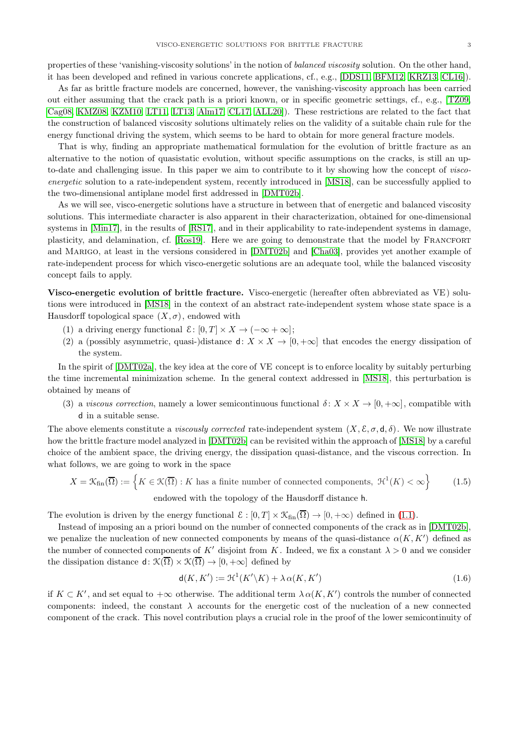properties of these 'vanishing-viscosity solutions' in the notion of balanced viscosity solution. On the other hand, it has been developed and refined in various concrete applications, cf., e.g., [\[DDS11,](#page-30-7) [BFM12,](#page-30-8) [KRZ13,](#page-31-14) [CL16\]](#page-30-9)).

As far as brittle fracture models are concerned, however, the vanishing-viscosity approach has been carried out either assuming that the crack path is a priori known, or in specific geometric settings, cf., e.g., [\[TZ09,](#page-32-0) [Cag08,](#page-30-10) [KMZ08,](#page-31-8) [KZM10,](#page-31-15) [LT11,](#page-31-16) [LT13,](#page-31-17) [Alm17,](#page-30-11) [CL17,](#page-30-12) [ALL20\]](#page-30-13)). These restrictions are related to the fact that the construction of balanced viscosity solutions ultimately relies on the validity of a suitable chain rule for the energy functional driving the system, which seems to be hard to obtain for more general fracture models.

That is why, finding an appropriate mathematical formulation for the evolution of brittle fracture as an alternative to the notion of quasistatic evolution, without specific assumptions on the cracks, is still an upto-date and challenging issue. In this paper we aim to contribute to it by showing how the concept of viscoenergetic solution to a rate-independent system, recently introduced in [\[MS18\]](#page-31-18), can be successfully applied to the two-dimensional antiplane model first addressed in [\[DMT02b\]](#page-30-1).

As we will see, visco-energetic solutions have a structure in between that of energetic and balanced viscosity solutions. This intermediate character is also apparent in their characterization, obtained for one-dimensional systems in [\[Min17\]](#page-31-19), in the results of [\[RS17\]](#page-31-20), and in their applicability to rate-independent systems in damage, plasticity, and delamination, cf. [\[Ros19\]](#page-31-21). Here we are going to demonstrate that the model by FRANCFORT and Marigo, at least in the versions considered in [\[DMT02b\]](#page-30-1) and [\[Cha03\]](#page-30-2), provides yet another example of rate-independent process for which visco-energetic solutions are an adequate tool, while the balanced viscosity concept fails to apply.

Visco-energetic evolution of brittle fracture. Visco-energetic (hereafter often abbreviated as VE) solutions were introduced in [\[MS18\]](#page-31-18) in the context of an abstract rate-independent system whose state space is a Hausdorff topological space  $(X, \sigma)$ , endowed with

- (1) a driving energy functional  $\mathcal{E}: [0,T] \times X \to (-\infty + \infty];$
- (2) a (possibly asymmetric, quasi-)distance  $d: X \times X \to [0, +\infty]$  that encodes the energy dissipation of the system.

In the spirit of [\[DMT02a\]](#page-30-5), the key idea at the core of VE concept is to enforce locality by suitably perturbing the time incremental minimization scheme. In the general context addressed in [\[MS18\]](#page-31-18), this perturbation is obtained by means of

(3) a viscous correction, namely a lower semicontinuous functional  $\delta: X \times X \to [0, +\infty]$ , compatible with d in a suitable sense.

The above elements constitute a viscously corrected rate-independent system  $(X, \mathcal{E}, \sigma, \mathsf{d}, \delta)$ . We now illustrate how the brittle fracture model analyzed in [\[DMT02b\]](#page-30-1) can be revisited within the approach of [\[MS18\]](#page-31-18) by a careful choice of the ambient space, the driving energy, the dissipation quasi-distance, and the viscous correction. In what follows, we are going to work in the space

$$
X = \mathcal{K}_{\text{fin}}(\overline{\Omega}) := \left\{ K \in \mathcal{K}(\overline{\Omega}) : K \text{ has a finite number of connected components, } \mathcal{H}^1(K) < \infty \right\} \tag{1.5}
$$
\nendowed with the topology of the Hausdorff distance h.

The evolution is driven by the energy functional  $\mathcal{E} : [0, T] \times \mathcal{K}_{fin}(\overline{\Omega}) \to [0, +\infty)$  defined in [\(1.1\)](#page-0-1).

Instead of imposing an a priori bound on the number of connected components of the crack as in [\[DMT02b\]](#page-30-1), we penalize the nucleation of new connected components by means of the quasi-distance  $\alpha(K, K')$  defined as the number of connected components of K' disjoint from K. Indeed, we fix a constant  $\lambda > 0$  and we consider the dissipation distance  $d: \mathcal{K}(\overline{\Omega}) \times \mathcal{K}(\overline{\Omega}) \to [0, +\infty]$  defined by

$$
\mathsf{d}(K, K') := \mathfrak{H}^1(K' \backslash K) + \lambda \alpha(K, K') \tag{1.6}
$$

if  $K \subset K'$ , and set equal to  $+\infty$  otherwise. The additional term  $\lambda \alpha(K, K')$  controls the number of connected components: indeed, the constant  $\lambda$  accounts for the energetic cost of the nucleation of a new connected component of the crack. This novel contribution plays a crucial role in the proof of the lower semicontinuity of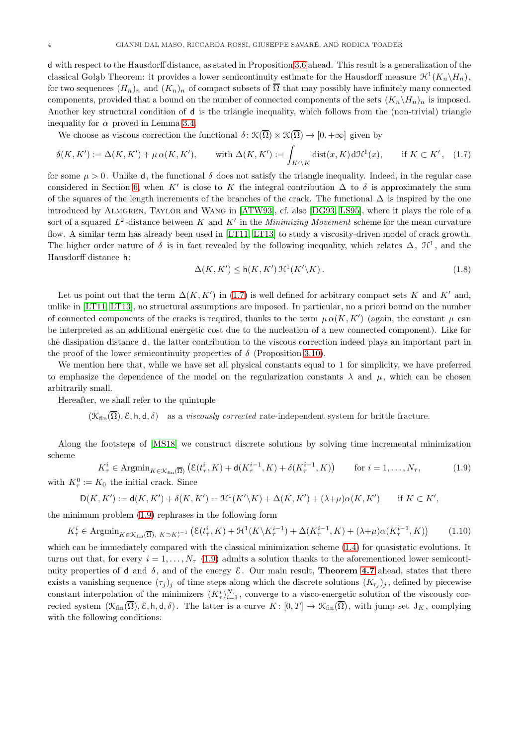d with respect to the Hausdorff distance, as stated in Proposition [3.6](#page-8-0) ahead. This result is a generalization of the classical Gołąb Theorem: it provides a lower semicontinuity estimate for the Hausdorff measure  $\mathcal{H}^1(K_n\backslash H_n)$ , for two sequences  $(H_n)_n$  and  $(K_n)_n$  of compact subsets of  $\overline{\Omega}$  that may possibly have infinitely many connected components, provided that a bound on the number of connected components of the sets  $(K_n\backslash H_n)_n$  is imposed. Another key structural condition of d is the triangle inequality, which follows from the (non-trivial) triangle inequality for  $\alpha$  proved in Lemma [3.4.](#page-7-0)

We choose as viscous correction the functional  $\delta : \mathcal{K}(\overline{\Omega}) \times \mathcal{K}(\overline{\Omega}) \to [0, +\infty]$  given by

<span id="page-3-0"></span>
$$
\delta(K, K') := \Delta(K, K') + \mu \alpha(K, K'), \quad \text{with } \Delta(K, K') := \int_{K' \backslash K} \text{dist}(x, K) d\mathcal{H}^1(x), \quad \text{if } K \subset K', \tag{1.7}
$$

for some  $\mu > 0$ . Unlike d, the functional  $\delta$  does not satisfy the triangle inequality. Indeed, in the regular case considered in Section [6,](#page-26-0) when K' is close to K the integral contribution  $\Delta$  to  $\delta$  is approximately the sum of the squares of the length increments of the branches of the crack. The functional  $\Delta$  is inspired by the one introduced by Almgren, Taylor and Wang in [\[ATW93\]](#page-30-14), cf. also [\[DG93,](#page-30-15) [LS95\]](#page-31-22), where it plays the role of a sort of a squared  $L^2$ -distance between K and K' in the *Minimizing Movement* scheme for the mean curvature flow. A similar term has already been used in [\[LT11,](#page-31-16) [LT13\]](#page-31-17) to study a viscosity-driven model of crack growth. The higher order nature of  $\delta$  is in fact revealed by the following inequality, which relates  $\Delta$ ,  $\mathcal{H}^1$ , and the Hausdorff distance h:

<span id="page-3-3"></span>
$$
\Delta(K, K') \le \mathsf{h}(K, K') \, \mathfrak{H}^1(K' \backslash K). \tag{1.8}
$$

,

Let us point out that the term  $\Delta(K, K')$  in [\(1.7\)](#page-3-0) is well defined for arbitrary compact sets K and K' and, unlike in [\[LT11,](#page-31-16) [LT13\]](#page-31-17), no structural assumptions are imposed. In particular, no a priori bound on the number of connected components of the cracks is required, thanks to the term  $\mu \alpha(K,K')$  (again, the constant  $\mu$  can be interpreted as an additional energetic cost due to the nucleation of a new connected component). Like for the dissipation distance d, the latter contribution to the viscous correction indeed plays an important part in the proof of the lower semicontinuity properties of  $\delta$  (Proposition 3.10).

We mention here that, while we have set all physical constants equal to 1 for simplicity, we have preferred to emphasize the dependence of the model on the regularization constants  $\lambda$  and  $\mu$ , which can be chosen arbitrarily small.

Hereafter, we shall refer to the quintuple

 $(\mathcal{K}_{fin}(\overline{\Omega}), \mathcal{E}, \mathsf{h}, \mathsf{d}, \delta)$  as a *viscously corrected* rate-independent system for brittle fracture.

Along the footsteps of [\[MS18\]](#page-31-18) we construct discrete solutions by solving time incremental minimization scheme

$$
K_{\tau}^{i} \in \operatorname{Argmin}_{K \in \mathcal{K}_{\text{fin}}(\overline{\Omega})} \left( \mathcal{E}(t_{\tau}^{i}, K) + \mathsf{d}(K_{\tau}^{i-1}, K) + \delta(K_{\tau}^{i-1}, K) \right) \qquad \text{for } i = 1, \dots, N_{\tau}, \tag{1.9}
$$
  
with  $K_{\tau}^{0} := K_{0}$  the initial crack. Since

<span id="page-3-1"></span>
$$
\mathsf{D}(K,K') := \mathsf{d}(K,K') + \delta(K,K') = \mathfrak{H}^1(K'\backslash K) + \Delta(K,K') + (\lambda + \mu)\alpha(K,K') \quad \text{if } K \subset K'
$$

the minimum problem [\(1.9\)](#page-3-1) rephrases in the following form

<span id="page-3-2"></span>
$$
K_{\tau}^{i} \in \operatorname{Argmin}_{K \in \mathcal{K}_{\text{fin}}(\overline{\Omega}), K \supset K_{\tau}^{i-1}} \left( \mathcal{E}(t_{\tau}^{i}, K) + \mathcal{H}^{1}(K \setminus K_{\tau}^{i-1}) + \Delta(K_{\tau}^{i-1}, K) + (\lambda + \mu)\alpha(K_{\tau}^{i-1}, K) \right) \tag{1.10}
$$

which can be immediately compared with the classical minimization scheme  $(1.4)$  for quasistatic evolutions. It turns out that, for every  $i = 1, \ldots, N_\tau$  [\(1.9\)](#page-3-1) admits a solution thanks to the aforementioned lower semicontinuity properties of d and  $\delta$ , and of the energy  $\mathcal{E}$ . Our main result, **Theorem [4.7](#page-17-0)** ahead, states that there exists a vanishing sequence  $(\tau_j)_j$  of time steps along which the discrete solutions  $(K_{\tau_j})_j$ , defined by piecewise constant interpolation of the minimizers  $(K^i_\tau)^{N_\tau}_{i=1}$ , converge to a visco-energetic solution of the viscously corrected system  $(\mathcal{K}_{fin}(\overline{\Omega}), \mathcal{E}, h, d, \delta)$ . The latter is a curve  $K: [0, T] \to \mathcal{K}_{fin}(\overline{\Omega})$ , with jump set  $J_K$ , complying with the following conditions: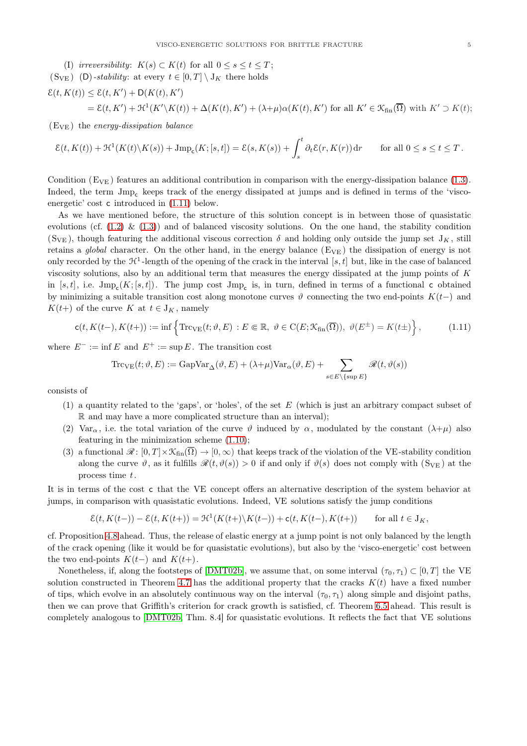(I) irreversibility:  $K(s) \subset K(t)$  for all  $0 \leq s \leq t \leq T$ ;  $(S_{VE})$  (D)-stability: at every  $t \in [0, T] \setminus J_K$  there holds  $\mathcal{E}(t, K(t)) \leq \mathcal{E}(t, K') + \mathsf{D}(K(t), K')$ 

$$
= \mathcal{E}(t, K') + \mathcal{H}^1(K' \backslash K(t)) + \Delta(K(t), K') + (\lambda + \mu)\alpha(K(t), K') \text{ for all } K' \in \mathcal{K}_{fin}(\overline{\Omega}) \text{ with } K' \supset K(t);
$$

 $(E_{VE})$  the energy-dissipation balance

$$
\mathcal{E}(t, K(t)) + \mathcal{H}^1(K(t) \setminus K(s)) + \text{Jmp}_c(K; [s, t]) = \mathcal{E}(s, K(s)) + \int_s^t \partial_t \mathcal{E}(r, K(r)) dr \quad \text{for all } 0 \le s \le t \le T.
$$

Condition  $(E_{VE})$  features an additional contribution in comparison with the energy-dissipation balance [\(1.3\)](#page-1-1). Indeed, the term Jmp<sup>c</sup> keeps track of the energy dissipated at jumps and is defined in terms of the 'viscoenergetic' cost c introduced in [\(1.11\)](#page-4-0) below.

As we have mentioned before, the structure of this solution concept is in between those of quasistatic evolutions (cf.  $(1.2) \& (1.3)$  $(1.2) \& (1.3)$ ) and of balanced viscosity solutions. On the one hand, the stability condition (S<sub>VE</sub>), though featuring the additional viscous correction  $\delta$  and holding only outside the jump set  $J_K$ , still retains a global character. On the other hand, in the energy balance  $(E_{VE})$  the dissipation of energy is not only recorded by the  $\mathcal{H}^1$ -length of the opening of the crack in the interval  $[s, t]$  but, like in the case of balanced viscosity solutions, also by an additional term that measures the energy dissipated at the jump points of K in [s, t], i.e.  $\text{Jmp}_c(K; [s,t])$ . The jump cost  $\text{Jmp}_c$  is, in turn, defined in terms of a functional c obtained by minimizing a suitable transition cost along monotone curves  $\vartheta$  connecting the two end-points K(t−) and  $K(t+)$  of the curve K at  $t \in J_K$ , namely

<span id="page-4-0"></span>
$$
\mathsf{c}(t, K(t-), K(t+)) := \inf \left\{ \mathrm{Trc}_{\mathrm{VE}}(t; \vartheta, E) : E \in \mathbb{R}, \ \vartheta \in \mathrm{C}(E; \mathcal{K}_{\mathrm{fin}}(\overline{\Omega})), \ \vartheta(E^{\pm}) = K(t \pm) \right\},\tag{1.11}
$$

where  $E^- := \inf E$  and  $E^+ := \sup E$ . The transition cost

$$
\mathrm{Trc}_{\mathrm{VE}}(t;\vartheta,E) := \mathrm{GapVar}_{\Delta}(\vartheta,E) + (\lambda + \mu)\mathrm{Var}_{\alpha}(\vartheta,E) + \sum_{s \in E \setminus \{\sup E\}} \mathscr{R}(t,\vartheta(s))
$$

consists of

- (1) a quantity related to the 'gaps', or 'holes', of the set  $E$  (which is just an arbitrary compact subset of R and may have a more complicated structure than an interval);
- (2) Var<sub>α</sub>, i.e. the total variation of the curve  $\vartheta$  induced by  $\alpha$ , modulated by the constant  $(\lambda + \mu)$  also featuring in the minimization scheme [\(1.10\)](#page-3-2);
- (3) a functional  $\mathscr{R} \colon [0, T] \times \mathcal{K}_{fin}(\overline{\Omega}) \to [0, \infty)$  that keeps track of the violation of the VE-stability condition along the curve  $\vartheta$ , as it fulfills  $\mathscr{R}(t, \vartheta(s)) > 0$  if and only if  $\vartheta(s)$  does not comply with  $(S_{VE})$  at the process time t.

It is in terms of the cost c that the VE concept offers an alternative description of the system behavior at jumps, in comparison with quasistatic evolutions. Indeed, VE solutions satisfy the jump conditions

$$
\mathcal{E}(t, K(t-)) - \mathcal{E}(t, K(t+)) = \mathcal{H}^1(K(t+)\backslash K(t-)) + \mathsf{c}(t, K(t-), K(t+)) \quad \text{for all } t \in J_K,
$$

cf. Proposition [4.8](#page-18-0) ahead. Thus, the release of elastic energy at a jump point is not only balanced by the length of the crack opening (like it would be for quasistatic evolutions), but also by the 'visco-energetic' cost between the two end-points  $K(t-)$  and  $K(t+)$ .

Nonetheless, if, along the footsteps of [\[DMT02b\]](#page-30-1), we assume that, on some interval  $(\tau_0, \tau_1) \subset [0, T]$  the VE solution constructed in Theorem [4.7](#page-17-0) has the additional property that the cracks  $K(t)$  have a fixed number of tips, which evolve in an absolutely continuous way on the interval  $(\tau_0, \tau_1)$  along simple and disjoint paths, then we can prove that Griffith's criterion for crack growth is satisfied, cf. Theorem [6.5](#page-27-0) ahead. This result is completely analogous to [\[DMT02b,](#page-30-1) Thm. 8.4] for quasistatic evolutions. It reflects the fact that VE solutions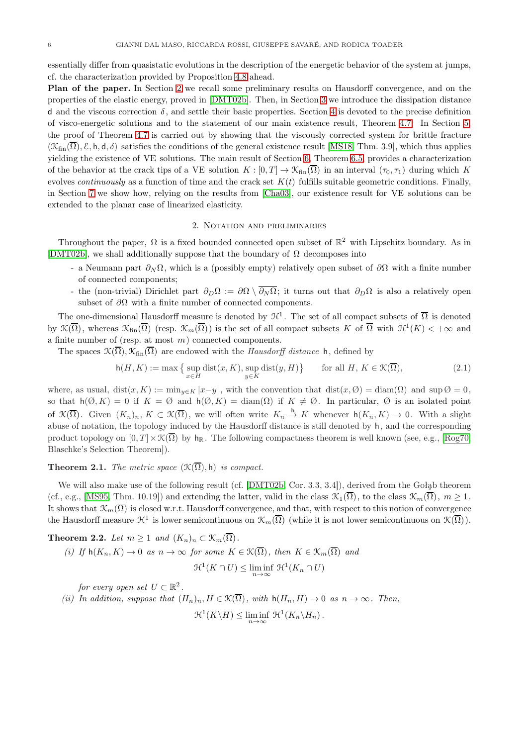essentially differ from quasistatic evolutions in the description of the energetic behavior of the system at jumps, cf. the characterization provided by Proposition [4.8](#page-18-0) ahead.

Plan of the paper. In Section [2](#page-5-0) we recall some preliminary results on Hausdorff convergence, and on the properties of the elastic energy, proved in [\[DMT02b\]](#page-30-1). Then, in Section [3](#page-6-0) we introduce the dissipation distance d and the viscous correction  $\delta$ , and settle their basic properties. Section [4](#page-13-0) is devoted to the precise definition of visco-energetic solutions and to the statement of our main existence result, Theorem [4.7.](#page-17-0) In Section [5,](#page-19-0) the proof of Theorem [4.7](#page-17-0) is carried out by showing that the viscously corrected system for brittle fracture  $(\mathcal{K}_{fin}(\overline{\Omega}), \mathcal{E}, \mathsf{h}, \mathsf{d}, \delta)$  satisfies the conditions of the general existence result [\[MS18,](#page-31-18) Thm. 3.9], which thus applies yielding the existence of VE solutions. The main result of Section [6,](#page-26-0) Theorem [6.5,](#page-27-0) provides a characterization of the behavior at the crack tips of a VE solution  $K : [0, T] \to \mathcal{K}_{fin}(\overline{\Omega})$  in an interval  $(\tau_0, \tau_1)$  during which K evolves *continuously* as a function of time and the crack set  $K(t)$  fulfills suitable geometric conditions. Finally, in Section [7](#page-29-0) we show how, relying on the results from [\[Cha03\]](#page-30-2), our existence result for VE solutions can be extended to the planar case of linearized elasticity.

#### 2. Notation and preliminaries

<span id="page-5-0"></span>Throughout the paper,  $\Omega$  is a fixed bounded connected open subset of  $\mathbb{R}^2$  with Lipschitz boundary. As in [\[DMT02b\]](#page-30-1), we shall additionally suppose that the boundary of  $\Omega$  decomposes into

- a Neumann part  $\partial_N \Omega$ , which is a (possibly empty) relatively open subset of  $\partial \Omega$  with a finite number of connected components;
- the (non-trivial) Dirichlet part  $\partial_D\Omega := \partial\Omega \setminus \overline{\partial_N\Omega}$ ; it turns out that  $\partial_D\Omega$  is also a relatively open subset of  $\partial\Omega$  with a finite number of connected components.

The one-dimensional Hausdorff measure is denoted by  $\mathcal{H}^1$ . The set of all compact subsets of  $\overline{\Omega}$  is denoted by  $\mathfrak{K}(\overline{\Omega})$ , whereas  $\mathfrak{K}_{\text{fin}}(\overline{\Omega})$  (resp.  $\mathfrak{K}_{m}(\overline{\Omega})$ ) is the set of all compact subsets K of  $\overline{\Omega}$  with  $\mathfrak{H}^1(K) < +\infty$  and a finite number of (resp. at most  $m$ ) connected components.

The spaces  $\mathfrak{K}(\overline{\Omega}), \mathfrak{K}_{fin}(\overline{\Omega})$  are endowed with the Hausdorff distance h, defined by

<span id="page-5-2"></span>
$$
h(H, K) := \max\left\{\sup_{x \in H} \text{dist}(x, K), \sup_{y \in K} \text{dist}(y, H)\right\} \quad \text{for all } H, K \in \mathcal{K}(\overline{\Omega}),\tag{2.1}
$$

where, as usual,  $dist(x, K) := min_{y \in K} |x-y|$ , with the convention that  $dist(x, \emptyset) = diam(\Omega)$  and  $sup \emptyset = 0$ , so that  $h(\emptyset, K) = 0$  if  $K = \emptyset$  and  $h(\emptyset, K) = \text{diam}(\Omega)$  if  $K \neq \emptyset$ . In particular,  $\emptyset$  is an isolated point of  $\mathfrak{K}(\overline{\Omega})$ . Given  $(K_n)_n, K \subset \mathfrak{K}(\overline{\Omega})$ , we will often write  $K_n \stackrel{h}{\to} K$  whenever  $\mathsf{h}(K_n, K) \to 0$ . With a slight abuse of notation, the topology induced by the Hausdorff distance is still denoted by h, and the corresponding product topology on  $[0, T] \times \mathcal{K}(\overline{\Omega})$  by  $h_{\mathbb{R}}$ . The following compactness theorem is well known (see, e.g., [\[Rog70,](#page-31-23) Blaschke's Selection Theorem]).

**Theorem 2.1.** The metric space  $(\mathfrak{K}(\overline{\Omega}), h)$  is compact.

We will also make use of the following result (cf. [\[DMT02b,](#page-30-1) Cor. 3.3, 3.4]), derived from the Gołąb theorem (cf., e.g., [\[MS95,](#page-31-24) Thm. 10.19]) and extending the latter, valid in the class  $\mathcal{K}_1(\overline{\Omega})$ , to the class  $\mathcal{K}_m(\overline{\Omega})$ ,  $m \ge 1$ . It shows that  $\mathcal{K}_m(\overline{\Omega})$  is closed w.r.t. Hausdorff convergence, and that, with respect to this notion of convergence the Hausdorff measure  $\mathcal{H}^1$  is lower semicontinuous on  $\mathcal{K}_m(\overline{\Omega})$  (while it is not lower semicontinuous on  $\mathcal{K}(\overline{\Omega})$ ).

<span id="page-5-1"></span>**Theorem 2.2.** Let  $m \geq 1$  and  $(K_n)_n \subset \mathcal{K}_m(\overline{\Omega})$ .

(i) If 
$$
h(K_n, K) \to 0
$$
 as  $n \to \infty$  for some  $K \in \mathcal{K}(\overline{\Omega})$ , then  $K \in \mathcal{K}_m(\overline{\Omega})$  and  

$$
\mathcal{H}^1(K \cap U) \le \liminf_{n \to \infty} \mathcal{H}^1(K_n \cap U)
$$

for every open set  $U \subset \mathbb{R}^2$ .

(ii) In addition, suppose that  $(H_n)_n, H \in \mathcal{K}(\overline{\Omega})$ , with  $h(H_n, H) \to 0$  as  $n \to \infty$ . Then,

 $\mathcal{H}^1(K\backslash H) \leq \liminf_{n\to\infty} \mathcal{H}^1(K_n\backslash H_n).$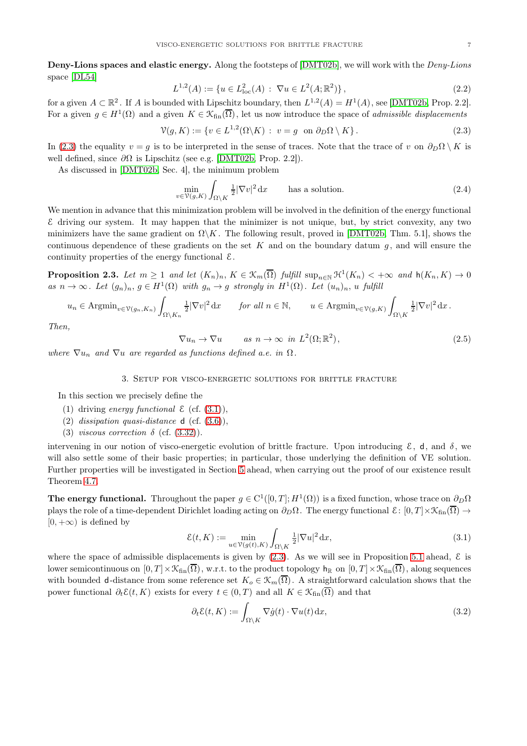Deny-Lions spaces and elastic energy. Along the footsteps of [\[DMT02b\]](#page-30-1), we will work with the *Deny-Lions* space [\[DL54\]](#page-30-16)

$$
L^{1,2}(A) := \{ u \in L^2_{loc}(A) : \nabla u \in L^2(A; \mathbb{R}^2) \},
$$
\n(2.2)

for a given  $A \subset \mathbb{R}^2$ . If A is bounded with Lipschitz boundary, then  $L^{1,2}(A) = H^1(A)$ , see [\[DMT02b,](#page-30-1) Prop. 2.2]. For a given  $g \in H^1(\Omega)$  and a given  $K \in \mathcal{K}_{fin}(\overline{\Omega})$ , let us now introduce the space of *admissible displacements* 

<span id="page-6-1"></span>
$$
\mathcal{V}(g,K) := \{ v \in L^{1,2}(\Omega \backslash K) : v = g \text{ on } \partial_D \Omega \setminus K \}.
$$
\n(2.3)

In [\(2.3\)](#page-6-1) the equality  $v = g$  is to be interpreted in the sense of traces. Note that the trace of v on  $\partial_D \Omega \setminus K$  is well defined, since  $\partial\Omega$  is Lipschitz (see e.g. [\[DMT02b,](#page-30-1) Prop. 2.2]).

As discussed in [\[DMT02b,](#page-30-1) Sec. 4], the minimum problem

$$
\min_{v \in \mathcal{V}(g,K)} \int_{\Omega \setminus K} \frac{1}{2} |\nabla v|^2 \, \mathrm{d}x \qquad \text{has a solution.} \tag{2.4}
$$

We mention in advance that this minimization problem will be involved in the definition of the energy functional  $\epsilon$  driving our system. It may happen that the minimizer is not unique, but, by strict convexity, any two minimizers have the same gradient on  $\Omega \backslash K$ . The following result, proved in [\[DMT02b,](#page-30-1) Thm. 5.1], shows the continuous dependence of these gradients on the set K and on the boundary datum  $g$ , and will ensure the continuity properties of the energy functional  $\mathcal{E}$ .

<span id="page-6-4"></span>**Proposition 2.3.** Let  $m \geq 1$  and let  $(K_n)_n$ ,  $K \in \mathcal{K}_m(\overline{\Omega})$  fulfill  $\sup_{n \in \mathbb{N}} \mathcal{H}^1(K_n) < +\infty$  and  $h(K_n, K) \to 0$ as  $n \to \infty$ . Let  $(g_n)_n$ ,  $g \in H^1(\Omega)$  with  $g_n \to g$  strongly in  $H^1(\Omega)$ . Let  $(u_n)_n$ , u fulfill

$$
u_n \in \text{Argmin}_{v \in \mathcal{V}(g_n, K_n)} \int_{\Omega \setminus K_n} \frac{1}{2} |\nabla v|^2 \, \mathrm{d}x \qquad \text{for all } n \in \mathbb{N}, \qquad u \in \text{Argmin}_{v \in \mathcal{V}(g, K)} \int_{\Omega \setminus K} \frac{1}{2} |\nabla v|^2 \, \mathrm{d}x \, .
$$

Then,

$$
\nabla u_n \to \nabla u \qquad \text{as } n \to \infty \text{ in } L^2(\Omega; \mathbb{R}^2), \tag{2.5}
$$

<span id="page-6-0"></span>where  $\nabla u_n$  and  $\nabla u$  are regarded as functions defined a.e. in  $\Omega$ .

#### 3. Setup for visco-energetic solutions for brittle fracture

In this section we precisely define the

- (1) driving energy functional  $\mathcal{E}$  (cf. [\(3.1\)](#page-6-2)),
- (2) dissipation quasi-distance  $d$  (cf.  $(3.6)$ ),
- (3) viscous correction  $\delta$  (cf. [\(3.32\)](#page-12-0)).

intervening in our notion of visco-energetic evolution of brittle fracture. Upon introducing  $\mathcal{E}$ , d, and  $\delta$ , we will also settle some of their basic properties; in particular, those underlying the definition of VE solution. Further properties will be investigated in Section [5](#page-19-0) ahead, when carrying out the proof of our existence result Theorem [4.7.](#page-17-0)

The energy functional. Throughout the paper  $g \in C^1([0,T];H^1(\Omega))$  is a fixed function, whose trace on  $\partial_D\Omega$ plays the role of a time-dependent Dirichlet loading acting on  $\partial_D\Omega$ . The energy functional  $\mathcal{E}: [0,T] \times \mathcal{K}_{fin}(\overline{\Omega}) \to$  $[0, +\infty)$  is defined by

<span id="page-6-2"></span>
$$
\mathcal{E}(t,K) := \min_{u \in \mathcal{V}(g(t),K)} \int_{\Omega \setminus K} \frac{1}{2} |\nabla u|^2 \, \mathrm{d}x,\tag{3.1}
$$

where the space of admissible displacements is given by  $(2.3)$ . As we will see in Proposition [5.1](#page-19-1) ahead,  $\mathcal{E}$  is lower semicontinuous on  $[0, T] \times \mathcal{K}_{fin}(\overline{\Omega})$ , w.r.t. to the product topology  $h_{\mathbb{R}}$  on  $[0, T] \times \mathcal{K}_{fin}(\overline{\Omega})$ , along sequences with bounded d-distance from some reference set  $K_o \in \mathcal{K}_m(\overline{\Omega})$ . A straightforward calculation shows that the power functional  $\partial_t \mathcal{E}(t, K)$  exists for every  $t \in (0, T)$  and all  $K \in \mathcal{K}_{fin}(\overline{\Omega})$  and that

<span id="page-6-3"></span>
$$
\partial_t \mathcal{E}(t, K) := \int_{\Omega \setminus K} \nabla \dot{g}(t) \cdot \nabla u(t) \, \mathrm{d}x,\tag{3.2}
$$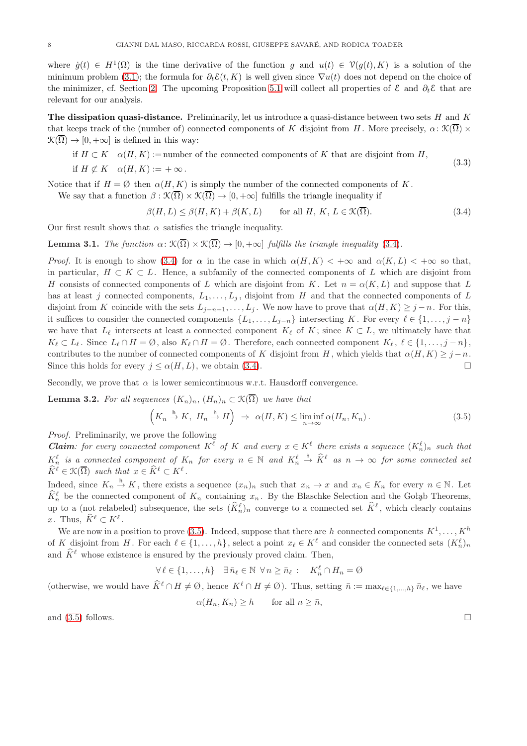where  $\dot{g}(t) \in H^1(\Omega)$  is the time derivative of the function g and  $u(t) \in \mathcal{V}(g(t), K)$  is a solution of the minimum problem [\(3.1\)](#page-6-2); the formula for  $\partial_t \mathcal{E}(t, K)$  is well given since  $\nabla u(t)$  does not depend on the choice of the minimizer, cf. Section [2.](#page-5-0) The upcoming Proposition [5.1](#page-19-1) will collect all properties of  $\mathcal E$  and  $\partial_t \mathcal E$  that are relevant for our analysis.

The dissipation quasi-distance. Preliminarily, let us introduce a quasi-distance between two sets  $H$  and  $K$ that keeps track of the (number of) connected components of K disjoint from H. More precisely,  $\alpha: \mathfrak{K}(\overline{\Omega}) \times$  $\mathcal{K}(\overline{\Omega}) \to [0, +\infty]$  is defined in this way:

if 
$$
H \subset K
$$
  $\alpha(H, K) :=$ number of the connected components of K that are disjoint from H,  
if  $H \not\subset K$   $\alpha(H, K) := +\infty$ . (3.3)

Notice that if  $H = \emptyset$  then  $\alpha(H, K)$  is simply the number of the connected components of K.

We say that a function  $\beta : \mathcal{K}(\overline{\Omega}) \times \mathcal{K}(\overline{\Omega}) \to [0, +\infty]$  fulfills the triangle inequality if

<span id="page-7-0"></span> $\beta(H, L) \leq \beta(H, K) + \beta(K, L)$  for all  $H, K, L \in \mathcal{K}(\overline{\Omega})$ . (3.4)

Our first result shows that  $\alpha$  satisfies the triangle inequality.

<span id="page-7-2"></span>**Lemma 3.1.** The function  $\alpha: \mathcal{K}(\overline{\Omega}) \times \mathcal{K}(\overline{\Omega}) \to [0, +\infty]$  fulfills the triangle inequality [\(3.4\)](#page-7-0).

*Proof.* It is enough to show [\(3.4\)](#page-7-0) for  $\alpha$  in the case in which  $\alpha(H, K) < +\infty$  and  $\alpha(K, L) < +\infty$  so that, in particular,  $H \subset K \subset L$ . Hence, a subfamily of the connected components of L which are disjoint from H consists of connected components of L which are disjoint from K. Let  $n = \alpha(K, L)$  and suppose that L has at least j connected components,  $L_1, \ldots, L_j$ , disjoint from H and that the connected components of L disjoint from K coincide with the sets  $L_{j-n+1}, \ldots, L_j$ . We now have to prove that  $\alpha(H, K) \geq j - n$ . For this, it suffices to consider the connected components  $\{L_1, \ldots, L_{j-n}\}$  intersecting K. For every  $\ell \in \{1, \ldots, j-n\}$ we have that  $L_{\ell}$  intersects at least a connected component  $K_{\ell}$  of K; since  $K \subset L$ , we ultimately have that  $K_{\ell} \subset L_{\ell}$ . Since  $L_{\ell} \cap H = \emptyset$ , also  $K_{\ell} \cap H = \emptyset$ . Therefore, each connected component  $K_{\ell}$ ,  $\ell \in \{1, \ldots, j - n\}$ , contributes to the number of connected components of K disjoint from H, which yields that  $\alpha(H, K) \geq j - n$ . Since this holds for every  $j \leq \alpha(H,L)$ , we obtain [\(3.4\)](#page-7-0).

Secondly, we prove that  $\alpha$  is lower semicontinuous w.r.t. Hausdorff convergence.

<span id="page-7-3"></span>**Lemma 3.2.** For all sequences  $(K_n)_n$ ,  $(H_n)_n \subset \mathcal{K}(\overline{\Omega})$  we have that

<span id="page-7-1"></span>
$$
\left(K_n \stackrel{\mathsf{h}}{\to} K, H_n \stackrel{\mathsf{h}}{\to} H\right) \Rightarrow \alpha(H, K) \le \liminf_{n \to \infty} \alpha(H_n, K_n). \tag{3.5}
$$

Proof. Preliminarily, we prove the following

**Claim**: for every connected component  $K^{\ell}$  of K and every  $x \in K^{\ell}$  there exists a sequence  $(K^{\ell}_{n})_{n}$  such that  $K_n^{\ell}$  is a connected component of  $K_n$  for every  $n \in \mathbb{N}$  and  $K_n^{\ell}$  $\stackrel{\mathsf{h}}{\rightarrow} \widehat{K}^{\ell}$  as  $n \rightarrow \infty$  for some connected set  $\widehat{K}^{\ell} \in \mathcal{K}(\overline{\Omega})$  such that  $x \in \widehat{K}^{\ell} \subset K^{\ell}$ .

Indeed, since  $K_n \stackrel{h}{\to} K$ , there exists a sequence  $(x_n)_n$  such that  $x_n \to x$  and  $x_n \in K_n$  for every  $n \in \mathbb{N}$ . Let  $\widehat{K}_n^{\ell}$  be the connected component of  $K_n$  containing  $x_n$ . By the Blaschke Selection and the Gołąb Theorems, up to a (not relabeled) subsequence, the sets  $(\tilde{K}_n^{\ell})_n$  converge to a connected set  $\tilde{K}^{\ell}$ , which clearly contains x. Thus,  $\hat{K}^{\ell} \subset K^{\ell}$ .

We are now in a position to prove [\(3.5\)](#page-7-1). Indeed, suppose that there are h connected components  $K^1, \ldots, K^h$ of K disjoint from H. For each  $\ell \in \{1, \ldots, h\}$ , select a point  $x_{\ell} \in K^{\ell}$  and consider the connected sets  $(K_n^{\ell})_n$ and  $\widehat{K}^{\ell}$  whose existence is ensured by the previously proved claim. Then,

$$
\forall \ell \in \{1, \ldots, h\} \quad \exists \bar{n}_{\ell} \in \mathbb{N} \ \forall n \ge \bar{n}_{\ell} : \quad K_n^{\ell} \cap H_n = \emptyset
$$

(otherwise, we would have  $\widehat{K}^{\ell} \cap H \neq \emptyset$ , hence  $K^{\ell} \cap H \neq \emptyset$ ). Thus, setting  $\overline{n} := \max_{\ell \in \{1, ..., h\}} \overline{n}_{\ell}$ , we have

$$
\alpha(H_n, K_n) \ge h \qquad \text{for all } n \ge \bar{n},
$$

and  $(3.5)$  follows.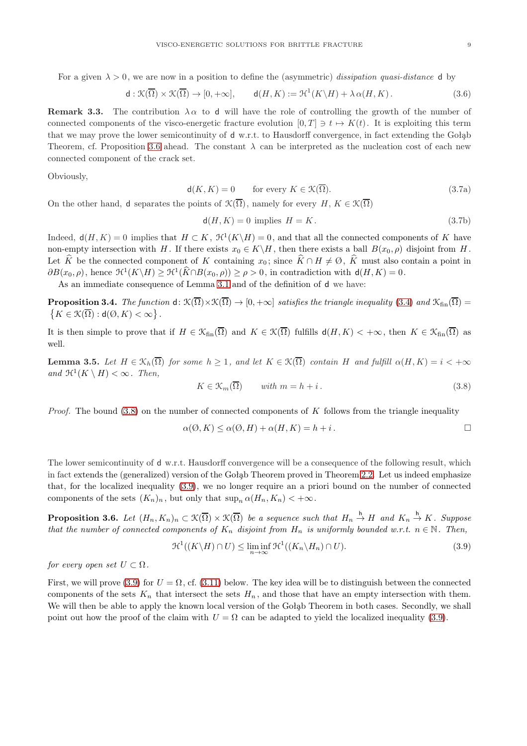For a given  $\lambda > 0$ , we are now in a position to define the (asymmetric) dissipation quasi-distance d by

<span id="page-8-1"></span>
$$
\mathsf{d}:\mathfrak{K}(\overline{\Omega})\times\mathfrak{K}(\overline{\Omega})\to[0,+\infty],\qquad \mathsf{d}(H,K):=\mathfrak{H}^1(K\backslash H)+\lambda\,\alpha(H,K)\,.
$$

**Remark 3.3.** The contribution  $\lambda \alpha$  to d will have the role of controlling the growth of the number of connected components of the visco-energetic fracture evolution  $[0, T] \ni t \mapsto K(t)$ . It is exploiting this term that we may prove the lower semicontinuity of d w.r.t. to Hausdorff convergence, in fact extending the Gołąb Theorem, cf. Proposition [3.6](#page-8-0) ahead. The constant  $\lambda$  can be interpreted as the nucleation cost of each new connected component of the crack set.

<span id="page-8-4"></span>Obviously,

$$
\mathsf{d}(K, K) = 0 \qquad \text{for every } K \in \mathcal{K}(\overline{\Omega}). \tag{3.7a}
$$

On the other hand, d separates the points of  $\mathcal{K}(\overline{\Omega})$ , namely for every H,  $K \in \mathcal{K}(\overline{\Omega})$ 

$$
\mathsf{d}(H, K) = 0 \text{ implies } H = K. \tag{3.7b}
$$

Indeed,  $d(H, K) = 0$  implies that  $H \subset K$ ,  $\mathcal{H}^1(K \backslash H) = 0$ , and that all the connected components of K have non-empty intersection with H. If there exists  $x_0 \in K \backslash H$ , then there exists a ball  $B(x_0, \rho)$  disjoint from H. Let  $\widehat{K}$  be the connected component of K containing  $x_0$ ; since  $\widehat{K} \cap H \neq \emptyset$ ,  $\widehat{K}$  must also contain a point in  $\partial B(x_0, \rho)$ , hence  $\mathfrak{H}^1(K \backslash H) \geq \mathfrak{H}^1(\widehat{K} \cap B(x_0, \rho)) \geq \rho > 0$ , in contradiction with  $d(H, K) = 0$ .

As an immediate consequence of Lemma [3.1](#page-7-2) and of the definition of d we have:

<span id="page-8-5"></span>**Proposition 3.4.** The function  $d: \mathcal{K}(\overline{\Omega}) \times \mathcal{K}(\overline{\Omega}) \to [0, +\infty]$  satisfies the triangle inequality [\(3.4\)](#page-7-0) and  $\mathcal{K}_{fin}(\overline{\Omega}) =$  $K \in \mathcal{K}(\overline{\Omega}) : \mathsf{d}(\emptyset, K) < \infty \big\}$ .

It is then simple to prove that if  $H \in \mathfrak{K}_{fin}(\overline{\Omega})$  and  $K \in \mathfrak{K}(\overline{\Omega})$  fulfills  $d(H, K) < +\infty$ , then  $K \in \mathfrak{K}_{fin}(\overline{\Omega})$  as well.

<span id="page-8-6"></span>**Lemma 3.5.** Let  $H \in \mathcal{K}_h(\overline{\Omega})$  for some  $h \geq 1$ , and let  $K \in \mathcal{K}(\overline{\Omega})$  contain H and fulfill  $\alpha(H,K) = i < +\infty$ and  $\mathfrak{H}^1(K \setminus H) < \infty$ . Then,

<span id="page-8-2"></span>
$$
K \in \mathcal{K}_m(\overline{\Omega}) \qquad with \ m = h + i. \tag{3.8}
$$

*Proof.* The bound  $(3.8)$  on the number of connected components of K follows from the triangle inequality

$$
\alpha(\emptyset, K) \le \alpha(\emptyset, H) + \alpha(H, K) = h + i.
$$

The lower semicontinuity of d w.r.t. Hausdorff convergence will be a consequence of the following result, which in fact extends the (generalized) version of the Gołąb Theorem proved in Theorem [2.2.](#page-5-1) Let us indeed emphasize that, for the localized inequality [\(3.9\)](#page-8-3), we no longer require an a priori bound on the number of connected components of the sets  $(K_n)_n$ , but only that  $\sup_n \alpha(H_n, K_n) < +\infty$ .

<span id="page-8-0"></span>**Proposition 3.6.** Let  $(H_n, K_n)_n \subset \mathfrak{K}(\overline{\Omega}) \times \mathfrak{K}(\overline{\Omega})$  be a sequence such that  $H_n \stackrel{h}{\to} H$  and  $K_n \stackrel{h}{\to} K$ . Suppose that the number of connected components of  $K_n$  disjoint from  $H_n$  is uniformly bounded w.r.t.  $n \in \mathbb{N}$ . Then,

<span id="page-8-3"></span>
$$
\mathcal{H}^1((K\backslash H)\cap U)\leq \liminf_{n\to\infty}\mathcal{H}^1((K_n\backslash H_n)\cap U). \tag{3.9}
$$

for every open set  $U \subset \Omega$ .

First, we will prove [\(3.9\)](#page-8-3) for  $U = \Omega$ , cf. [\(3.11\)](#page-9-0) below. The key idea will be to distinguish between the connected components of the sets  $K_n$  that intersect the sets  $H_n$ , and those that have an empty intersection with them. We will then be able to apply the known local version of the Gołąb Theorem in both cases. Secondly, we shall point out how the proof of the claim with  $U = \Omega$  can be adapted to yield the localized inequality [\(3.9\)](#page-8-3).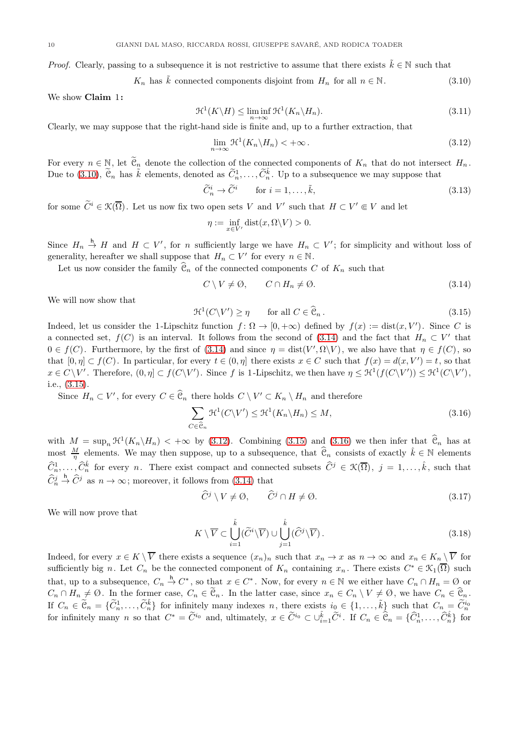*Proof.* Clearly, passing to a subsequence it is not restrictive to assume that there exists  $\tilde{k} \in \mathbb{N}$  such that

<span id="page-9-1"></span> $K_n$  has  $\tilde{k}$  connected components disjoint from  $H_n$  for all  $n \in \mathbb{N}$ . (3.10)

We show Claim 1:

<span id="page-9-0"></span>
$$
\mathcal{H}^1(K\backslash H) \le \liminf_{n \to \infty} \mathcal{H}^1(K_n\backslash H_n). \tag{3.11}
$$

Clearly, we may suppose that the right-hand side is finite and, up to a further extraction, that

<span id="page-9-4"></span>
$$
\lim_{n \to \infty} \mathcal{H}^1(K_n \backslash H_n) < +\infty. \tag{3.12}
$$

For every  $n \in \mathbb{N}$ , let  $\widetilde{\mathfrak{C}}_n$  denote the collection of the connected components of  $K_n$  that do not intersect  $H_n$ . Due to [\(3.10\)](#page-9-1),  $\tilde{\mathcal{C}}_n$  has  $\tilde{k}$  elements, denoted as  $\tilde{C}_n^1, \ldots, \tilde{C}_n^{\tilde{k}}$ . Up to a subsequence we may suppose that

$$
\widetilde{C}_n^i \to \widetilde{C}^i \qquad \text{for } i = 1, \dots, \tilde{k}, \tag{3.13}
$$

for some  $\widetilde{C}^i \in \mathcal{K}(\overline{\Omega})$ . Let us now fix two open sets V and V' such that  $H \subset V' \Subset V$  and let

$$
\eta := \inf_{x \in V'} \text{dist}(x, \Omega \backslash V) > 0.
$$

Since  $H_n \stackrel{h}{\to} H$  and  $H \subset V'$ , for n sufficiently large we have  $H_n \subset V'$ ; for simplicity and without loss of generality, hereafter we shall suppose that  $H_n \subset V'$  for every  $n \in \mathbb{N}$ .

Let us now consider the family  $\widehat{\mathcal{C}}_n$  of the connected components C of  $K_n$  such that

<span id="page-9-2"></span>
$$
C \setminus V \neq \emptyset, \qquad C \cap H_n \neq \emptyset. \tag{3.14}
$$

We will now show that

<span id="page-9-3"></span>
$$
\mathcal{H}^1(C \backslash V') \ge \eta \qquad \text{for all } C \in \widehat{\mathcal{C}}_n. \tag{3.15}
$$

Indeed, let us consider the 1-Lipschitz function  $f: \Omega \to [0, +\infty)$  defined by  $f(x) := dist(x, V')$ . Since C is a connected set,  $f(C)$  is an interval. It follows from the second of [\(3.14\)](#page-9-2) and the fact that  $H_n \subset V'$  that  $0 \in f(C)$ . Furthermore, by the first of [\(3.14\)](#page-9-2) and since  $\eta = \text{dist}(V', \Omega \backslash V)$ , we also have that  $\eta \in f(C)$ , so that  $[0, \eta] \subset f(C)$ . In particular, for every  $t \in (0, \eta]$  there exists  $x \in C$  such that  $f(x) = d(x, V') = t$ , so that  $x \in C \setminus V'$ . Therefore,  $(0, \eta] \subset f(C \setminus V')$ . Since f is 1-Lipschitz, we then have  $\eta \leq \mathfrak{H}^1(f(C \setminus V')) \leq \mathfrak{H}^1(C \setminus V')$ , i.e., [\(3.15\)](#page-9-3).

Since  $H_n \subset V'$ , for every  $C \in \widehat{\mathcal{C}}_n$  there holds  $C \setminus V' \subset K_n \setminus H_n$  and therefore

<span id="page-9-5"></span>
$$
\sum_{C \in \widehat{\mathcal{C}}_n} \mathcal{H}^1(C \backslash V') \le \mathcal{H}^1(K_n \backslash H_n) \le M,
$$
\n(3.16)

with  $M = \sup_n \mathcal{H}^1(K_n \backslash H_n) < +\infty$  by [\(3.12\)](#page-9-4). Combining [\(3.15\)](#page-9-3) and [\(3.16\)](#page-9-5) we then infer that  $\widehat{\mathcal{C}}_n$  has at most  $\frac{M}{\eta}$  elements. We may then suppose, up to a subsequence, that  $\widehat{e}_n$  consists of exactly  $\hat{k} \in \mathbb{N}$  elements  $\widehat{C}_n^1,\ldots,\widehat{C}_n^{\hat{k}}$  for every n. There exist compact and connected subsets  $\widehat{C}^j \in \mathcal{K}(\overline{\Omega})$ ,  $j=1,\ldots,\hat{k}$ , such that  $\widehat{C}_n^j$  $\stackrel{\mathsf{h}}{\rightarrow} \widehat{C}^j$  as  $n \to \infty$ ; moreover, it follows from [\(3.14\)](#page-9-2) that

$$
\widehat{C}^j \setminus V \neq \emptyset, \qquad \widehat{C}^j \cap H \neq \emptyset. \tag{3.17}
$$

We will now prove that

<span id="page-9-6"></span>
$$
K \setminus \overline{V} \subset \bigcup_{i=1}^{\tilde{k}} (\widetilde{C}^i \setminus \overline{V}) \cup \bigcup_{j=1}^{\hat{k}} (\widehat{C}^j \setminus \overline{V}).
$$
\n(3.18)

Indeed, for every  $x \in K \setminus \overline{V}$  there exists a sequence  $(x_n)_n$  such that  $x_n \to x$  as  $n \to \infty$  and  $x_n \in K_n \setminus \overline{V}$  for sufficiently big n. Let  $C_n$  be the connected component of  $K_n$  containing  $x_n$ . There exists  $C^* \in \mathfrak{K}_1(\overline{\Omega})$  such that, up to a subsequence,  $C_n \overset{h}{\to} C^*$ , so that  $x \in C^*$ . Now, for every  $n \in \mathbb{N}$  we either have  $C_n \cap H_n = \emptyset$  or  $C_n \cap H_n \neq \emptyset$ . In the former case,  $C_n \in \tilde{\mathcal{C}}_n$ . In the latter case, since  $x_n \in C_n \setminus V \neq \emptyset$ , we have  $C_n \in \hat{\mathcal{C}}_n$ . If  $C_n \in \tilde{\mathfrak{C}}_n = \{\tilde{C}_n^1, \ldots, \tilde{C}_n^{\tilde{k}}\}$  for infinitely many indexes n, there exists  $i_0 \in \{1, \ldots, \tilde{k}\}$  such that  $C_n = \tilde{C}_n^{i_0}$ for infinitely many n so that  $C^* = \tilde{C}^{i_0}$  and, ultimately,  $x \in \tilde{C}^{i_0} \subset \cup_{i=1}^{\tilde{k}} \tilde{C}^{i}$ . If  $C_n \in \hat{\mathbb{C}}_n = \{\hat{C}_n^1, \dots, \hat{C}_n^{\hat{k}}\}$  for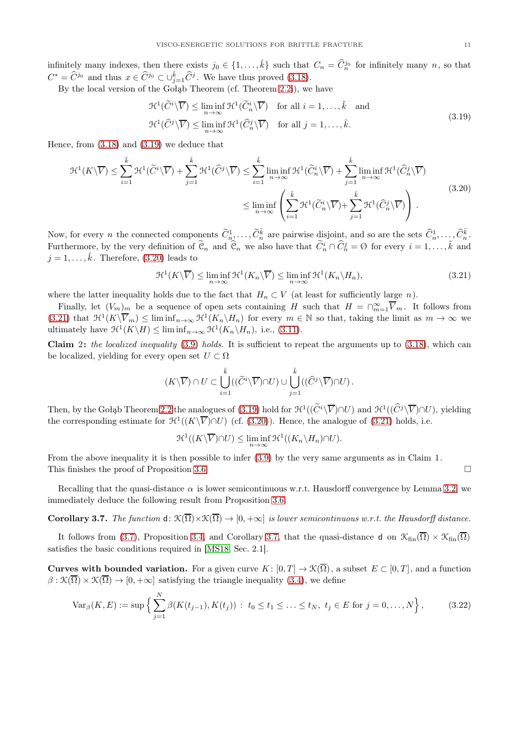infinitely many indexes, then there exists  $j_0 \in \{1, \ldots, \hat{k}\}\$  such that  $C_n = \widehat{C}_n^{j_0}$  for infinitely many n, so that  $C^* = \hat{C}^{j_0}$  and thus  $x \in \hat{C}^{j_0} \subset \cup_{j=1}^{\hat{k}} \hat{C}^j$ . We have thus proved [\(3.18\)](#page-9-6).

By the local version of the Gołąb Theorem (cf. Theorem [2.2i](#page-5-1)), we have

<span id="page-10-0"></span>
$$
\mathcal{H}^{1}(\widetilde{C}^{i}\backslash\overline{V}) \leq \liminf_{n \to \infty} \mathcal{H}^{1}(\widetilde{C}_{n}^{i}\backslash\overline{V}) \quad \text{for all } i = 1, ..., \tilde{k} \quad \text{and}
$$
  

$$
\mathcal{H}^{1}(\widehat{C}^{j}\backslash\overline{V}) \leq \liminf_{n \to \infty} \mathcal{H}^{1}(\widehat{C}_{n}^{j}\backslash\overline{V}) \quad \text{for all } j = 1, ..., \hat{k}.
$$
 (3.19)

Hence, from [\(3.18\)](#page-9-6) and [\(3.19\)](#page-10-0) we deduce that

<span id="page-10-1"></span>
$$
\mathcal{H}^{1}(K\backslash\overline{V}) \leq \sum_{i=1}^{\tilde{k}} \mathcal{H}^{1}(\widetilde{C}^{i}\backslash\overline{V}) + \sum_{j=1}^{\hat{k}} \mathcal{H}^{1}(\widehat{C}^{j}\backslash\overline{V}) \leq \sum_{i=1}^{\tilde{k}} \liminf_{n \to \infty} \mathcal{H}^{1}(\widetilde{C}_{n}^{i}\backslash\overline{V}) + \sum_{j=1}^{\hat{k}} \liminf_{n \to \infty} \mathcal{H}^{1}(\widehat{C}_{n}^{j}\backslash\overline{V})
$$

$$
\leq \liminf_{n \to \infty} \left( \sum_{i=1}^{\tilde{k}} \mathcal{H}^{1}(\widetilde{C}_{n}^{i}\backslash\overline{V}) + \sum_{j=1}^{\hat{k}} \mathcal{H}^{1}(\widehat{C}_{n}^{j}\backslash\overline{V}) \right).
$$
(3.20)

Now, for every n the connected components  $\widetilde{C}_{n_1}^1, \ldots, \widetilde{C}_{n}^{\tilde{k}}$  are pairwise disjoint, and so are the sets  $\widehat{C}_{n}^1, \ldots, \widehat{C}_{n}^{\hat{k}}$ . Furthermore, by the very definition of  $\tilde{\mathfrak{C}}_n$  and  $\hat{\mathfrak{C}}_n$  we also have that  $\tilde{C}_n^i \cap \tilde{C}_n^j = \emptyset$  for every  $i = 1, \ldots, \tilde{k}$  and  $j = 1, \ldots, \hat{k}$ . Therefore, [\(3.20\)](#page-10-1) leads to

<span id="page-10-2"></span>
$$
\mathcal{H}^1(K\backslash \overline{V}) \le \liminf_{n \to \infty} \mathcal{H}^1(K_n\backslash \overline{V}) \le \liminf_{n \to \infty} \mathcal{H}^1(K_n\backslash H_n),\tag{3.21}
$$

where the latter inequality holds due to the fact that  $H_n \subset V$  (at least for sufficiently large n).

Finally, let  $(V_m)_m$  be a sequence of open sets containing H such that  $H = \bigcap_{m=1}^{\infty} \overline{V}_m$ . It follows from  $(3.21)$  that  $\mathfrak{H}^1(K\backslash \overline{V}_m) \leq \liminf_{n\to\infty} \mathfrak{H}^1(K_n\backslash H_n)$  for every  $m \in \mathbb{N}$  so that, taking the limit as  $m \to \infty$  we ultimately have  $\mathcal{H}^1(K \backslash H) \leq \liminf_{n \to \infty} \mathcal{H}^1(K_n \backslash H_n)$ , i.e., [\(3.11\)](#page-9-0).

Claim 2: the localized inequality  $(3.9)$  holds. It is sufficient to repeat the arguments up to  $(3.18)$ , which can be localized, yielding for every open set  $U \subset \Omega$ 

$$
(K\backslash\overline{V})\cap U\subset \bigcup_{i=1}^{\tilde{k}}((\widetilde{C}^i\backslash\overline{V})\cap U)\cup \bigcup_{j=1}^{\tilde{k}}((\widehat{C}^j\backslash\overline{V})\cap U)\ .
$$

Then, by the Gołąb Theorem [2.2](#page-5-1) the analogues of [\(3.19\)](#page-10-0) hold for  $\mathcal{H}^1((\widetilde{C}^i\backslash\overline{V})\cap U)$  and  $\mathcal{H}^1((\widehat{C}^j\backslash\overline{V})\cap U)$ , yielding the corresponding estimate for  $\mathcal{H}^1((K\backslash \overline{V})\cap U)$  (cf. [\(3.20\)](#page-10-1)). Hence, the analogue of [\(3.21\)](#page-10-2) holds, i.e.

<span id="page-10-4"></span>
$$
\mathcal{H}^1((K\backslash \overline{V})\cap U) \le \liminf_{n\to\infty} \mathcal{H}^1((K_n\backslash H_n)\cap U).
$$

From the above inequality it is then possible to infer [\(3.9\)](#page-8-3) by the very same arguments as in Claim 1. This finishes the proof of Proposition [3.6.](#page-8-0)  $\Box$ 

Recalling that the quasi-distance  $\alpha$  is lower semicontinuous w.r.t. Hausdorff convergence by Lemma [3.2,](#page-7-3) we immediately deduce the following result from Proposition [3.6.](#page-8-0)

<span id="page-10-3"></span>**Corollary 3.7.** The function  $d: \mathcal{K}(\overline{\Omega}) \times \mathcal{K}(\overline{\Omega}) \to [0, +\infty]$  is lower semicontinuous w.r.t. the Hausdorff distance.

It follows from [\(3.7\)](#page-8-4), Proposition [3.4,](#page-8-5) and Corollary [3.7,](#page-10-3) that the quasi-distance d on  $\mathcal{K}_{fin}(\overline{\Omega}) \times \mathcal{K}_{fin}(\overline{\Omega})$ satisfies the basic conditions required in [\[MS18,](#page-31-18) Sec. 2.1].

**Curves with bounded variation.** For a given curve  $K : [0, T] \to \mathcal{K}(\overline{\Omega})$ , a subset  $E \subset [0, T]$ , and a function  $\beta$ :  $\mathcal{K}(\overline{\Omega}) \times \mathcal{K}(\overline{\Omega}) \to [0, +\infty]$  satisfying the triangle inequality [\(3.4\)](#page-7-0), we define

$$
\text{Var}_{\beta}(K, E) := \sup \left\{ \sum_{j=1}^{N} \beta(K(t_{j-1}), K(t_j)) : t_0 \le t_1 \le \dots \le t_N, t_j \in E \text{ for } j = 0, \dots, N \right\},\tag{3.22}
$$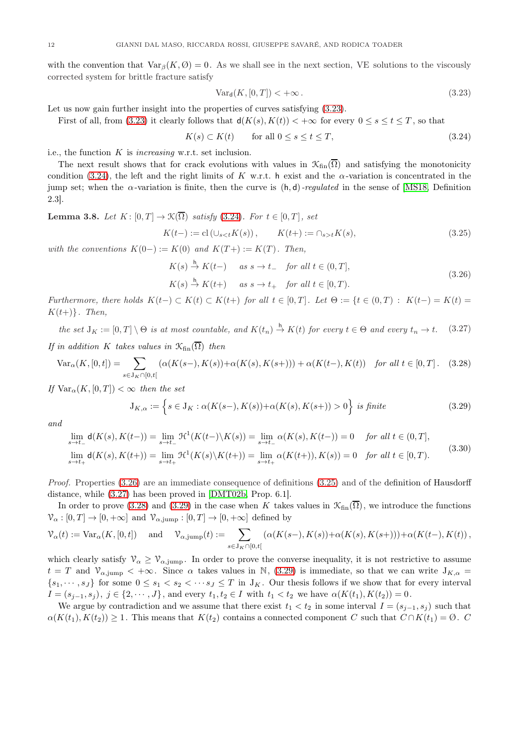with the convention that  $\text{Var}_{\beta}(K, \emptyset) = 0$ . As we shall see in the next section, VE solutions to the viscously corrected system for brittle fracture satisfy

<span id="page-11-0"></span>
$$
\text{Var}_{\mathsf{d}}(K, [0, T]) < +\infty \,. \tag{3.23}
$$

Let us now gain further insight into the properties of curves satisfying  $(3.23)$ .

First of all, from [\(3.23\)](#page-11-0) it clearly follows that  $d(K(s), K(t)) < +\infty$  for every  $0 \le s \le t \le T$ , so that

<span id="page-11-1"></span>
$$
K(s) \subset K(t) \qquad \text{for all } 0 \le s \le t \le T,
$$
\n
$$
(3.24)
$$

i.e., the function  $K$  is *increasing* w.r.t. set inclusion.

The next result shows that for crack evolutions with values in  $\mathcal{K}_{fin}(\overline{\Omega})$  and satisfying the monotonicity condition [\(3.24\)](#page-11-1), the left and the right limits of K w.r.t. h exist and the  $\alpha$ -variation is concentrated in the jump set; when the  $\alpha$ -variation is finite, then the curve is  $(h, d)$ -regulated in the sense of [\[MS18,](#page-31-18) Definition 2.3].

<span id="page-11-8"></span>**Lemma 3.8.** Let 
$$
K: [0, T] \to \mathcal{K}(\overline{\Omega})
$$
 satisfy (3.24). For  $t \in [0, T]$ , set  

$$
K(t-) := \text{cl}(\cup_{st} K(s), \tag{3.25}
$$

with the conventions  $K(0-) := K(0)$  and  $K(T+) := K(T)$ . Then,

<span id="page-11-3"></span><span id="page-11-2"></span>
$$
K(s) \stackrel{h}{\rightarrow} K(t-) \quad \text{as } s \to t_- \quad \text{for all } t \in (0, T],
$$
  

$$
K(s) \stackrel{h}{\rightarrow} K(t+) \quad \text{as } s \to t_+ \quad \text{for all } t \in [0, T).
$$
 (3.26)

Furthermore, there holds  $K(t-)\subset K(t)\subset K(t+)$  for all  $t\in [0,T]$ . Let  $\Theta := \{t\in (0,T) : K(t-) = K(t) =$  $K(t+)$ . Then,

<span id="page-11-4"></span>the set  $J_K := [0,T] \setminus \Theta$  is at most countable, and  $K(t_n) \stackrel{h}{\to} K(t)$  for every  $t \in \Theta$  and every  $t_n \to t$ . (3.27) If in addition K takes values in  $\mathcal{K}_{fin}(\overline{\Omega})$  then

<span id="page-11-5"></span>
$$
\text{Var}_{\alpha}(K, [0, t]) = \sum_{s \in J_K \cap [0, t[} (\alpha(K(s-), K(s)) + \alpha(K(s), K(s+))) + \alpha(K(t-), K(t)) \quad \text{for all } t \in [0, T]. \tag{3.28}
$$

If  $Var_{\alpha}(K, [0, T]) < \infty$  then the set

<span id="page-11-6"></span>
$$
\mathcal{J}_{K,\alpha} := \left\{ s \in \mathcal{J}_K : \alpha(K(s-), K(s)) + \alpha(K(s), K(s+)) > 0 \right\} \text{ is finite}
$$
\n
$$
(3.29)
$$

and

<span id="page-11-7"></span>
$$
\lim_{s \to t_{-}} d(K(s), K(t_{-})) = \lim_{s \to t_{-}} \mathcal{H}^{1}(K(t_{-}) \setminus K(s)) = \lim_{s \to t_{-}} \alpha(K(s), K(t_{-})) = 0 \quad \text{for all } t \in (0, T],
$$
\n
$$
\lim_{s \to t_{+}} d(K(s), K(t_{+})) = \lim_{s \to t_{+}} \mathcal{H}^{1}(K(s) \setminus K(t_{+})) = \lim_{s \to t_{+}} \alpha(K(t_{+})), K(s) = 0 \quad \text{for all } t \in [0, T).
$$
\n(3.30)

Proof. Properties [\(3.26\)](#page-11-2) are an immediate consequence of definitions [\(3.25\)](#page-11-3) and of the definition of Hausdorff distance, while [\(3.27\)](#page-11-4) has been proved in [\[DMT02b,](#page-30-1) Prop. 6.1].

In order to prove [\(3.28\)](#page-11-5) and [\(3.29\)](#page-11-6) in the case when K takes values in  $\mathcal{K}_{fin}(\overline{\Omega})$ , we introduce the functions  $\mathcal{V}_{\alpha} : [0, T] \to [0, +\infty]$  and  $\mathcal{V}_{\alpha, \text{jump}} : [0, T] \to [0, +\infty]$  defined by

$$
\mathcal{V}_\alpha(t):=\text{Var}_\alpha(K,[0,t])\quad\text{ and }\quad\mathcal{V}_{\alpha,\text{jump}}(t):=\sum_{s\in\mathcal{J}_K\cap[0,t[}(\alpha(K(s-),K(s))+\alpha(K(s),K(s+))) + \alpha(K(t-),K(t))\,,
$$

which clearly satisfy  $\mathcal{V}_{\alpha} \geq \mathcal{V}_{\alpha,\text{jump}}$ . In order to prove the converse inequality, it is not restrictive to assume  $t = T$  and  $\mathcal{V}_{\alpha, \text{jump}} < +\infty$ . Since  $\alpha$  takes values in N, [\(3.29\)](#page-11-6) is immediate, so that we can write  $J_{K,\alpha} =$  $\{s_1, \dots, s_J\}$  for some  $0 \le s_1 < s_2 < \dots s_J \le T$  in  $J_K$ . Our thesis follows if we show that for every interval  $I = (s_{j-1}, s_j), j \in \{2, \cdots, J\}$ , and every  $t_1, t_2 \in I$  with  $t_1 < t_2$  we have  $\alpha(K(t_1), K(t_2)) = 0$ .

We argue by contradiction and we assume that there exist  $t_1 < t_2$  in some interval  $I = (s_{i-1}, s_i)$  such that  $\alpha(K(t_1), K(t_2)) \geq 1$ . This means that  $K(t_2)$  contains a connected component C such that  $C \cap K(t_1) = \emptyset$ .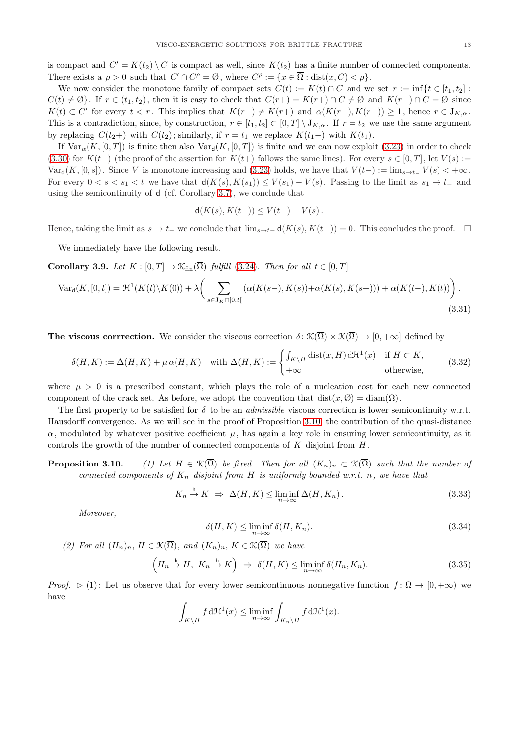is compact and  $C' = K(t_2) \setminus C$  is compact as well, since  $K(t_2)$  has a finite number of connected components. There exists a  $\rho > 0$  such that  $C' \cap C^{\rho} = \emptyset$ , where  $C^{\rho} := \{x \in \overline{\Omega} : \text{dist}(x, C) < \rho\}.$ 

We now consider the monotone family of compact sets  $C(t) := K(t) \cap C$  and we set  $r := \inf\{t \in [t_1, t_2] :$  $C(t) \neq \emptyset$ . If  $r \in (t_1, t_2)$ , then it is easy to check that  $C(r+) = K(r+) \cap C \neq \emptyset$  and  $K(r-) \cap C = \emptyset$  since  $K(t) \subset C'$  for every  $t < r$ . This implies that  $K(r-) \neq K(r+)$  and  $\alpha(K(r-), K(r+)) \geq 1$ , hence  $r \in J_{K,\alpha}$ . This is a contradiction, since, by construction,  $r \in [t_1, t_2] \subset [0, T] \setminus J_{K,\alpha}$ . If  $r = t_2$  we use the same argument by replacing  $C(t_2+)$  with  $C(t_2)$ ; similarly, if  $r = t_1$  we replace  $K(t_1-)$  with  $K(t_1)$ .

If  $\text{Var}_{\alpha}(K, [0, T])$  is finite then also  $\text{Var}_{d}(K, [0, T])$  is finite and we can now exploit [\(3.23\)](#page-11-0) in order to check [\(3.30\)](#page-11-7) for K(t−) (the proof of the assertion for K(t+) follows the same lines). For every  $s \in [0,T]$ , let  $V(s) :=$ Var<sub>d</sub>(K, [0, s]). Since V is monotone increasing and [\(3.23\)](#page-11-0) holds, we have that  $V(t-) := \lim_{s \to t-} V(s) < +\infty$ . For every  $0 < s < s_1 < t$  we have that  $d(K(s), K(s_1)) \leq V(s_1) - V(s)$ . Passing to the limit as  $s_1 \to t_-$  and using the semicontinuity of d (cf. Corollary [3.7\)](#page-10-3), we conclude that

$$
\mathsf{d}(K(s), K(t-)) \le V(t-)-V(s).
$$

Hence, taking the limit as  $s \to t_-\,$  we conclude that  $\lim_{s\to t_-\,} d(K(s), K(t-)) = 0$ . This concludes the proof.  $\Box$ 

We immediately have the following result.

<span id="page-12-4"></span>Corollary 3.9. Let  $K : [0, T] \to \mathcal{K}_{fin}(\overline{\Omega})$  fulfill [\(3.24\)](#page-11-1). Then for all  $t \in [0, T]$ 

$$
\text{Var}_{\mathbf{d}}(K, [0, t]) = \mathcal{H}^{1}(K(t)\backslash K(0)) + \lambda \bigg(\sum_{s \in J_{K} \cap [0, t[} (\alpha(K(s-), K(s)) + \alpha(K(s), K(s+))) + \alpha(K(t-), K(t))\bigg). \tag{3.31}
$$

The viscous corrrection. We consider the viscous correction  $\delta: \mathcal{K}(\overline{\Omega}) \times \mathcal{K}(\overline{\Omega}) \to [0, +\infty]$  defined by

<span id="page-12-0"></span>
$$
\delta(H,K) := \Delta(H,K) + \mu \alpha(H,K) \quad \text{with } \Delta(H,K) := \begin{cases} \int_{K \backslash H} \text{dist}(x,H) \, d\mathcal{H}^1(x) & \text{if } H \subset K, \\ +\infty & \text{otherwise,} \end{cases} \tag{3.32}
$$

where  $\mu > 0$  is a prescribed constant, which plays the role of a nucleation cost for each new connected component of the crack set. As before, we adopt the convention that  $dist(x, \emptyset) = diam(\Omega)$ .

The first property to be satisfied for  $\delta$  to be an *admissible* viscous correction is lower semicontinuity w.r.t. Hausdorff convergence. As we will see in the proof of Proposition 3.10, the contribution of the quasi-distance  $\alpha$ , modulated by whatever positive coefficient  $\mu$ , has again a key role in ensuring lower semicontinuity, as it controls the growth of the number of connected components of  $K$  disjoint from  $H$ .

**Proposition 3.10.** (1) Let  $H \in \mathcal{K}(\overline{\Omega})$  be fixed. Then for all  $(K_n)_n \subset \mathcal{K}(\overline{\Omega})$  such that the number of connected components of  $K_n$  disjoint from H is uniformly bounded w.r.t. n, we have that

<span id="page-12-1"></span>
$$
K_n \stackrel{h}{\to} K \implies \Delta(H, K) \le \liminf_{n \to \infty} \Delta(H, K_n). \tag{3.33}
$$

Moreover,

<span id="page-12-2"></span>
$$
\delta(H, K) \le \liminf_{n \to \infty} \delta(H, K_n). \tag{3.34}
$$

(2) For all  $(H_n)_n$ ,  $H \in \mathcal{K}(\overline{\Omega})$ , and  $(K_n)_n$ ,  $K \in \mathcal{K}(\overline{\Omega})$  we have

<span id="page-12-3"></span>
$$
\left(H_n \stackrel{\mathsf{h}}{\to} H, \ K_n \stackrel{\mathsf{h}}{\to} K\right) \Rightarrow \ \delta(H, K) \le \liminf_{n \to \infty} \delta(H_n, K_n). \tag{3.35}
$$

*Proof.*  $\triangleright$  (1): Let us observe that for every lower semicontinuous nonnegative function  $f: \Omega \to [0, +\infty)$  we have

$$
\int_{K\backslash H} f \,d\mathcal{H}^1(x) \le \liminf_{n\to\infty} \int_{K_n\backslash H} f \,d\mathcal{H}^1(x).
$$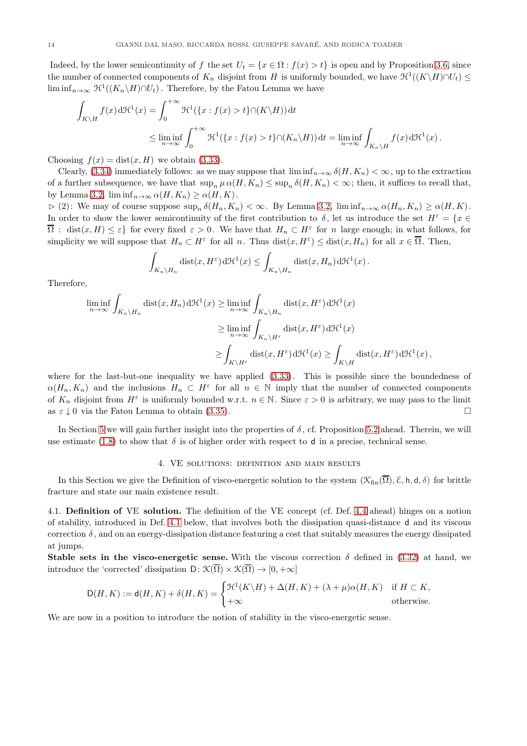Indeed, by the lower semicontinuity of f the set  $U_t = \{x \in \Omega : f(x) > t\}$  is open and by Proposition [3.6,](#page-8-0) since the number of connected components of  $K_n$  disjoint from H is uniformly bounded, we have  $\mathcal{H}^1((K\backslash H)\cap U_t) \leq$  $\liminf_{n\to\infty} \mathfrak{H}^1((K_n\backslash H)\cap U_t)$ . Therefore, by the Fatou Lemma we have

$$
\int_{K\backslash H} f(x) d\mathcal{H}^{1}(x) = \int_{0}^{+\infty} \mathcal{H}^{1}(\{x : f(x) > t\} \cap (K\backslash H)) dt
$$
\n
$$
\leq \liminf_{n \to \infty} \int_{0}^{+\infty} \mathcal{H}^{1}(\{x : f(x) > t\} \cap (K_{n} \backslash H)) dt = \liminf_{n \to \infty} \int_{K_{n} \backslash H} f(x) d\mathcal{H}^{1}(x).
$$

Choosing  $f(x) = dist(x, H)$  we obtain [\(3.33\)](#page-12-1).

Clearly, [\(3.34\)](#page-12-2) immediately follows: as we may suppose that  $\liminf_{n\to\infty} \delta(H, K_n) < \infty$ , up to the extraction of a further subsequence, we have that  $\sup_n \mu \alpha(H, K_n) \leq \sup_n \delta(H, K_n) < \infty$ ; then, it suffices to recall that, by Lemma [3.2,](#page-7-3)  $\liminf_{n\to\infty} \alpha(H, K_n) \geq \alpha(H, K)$ .

 $\triangleright$  (2): We may of course suppose  $\sup_n \delta(H_n, K_n) < \infty$ . By Lemma [3.2,](#page-7-3)  $\liminf_{n\to\infty} \alpha(H_n, K_n) \geq \alpha(H, K)$ . In order to show the lower semicontinuity of the first contribution to  $\delta$ , let us introduce the set  $H^{\varepsilon} = \{x \in$  $\overline{\Omega}$ : dist $(x, H) \leq \varepsilon$  for every fixed  $\varepsilon > 0$ . We have that  $H_n \subset H^{\varepsilon}$  for n large enough; in what follows, for simplicity we will suppose that  $H_n \subset H^{\varepsilon}$  for all n. Thus  $dist(x, H^{\varepsilon}) \leq dist(x, H_n)$  for all  $x \in \overline{\Omega}$ . Then,

$$
\int_{K_n \backslash H_n} \text{dist}(x, H^{\varepsilon}) d\mathcal{H}^1(x) \leq \int_{K_n \backslash H_n} \text{dist}(x, H_n) d\mathcal{H}^1(x).
$$

Therefore,

$$
\liminf_{n \to \infty} \int_{K_n \backslash H_n} \text{dist}(x, H_n) d\mathcal{H}^1(x) \ge \liminf_{n \to \infty} \int_{K_n \backslash H_n} \text{dist}(x, H^{\varepsilon}) d\mathcal{H}^1(x)
$$
\n
$$
\ge \liminf_{n \to \infty} \int_{K_n \backslash H^{\varepsilon}} \text{dist}(x, H^{\varepsilon}) d\mathcal{H}^1(x)
$$
\n
$$
\ge \int_{K \backslash H^{\varepsilon}} \text{dist}(x, H^{\varepsilon}) d\mathcal{H}^1(x) \ge \int_{K \backslash H} \text{dist}(x, H^{\varepsilon}) d\mathcal{H}^1(x),
$$

where for the last-but-one inequality we have applied [\(3.33\)](#page-12-1). This is possible since the boundedness of  $\alpha(H_n, K_n)$  and the inclusions  $H_n \subset H^{\varepsilon}$  for all  $n \in \mathbb{N}$  imply that the number of connected components of  $K_n$  disjoint from  $H^{\varepsilon}$  is uniformly bounded w.r.t.  $n \in \mathbb{N}$ . Since  $\varepsilon > 0$  is arbitrary, we may pass to the limit as  $\varepsilon \downarrow 0$  via the Fatou Lemma to obtain [\(3.35\)](#page-12-3).

<span id="page-13-0"></span>In Section [5](#page-19-0) we will gain further insight into the properties of  $\delta$ , cf. Proposition [5.2](#page-20-0) ahead. Therein, we will use estimate [\(1.8\)](#page-3-3) to show that  $\delta$  is of higher order with respect to d in a precise, technical sense.

## 4. VE solutions: definition and main results

In this Section we give the Definition of visco-energetic solution to the system  $(\mathcal{K}_{fin}(\overline{\Omega}), \mathcal{E}, h, d, \delta)$  for brittle fracture and state our main existence result.

<span id="page-13-1"></span>4.1. Definition of VE solution. The definition of the VE concept (cf. Def. [4.4](#page-15-0) ahead) hinges on a notion of stability, introduced in Def. [4.1](#page-14-0) below, that involves both the dissipation quasi-distance d and its viscous correction  $\delta$ , and on an energy-dissipation distance featuring a cost that suitably measures the energy dissipated at jumps.

Stable sets in the visco-energetic sense. With the viscous correction  $\delta$  defined in [\(3.32\)](#page-12-0) at hand, we introduce the 'corrected' dissipation  $D: \mathcal{K}(\overline{\Omega}) \times \mathcal{K}(\overline{\Omega}) \to [0, +\infty]$ 

$$
\mathsf D(H,K) := \mathsf d(H,K) + \delta(H,K) = \begin{cases} \mathcal H^1(K\backslash H) + \Delta(H,K) + (\lambda + \mu) \alpha(H,K) & \text{if } H \subset K, \\ +\infty & \text{otherwise.} \end{cases}
$$

We are now in a position to introduce the notion of stability in the visco-energetic sense.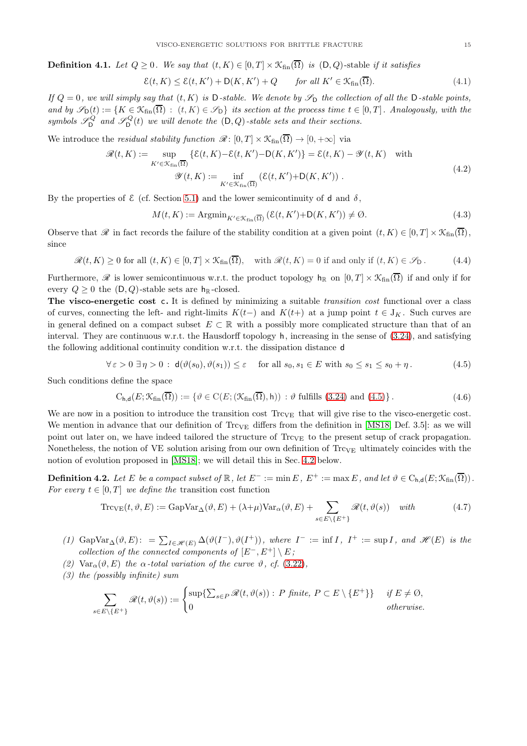<span id="page-14-0"></span>**Definition 4.1.** Let  $Q > 0$ . We say that  $(t, K) \in [0, T] \times \mathcal{K}_{fin}(\overline{\Omega})$  is  $(D, Q)$ -stable if it satisfies

<span id="page-14-3"></span>
$$
\mathcal{E}(t, K) \le \mathcal{E}(t, K') + \mathsf{D}(K, K') + Q \qquad \text{for all } K' \in \mathcal{K}_{\text{fin}}(\overline{\Omega}). \tag{4.1}
$$

If  $Q = 0$ , we will simply say that  $(t, K)$  is D-stable. We denote by  $\mathscr{S}_{D}$  the collection of all the D-stable points, and by  $\mathscr{S}_{\mathsf{D}}(t) := \{K \in \mathfrak{K}_{\text{fin}}(\overline{\Omega}) : (t, K) \in \mathscr{S}_{\mathsf{D}}\}$  its section at the process time  $t \in [0, T]$ . Analogously, with the symbols  $\mathscr{S}_{\mathsf{D}}^Q$  and  $\mathscr{S}_{\mathsf{D}}^Q(t)$  we will denote the  $(\mathsf{D}, Q)$ -stable sets and their sections.

We introduce the *residual stability function*  $\mathcal{R}: [0, T] \times \mathcal{K}_{fin}(\overline{\Omega}) \to [0, +\infty]$  via

$$
\mathcal{R}(t,K) := \sup_{K' \in \mathcal{K}_{fin}(\overline{\Omega})} \{ \mathcal{E}(t,K) - \mathcal{E}(t,K') - \mathcal{D}(K,K') \} = \mathcal{E}(t,K) - \mathcal{Y}(t,K) \quad \text{with}
$$
\n
$$
\mathcal{Y}(t,K) := \inf_{K' \in \mathcal{K}_{fin}(\overline{\Omega})} (\mathcal{E}(t,K') + \mathcal{D}(K,K')) \ . \tag{4.2}
$$

By the properties of  $\mathcal E$  (cf. Section [5.1\)](#page-19-2) and the lower semicontinuity of d and  $\delta$ ,

$$
M(t,K) := \operatorname{Argmin}_{K' \in \mathcal{K}_{fin}(\overline{\Omega})} \left( \mathcal{E}(t,K') + \mathsf{D}(K,K') \right) \neq \emptyset. \tag{4.3}
$$

Observe that R in fact records the failure of the stability condition at a given point  $(t, K) \in [0, T] \times \mathcal{K}_{fin}(\overline{\Omega})$ , since

$$
\mathcal{R}(t,K) \ge 0 \text{ for all } (t,K) \in [0,T] \times \mathcal{K}_{\text{fin}}(\overline{\Omega}), \quad \text{with } \mathcal{R}(t,K) = 0 \text{ if and only if } (t,K) \in \mathcal{S}_{\mathsf{D}}.
$$
 (4.4)

Furthermore,  $\mathscr R$  is lower semicontinuous w.r.t. the product topology  $h_{\mathbb R}$  on  $[0, T] \times \mathcal K_{fin}(\overline{\Omega})$  if and only if for every  $Q \geq 0$  the  $(D, Q)$ -stable sets are  $h_{\mathbb{R}}$ -closed.

The visco-energetic cost c. It is defined by minimizing a suitable *transition cost* functional over a class of curves, connecting the left- and right-limits  $K(t-)$  and  $K(t+)$  at a jump point  $t \in J_K$ . Such curves are in general defined on a compact subset  $E \subset \mathbb{R}$  with a possibly more complicated structure than that of an interval. They are continuous w.r.t. the Hausdorff topology h, increasing in the sense of [\(3.24\)](#page-11-1), and satisfying the following additional continuity condition w.r.t. the dissipation distance d

<span id="page-14-1"></span>
$$
\forall \varepsilon > 0 \,\,\exists \,\eta > 0 \,:\,\,\mathsf{d}(\vartheta(s_0), \vartheta(s_1)) \le \varepsilon \quad \text{ for all } s_0, s_1 \in E \text{ with } s_0 \le s_1 \le s_0 + \eta \,. \tag{4.5}
$$

Such conditions define the space

$$
C_{h,d}(E; \mathcal{K}_{fin}(\overline{\Omega})) := \{ \vartheta \in C(E; (\mathcal{K}_{fin}(\overline{\Omega}), h)) : \vartheta \text{ fulfills } (3.24) \text{ and } (4.5) \}. \tag{4.6}
$$

We are now in a position to introduce the transition cost  $T_{\text{rCVE}}$  that will give rise to the visco-energetic cost. We mention in advance that our definition of  $T_{\text{CVE}}$  differs from the definition in [\[MS18,](#page-31-18) Def. 3.5]: as we will point out later on, we have indeed tailored the structure of  $T_{\text{rcVE}}$  to the present setup of crack propagation. Nonetheless, the notion of VE solution arising from our own definition of  $Trc_{VE}$  ultimately coincides with the notion of evolution proposed in [\[MS18\]](#page-31-18); we will detail this in Sec. [4.2](#page-16-0) below.

**Definition 4.2.** Let E be a compact subset of  $\mathbb{R}$ , let  $E^- := \min E$ ,  $E^+ := \max E$ , and let  $\vartheta \in C_{h,d}(E; \mathcal{K}_{fin}(\overline{\Omega}))$ . For every  $t \in [0, T]$  we define the transition cost function

<span id="page-14-2"></span>
$$
\operatorname{Trc}_{\operatorname{VE}}(t,\vartheta,E) := \operatorname{GapVar}_{\Delta}(\vartheta,E) + (\lambda + \mu) \operatorname{Var}_{\alpha}(\vartheta,E) + \sum_{s \in E \setminus \{E^+\}} \mathcal{R}(t,\vartheta(s)) \quad \text{with} \tag{4.7}
$$

- (1)  $\text{GapVar}_{\Delta}(\vartheta, E)$ : =  $\sum_{I \in \mathscr{H}(E)} \Delta(\vartheta(I^{-}), \vartheta(I^{+}))$ , where  $I^{-} := \inf I$ ,  $I^{+} := \sup I$ , and  $\mathscr{H}(E)$  is the collection of the connected components of  $[E^-, E^+] \setminus E$ ;
- (2)  $\text{Var}_{\alpha}(\vartheta, E)$  the  $\alpha$ -total variation of the curve  $\vartheta$ , cf. [\(3.22\)](#page-10-4),
- (3) the (possibly infinite) sum

$$
\sum_{s \in E \setminus \{E^+\}} \mathscr{R}(t, \vartheta(s)) := \begin{cases} \sup \{ \sum_{s \in P} \mathscr{R}(t, \vartheta(s)) : P \text{ finite, } P \subset E \setminus \{E^+\} \} & \text{ if } E \neq \emptyset, \\ 0 & \text{ otherwise.} \end{cases}
$$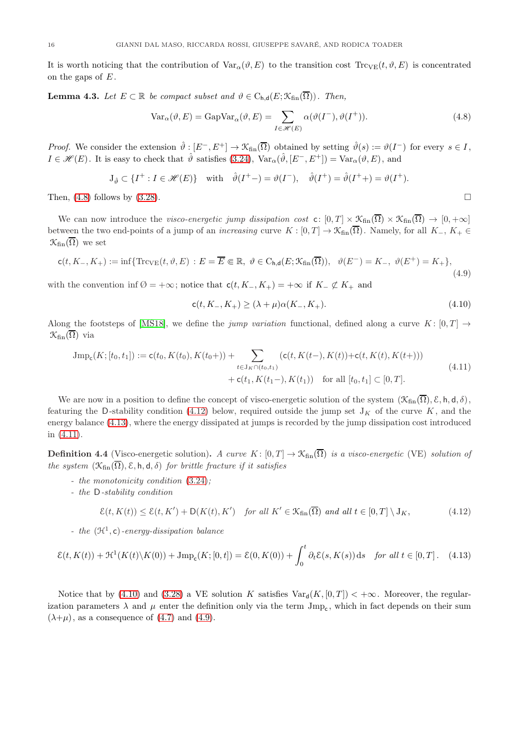It is worth noticing that the contribution of  $Var_{\alpha}(\vartheta, E)$  to the transition cost  $T_{\text{rCE}}(t, \vartheta, E)$  is concentrated on the gaps of  $E$ .

<span id="page-15-7"></span>**Lemma 4.3.** Let  $E \subset \mathbb{R}$  be compact subset and  $\vartheta \in C_{h,d}(E; \mathcal{K}_{fin}(\overline{\Omega}))$ . Then,

<span id="page-15-1"></span>
$$
Var_{\alpha}(\vartheta, E) = GapVar_{\alpha}(\vartheta, E) = \sum_{I \in \mathcal{H}(E)} \alpha(\vartheta(I^{-}), \vartheta(I^{+})).
$$
\n(4.8)

*Proof.* We consider the extension  $\hat{\theta}: [E^-, E^+] \to \mathcal{K}_{fin}(\overline{\Omega})$  obtained by setting  $\hat{\theta}(s) := \theta(I^-)$  for every  $s \in I$ ,  $I \in \mathscr{H}(E)$ . It is easy to check that  $\hat{\theta}$  satisfies [\(3.24\)](#page-11-1),  $Var_{\alpha}(\hat{\theta}, [E^-, E^+]) = Var_{\alpha}(\theta, E)$ , and

$$
\mathcal{J}_{\hat{\vartheta}} \subset \{I^+ : I \in \mathcal{H}(E)\} \quad \text{with} \quad \hat{\vartheta}(I^+ -) = \vartheta(I^-), \quad \hat{\vartheta}(I^+) = \hat{\vartheta}(I^+) = \vartheta(I^+).
$$

Then,  $(4.8)$  follows by  $(3.28)$ .

We can now introduce the visco-energetic jump dissipation cost c:  $[0,T] \times \mathcal{K}_{fin}(\overline{\Omega}) \times \mathcal{K}_{fin}(\overline{\Omega}) \to [0,+\infty]$ between the two end-points of a jump of an *increasing* curve  $K : [0, T] \to \mathcal{K}_{fin}(\overline{\Omega})$ . Namely, for all  $K_-, K_+ \in$  $\mathcal{K}_{fin}(\overline{\Omega})$  we set

<span id="page-15-6"></span>
$$
\mathsf{c}(t, K_-, K_+) := \inf \{ \mathrm{Trc}_{\mathrm{VE}}(t, \vartheta, E) : E = \overline{E} \Subset \mathbb{R}, \ \vartheta \in \mathrm{C}_{\mathsf{h,d}}(E; \mathcal{K}_{\mathrm{fin}}(\overline{\Omega})), \ \ \vartheta(E^-) = K_-, \ \vartheta(E^+) = K_+ \},\tag{4.9}
$$

with the convention inf  $\emptyset = +\infty$ ; notice that  $\mathsf{c}(t, K_-, K_+) = +\infty$  if  $K_-\not\subset K_+$  and

<span id="page-15-5"></span>
$$
c(t, K_-, K_+) \ge (\lambda + \mu)\alpha(K_-, K_+).
$$
\n(4.10)

Along the footsteps of [\[MS18\]](#page-31-18), we define the jump variation functional, defined along a curve K:  $[0, T] \rightarrow$  $\mathcal{K}_{fin}(\overline{\Omega})$  via

<span id="page-15-4"></span>
$$
Jmp_c(K; [t_0, t_1]) := c(t_0, K(t_0), K(t_0+)) + \sum_{t \in J_K \cap (t_0, t_1)} (c(t, K(t-), K(t)) + c(t, K(t), K(t+)))
$$
  
+ 
$$
c(t_1, K(t_1-), K(t_1)) \text{ for all } [t_0, t_1] \subset [0, T].
$$
\n
$$
(4.11)
$$

We are now in a position to define the concept of visco-energetic solution of the system  $(\mathcal{K}_{fin}(\overline{\Omega}), \mathcal{E}, h, d, \delta)$ , featuring the D-stability condition [\(4.12\)](#page-15-2) below, required outside the jump set  $J_K$  of the curve  $K$ , and the energy balance [\(4.13\)](#page-15-3), where the energy dissipated at jumps is recorded by the jump dissipation cost introduced in [\(4.11\)](#page-15-4).

<span id="page-15-0"></span>**Definition 4.4** (Visco-energetic solution). A curve K:  $[0, T] \rightarrow \mathcal{K}_{fin}(\overline{\Omega})$  is a visco-energetic (VE) solution of the system  $(\mathfrak{K}_{fin}(\overline{\Omega}), \mathcal{E}, \mathsf{h}, \mathsf{d}, \delta)$  for brittle fracture if it satisfies

- the monotonicity condition [\(3.24\)](#page-11-1);
- the D-stability condition

<span id="page-15-2"></span>
$$
\mathcal{E}(t, K(t)) \le \mathcal{E}(t, K') + \mathcal{D}(K(t), K') \quad \text{for all } K' \in \mathcal{K}_{fin}(\overline{\Omega}) \text{ and all } t \in [0, T] \setminus J_K,
$$
\n
$$
(4.12)
$$

- the  $(\mathcal{H}^1, c)$ -energy-dissipation balance

<span id="page-15-3"></span>
$$
\mathcal{E}(t, K(t)) + \mathcal{H}^1(K(t)\backslash K(0)) + \text{Jmp}_c(K; [0, t]) = \mathcal{E}(0, K(0)) + \int_0^t \partial_t \mathcal{E}(s, K(s)) ds \quad \text{for all } t \in [0, T]. \tag{4.13}
$$

Notice that by [\(4.10\)](#page-15-5) and [\(3.28\)](#page-11-5) a VE solution K satisfies  $Var_d(K, [0, T]) < +\infty$ . Moreover, the regularization parameters  $\lambda$  and  $\mu$  enter the definition only via the term  $\text{Jmp}_{\text{c}}$ , which in fact depends on their sum  $(\lambda+\mu)$ , as a consequence of [\(4.7\)](#page-14-2) and [\(4.9\)](#page-15-6).

$$
\Box
$$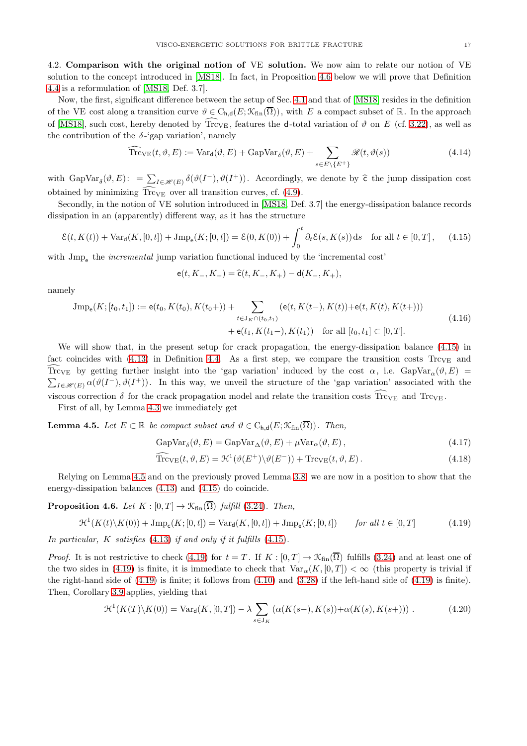<span id="page-16-0"></span>4.2. Comparison with the original notion of VE solution. We now aim to relate our notion of VE solution to the concept introduced in [\[MS18\]](#page-31-18). In fact, in Proposition [4.6](#page-16-1) below we will prove that Definition [4.4](#page-15-0) is a reformulation of [\[MS18,](#page-31-18) Def. 3.7].

Now, the first, significant difference between the setup of Sec. [4.1](#page-13-1) and that of [\[MS18\]](#page-31-18) resides in the definition of the VE cost along a transition curve  $\vartheta \in C_{h,d}(E; \mathcal{K}_{fin}(\overline{\Omega}))$ , with E a compact subset of R. In the approach of [\[MS18\]](#page-31-18), such cost, hereby denoted by  $\widehat{Tr}_{V}$ , features the d-total variation of  $\vartheta$  on E (cf. [3.22\)](#page-10-4), as well as the contribution of the  $\delta$ -'gap variation', namely

$$
\widehat{\text{Trc}}_{\text{VE}}(t, \vartheta, E) := \text{Var}_{\mathbf{d}}(\vartheta, E) + \text{GapVar}_{\delta}(\vartheta, E) + \sum_{s \in E \setminus \{E^+\}} \mathcal{R}(t, \vartheta(s)) \tag{4.14}
$$

with  $\text{GapVar}_{\delta}(\vartheta, E) := \sum_{I \in \mathscr{H}(E)} \delta(\vartheta(I^{-}), \vartheta(I^{+}))$ . Accordingly, we denote by  $\hat{\epsilon}$  the jump dissipation cost obtained by minimizing  $\widehat{Tr}_{V_{E}}$  over all transition curves, cf. [\(4.9\)](#page-15-6).

Secondly, in the notion of VE solution introduced in [\[MS18,](#page-31-18) Def. 3.7] the energy-dissipation balance records dissipation in an (apparently) different way, as it has the structure

<span id="page-16-2"></span>
$$
\mathcal{E}(t, K(t)) + \text{Var}_{d}(K, [0, t]) + \text{Jmp}_{e}(K; [0, t]) = \mathcal{E}(0, K(0)) + \int_{0}^{t} \partial_{t} \mathcal{E}(s, K(s)) ds \quad \text{for all } t \in [0, T], \tag{4.15}
$$

with  $\text{Jmp}_e$  the *incremental* jump variation functional induced by the 'incremental cost'

$$
\mathsf{e}(t,K_-,K_+) = \widehat{\mathsf{c}}(t,K_-,K_+) - \mathsf{d}(K_-,K_+),
$$

namely

$$
\begin{split} \text{Jmp}_{\mathbf{e}}(K; [t_0, t_1]) &:= \mathbf{e}(t_0, K(t_0), K(t_0+)) + \sum_{t \in \mathcal{J}_K \cap (t_0, t_1)} (\mathbf{e}(t, K(t-), K(t)) + \mathbf{e}(t, K(t), K(t+))) \\ &+ \mathbf{e}(t_1, K(t_1-), K(t_1)) \quad \text{for all } [t_0, t_1] \subset [0, T]. \end{split} \tag{4.16}
$$

We will show that, in the present setup for crack propagation, the energy-dissipation balance [\(4.15\)](#page-16-2) in fact coincides with  $(4.13)$  in Definition [4.4.](#page-15-0) As a first step, we compare the transition costs Trc<sub>VE</sub> and Trc<sub>VE</sub> by getting further insight into the 'gap variation' induced by the cost  $\alpha$ , i.e. GapVar<sub>α</sub>( $\vartheta$ , E) =  $\sum_{I \in \mathscr{H}(E)} \alpha(\vartheta(I^{-}), \vartheta(I^{+}))$ . In this way, we unveil the structure of the 'gap variation' associated with the viscous correction  $\delta$  for the crack propagation model and relate the transition costs  $\widehat{Tr}_{V}\widehat{E}$  and  $Tr_{V}\widehat{E}$ .

First of all, by Lemma [4.3](#page-15-7) we immediately get

<span id="page-16-3"></span>**Lemma 4.5.** Let  $E \subset \mathbb{R}$  be compact subset and  $\vartheta \in C_{h,d}(E; \mathcal{K}_{fin}(\overline{\Omega}))$ . Then,

$$
GapVar_{\delta}(\vartheta, E) = GapVar_{\Delta}(\vartheta, E) + \mu Var_{\alpha}(\vartheta, E), \qquad (4.17)
$$

<span id="page-16-5"></span>
$$
\widehat{\text{Trc}}_{\text{VE}}(t,\vartheta,E) = \mathcal{H}^1(\vartheta(E^+) \setminus \vartheta(E^-)) + \text{Trc}_{\text{VE}}(t,\vartheta,E). \tag{4.18}
$$

Relying on Lemma [4.5](#page-16-3) and on the previously proved Lemma [3.8,](#page-11-8) we are now in a position to show that the energy-dissipation balances [\(4.13\)](#page-15-3) and [\(4.15\)](#page-16-2) do coincide.

<span id="page-16-1"></span>**Proposition 4.6.** Let  $K : [0, T] \rightarrow \mathcal{K}_{fin}(\overline{\Omega})$  fulfill [\(3.24\)](#page-11-1). Then,

<span id="page-16-4"></span>
$$
\mathcal{H}^{1}(K(t)\backslash K(0)) + \text{Jmp}_{c}(K;[0,t]) = \text{Var}_{d}(K,[0,t]) + \text{Jmp}_{e}(K;[0,t]) \qquad \text{for all } t \in [0,T] \tag{4.19}
$$

In particular,  $K$  satisfies  $(4.13)$  if and only if it fulfills  $(4.15)$ .

*Proof.* It is not restrictive to check [\(4.19\)](#page-16-4) for  $t = T$ . If  $K : [0, T] \to \mathcal{K}_{fin}(\overline{\Omega})$  fulfills [\(3.24\)](#page-11-1) and at least one of the two sides in [\(4.19\)](#page-16-4) is finite, it is immediate to check that  $\text{Var}_{\alpha}(K, [0, T]) < \infty$  (this property is trivial if the right-hand side of  $(4.19)$  is finite; it follows from  $(4.10)$  and  $(3.28)$  if the left-hand side of  $(4.19)$  is finite). Then, Corollary [3.9](#page-12-4) applies, yielding that

<span id="page-16-6"></span>
$$
\mathcal{H}^1(K(T)\backslash K(0)) = \text{Var}_{\mathbf{d}}(K, [0, T]) - \lambda \sum_{s \in J_K} (\alpha(K(s-), K(s)) + \alpha(K(s), K(s+))) \tag{4.20}
$$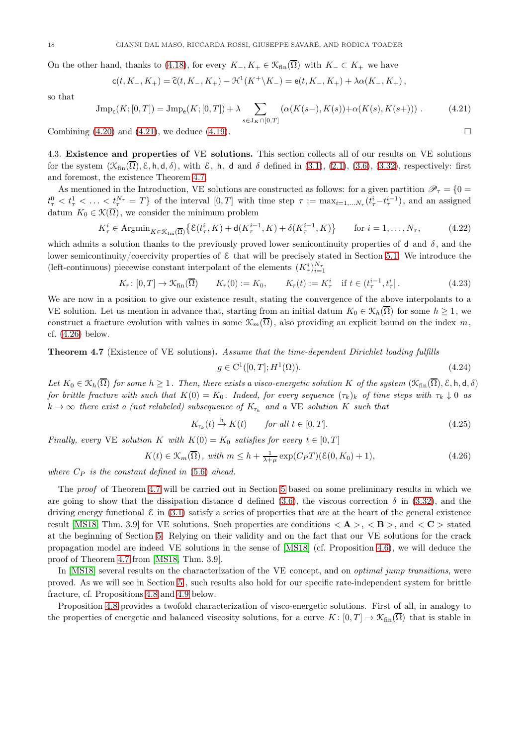On the other hand, thanks to [\(4.18\)](#page-16-5), for every  $K_-, K_+ \in \mathcal{K}_{fin}(\overline{\Omega})$  with  $K_- \subset K_+$  we have

$$
c(t, K_-, K_+) = \widehat{c}(t, K_-, K_+) - \mathcal{H}^1(K^+\backslash K_-) = e(t, K_-, K_+) + \lambda \alpha(K_-, K_+),
$$

so that

<span id="page-17-1"></span>
$$
\text{Jmp}_{\mathbf{c}}(K;[0,T]) = \text{Jmp}_{\mathbf{e}}(K;[0,T]) + \lambda \sum_{s \in \mathcal{J}_K \cap [0,T]} (\alpha(K(s-), K(s)) + \alpha(K(s), K(s+))) \tag{4.21}
$$

Combining  $(4.20)$  and  $(4.21)$ , we deduce  $(4.19)$ .

4.3. Existence and properties of VE solutions. This section collects all of our results on VE solutions for the system  $(\mathcal{K}_{fin}(\overline{\Omega}), \mathcal{E}, h, d, \delta)$ , with  $\mathcal{E}, h, d$  and  $\delta$  defined in [\(3.1\)](#page-6-2), [\(2.1\)](#page-5-2), [\(3.6\)](#page-8-1), [\(3.32\)](#page-12-0), respectively: first and foremost, the existence Theorem [4.7.](#page-17-0)

As mentioned in the Introduction, VE solutions are constructed as follows: for a given partition  $\mathscr{P}_{\tau} = \{0 =$  $t^0_\tau < t^1_\tau < \ldots < t^{N_\tau}_\tau = T$  of the interval  $[0,T]$  with time step  $\tau := \max_{i=1,\ldots,N_\tau} (t^i_\tau - t^{i-1}_\tau)$ , and an assigned datum  $K_0 \in \mathcal{K}(\overline{\Omega})$ , we consider the minimum problem

$$
K_{\tau}^{i} \in \operatorname{Argmin}_{K \in \mathcal{K}_{\text{fin}}(\overline{\Omega})} \left\{ \mathcal{E}(t_{\tau}^{i}, K) + \mathsf{d}(K_{\tau}^{i-1}, K) + \delta(K_{\tau}^{i-1}, K) \right\} \qquad \text{for } i = 1, \dots, N_{\tau}, \tag{4.22}
$$

which admits a solution thanks to the previously proved lower semicontinuity properties of d and  $\delta$ , and the lower semicontinuity/coercivity properties of  $\mathcal E$  that will be precisely stated in Section [5.1.](#page-19-2) We introduce the (left-continuous) piecewise constant interpolant of the elements  $(K^i_\tau)_{i=1}^{N_\tau}$ 

$$
K_{\tau}: [0, T] \to \mathcal{K}_{\text{fin}}(\overline{\Omega}) \qquad K_{\tau}(0) := K_0, \qquad K_{\tau}(t) := K_{\tau}^i \quad \text{if } t \in (t_{\tau}^{i-1}, t_{\tau}^i]. \tag{4.23}
$$

We are now in a position to give our existence result, stating the convergence of the above interpolants to a VE solution. Let us mention in advance that, starting from an initial datum  $K_0 \in \mathcal{K}_h(\overline{\Omega})$  for some  $h \geq 1$ , we construct a fracture evolution with values in some  $\mathcal{K}_m(\overline{\Omega})$ , also providing an explicit bound on the index m, cf. [\(4.26\)](#page-17-2) below.

<span id="page-17-0"></span>Theorem 4.7 (Existence of VE solutions). Assume that the time-dependent Dirichlet loading fulfills

$$
g \in C^1([0, T]; H^1(\Omega)).
$$
\n(4.24)

Let  $K_0 \in \mathcal{K}_h(\overline{\Omega})$  for some  $h \geq 1$ . Then, there exists a visco-energetic solution K of the system  $(\mathcal{K}_{fin}(\overline{\Omega}), \mathcal{E}, h, d, \delta)$ for brittle fracture with such that  $K(0) = K_0$ . Indeed, for every sequence  $(\tau_k)_k$  of time steps with  $\tau_k \downarrow 0$  as  $k \to \infty$  there exist a (not relabeled) subsequence of  $K_{\tau_k}$  and a VE solution K such that

$$
K_{\tau_k}(t) \stackrel{\mathsf{h}}{\to} K(t) \qquad \text{for all } t \in [0, T]. \tag{4.25}
$$

Finally, every VE solution K with  $K(0) = K_0$  satisfies for every  $t \in [0, T]$ 

<span id="page-17-2"></span>
$$
K(t) \in \mathcal{K}_m(\overline{\Omega}), \text{ with } m \le h + \frac{1}{\lambda + \mu} \exp(C_P T)(\mathcal{E}(0, K_0) + 1), \tag{4.26}
$$

where  $C_P$  is the constant defined in  $(5.6)$  ahead.

The proof of Theorem [4.7](#page-17-0) will be carried out in Section [5](#page-19-0) based on some preliminary results in which we are going to show that the dissipation distance d defined [\(3.6\)](#page-8-1), the viscous correction  $\delta$  in [\(3.32\)](#page-12-0), and the driving energy functional  $\mathcal E$  in [\(3.1\)](#page-6-2) satisfy a series of properties that are at the heart of the general existence result [\[MS18,](#page-31-18) Thm. 3.9] for VE solutions. Such properties are conditions  $\langle \mathbf{A} \rangle$ ,  $\langle \mathbf{B} \rangle$ , and  $\langle \mathbf{C} \rangle$  stated at the beginning of Section [5.](#page-19-0) Relying on their validity and on the fact that our VE solutions for the crack propagation model are indeed VE solutions in the sense of [\[MS18\]](#page-31-18) (cf. Proposition [4.6\)](#page-16-1), we will deduce the proof of Theorem [4.7](#page-17-0) from [\[MS18,](#page-31-18) Thm. 3.9].

In [\[MS18\]](#page-31-18) several results on the characterization of the VE concept, and on *optimal jump transitions*, were proved. As we will see in Section [5](#page-19-0) , such results also hold for our specific rate-independent system for brittle fracture, cf. Propositions [4.8](#page-18-0) and [4.9](#page-18-1) below.

Proposition [4.8](#page-18-0) provides a twofold characterization of visco-energetic solutions. First of all, in analogy to the properties of energetic and balanced viscosity solutions, for a curve  $K : [0, T] \to \mathcal{K}_{fin}(\overline{\Omega})$  that is stable in

$$
\Box
$$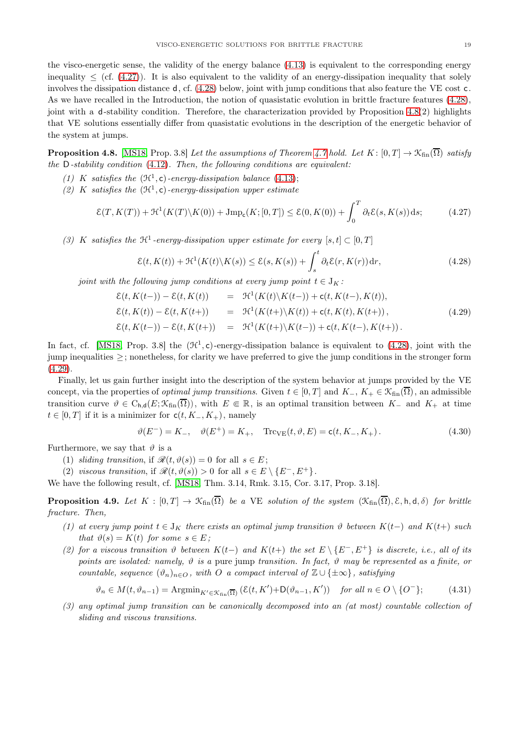the visco-energetic sense, the validity of the energy balance [\(4.13\)](#page-15-3) is equivalent to the corresponding energy inequality  $\leq$  (cf. [\(4.27\)](#page-18-2)). It is also equivalent to the validity of an energy-dissipation inequality that solely involves the dissipation distance d, cf. [\(4.28\)](#page-18-3) below, joint with jump conditions that also feature the VE cost c. As we have recalled in the Introduction, the notion of quasistatic evolution in brittle fracture features [\(4.28\)](#page-18-3), joint with a d-stability condition. Therefore, the characterization provided by Proposition [4.8\(](#page-18-0)2) highlights that VE solutions essentially differ from quasistatic evolutions in the description of the energetic behavior of the system at jumps.

<span id="page-18-0"></span>**Proposition 4.8.** [\[MS18,](#page-31-18) Prop. 3.8] Let the assumptions of Theorem [4.7](#page-17-0) hold. Let  $K : [0, T] \to \mathcal{K}_{fin}(\overline{\Omega})$  satisfy the  $D$ -stability condition  $(4.12)$ . Then, the following conditions are equivalent:

- (1) K satisfies the  $(\mathfrak{H}^1, c)$ -energy-dissipation balance [\(4.13\)](#page-15-3);
- (2) K satisfies the  $(\mathfrak{H}^1, c)$ -energy-dissipation upper estimate

<span id="page-18-2"></span>
$$
\mathcal{E}(T, K(T)) + \mathcal{H}^1(K(T) \setminus K(0)) + \text{Jmp}_c(K; [0, T]) \le \mathcal{E}(0, K(0)) + \int_0^T \partial_t \mathcal{E}(s, K(s)) \, ds; \tag{4.27}
$$

(3) K satisfies the  $\mathfrak{H}^1$ -energy-dissipation upper estimate for every  $[s, t] \subset [0, T]$ 

<span id="page-18-3"></span>
$$
\mathcal{E}(t, K(t)) + \mathcal{H}^1(K(t)\backslash K(s)) \le \mathcal{E}(s, K(s)) + \int_s^t \partial_t \mathcal{E}(r, K(r)) dr,
$$
\n(4.28)

joint with the following jump conditions at every jump point  $t \in J_K$ :

<span id="page-18-4"></span>
$$
\mathcal{E}(t, K(t-)) - \mathcal{E}(t, K(t)) = \mathcal{H}^1(K(t)\backslash K(t-)) + \mathsf{c}(t, K(t-), K(t)),
$$
  
\n
$$
\mathcal{E}(t, K(t)) - \mathcal{E}(t, K(t+)) = \mathcal{H}^1(K(t+)\backslash K(t)) + \mathsf{c}(t, K(t), K(t+)),
$$
  
\n
$$
\mathcal{E}(t, K(t-)) - \mathcal{E}(t, K(t+)) = \mathcal{H}^1(K(t+)\backslash K(t-)) + \mathsf{c}(t, K(t-), K(t+)).
$$
\n(4.29)

In fact, cf. [\[MS18,](#page-31-18) Prop. 3.8] the  $(\mathcal{H}^1, c)$ -energy-dissipation balance is equivalent to  $(4.28)$ , joint with the jump inequalities ≥; nonetheless, for clarity we have preferred to give the jump conditions in the stronger form  $(4.29)$ .

Finally, let us gain further insight into the description of the system behavior at jumps provided by the VE concept, via the properties of *optimal jump transitions*. Given  $t \in [0, T]$  and  $K_{-}$ ,  $K_{+} \in \mathcal{K}_{fin}(\overline{\Omega})$ , an admissible transition curve  $\vartheta \in C_{h,d}(E; \mathcal{K}_{fin}(\overline{\Omega}))$ , with  $E \in \mathbb{R}$ , is an optimal transition between K<sub>−</sub> and K<sub>+</sub> at time  $t \in [0, T]$  if it is a minimizer for  $c(t, K_-, K_+)$ , namely

$$
\vartheta(E^{-}) = K_{-}, \quad \vartheta(E^{+}) = K_{+}, \quad \text{Trc}_{VE}(t, \vartheta, E) = \mathsf{c}(t, K_{-}, K_{+}). \tag{4.30}
$$

Furthermore, we say that  $\vartheta$  is a

- (1) sliding transition, if  $\mathcal{R}(t, \vartheta(s)) = 0$  for all  $s \in E$ ;
- (2) viscous transition, if  $\mathcal{R}(t, \vartheta(s)) > 0$  for all  $s \in E \setminus \{E^-, E^+\}.$

We have the following result, cf. [\[MS18,](#page-31-18) Thm. 3.14, Rmk. 3.15, Cor. 3.17, Prop. 3.18].

<span id="page-18-1"></span>**Proposition 4.9.** Let  $K : [0, T] \to \mathcal{K}_{fin}(\overline{\Omega})$  be a VE solution of the system  $(\mathcal{K}_{fin}(\overline{\Omega}), \mathcal{E}, h, d, \delta)$  for brittle fracture. Then,

- (1) at every jump point  $t \in J_K$  there exists an optimal jump transition  $\vartheta$  between  $K(t-)$  and  $K(t+)$  such that  $\vartheta(s) = K(t)$  for some  $s \in E$ ;
- (2) for a viscous transition  $\vartheta$  between  $K(t-)$  and  $K(t+)$  the set  $E \setminus \{E^-, E^+\}$  is discrete, i.e., all of its points are isolated: namely,  $\vartheta$  is a pure jump transition. In fact,  $\vartheta$  may be represented as a finite, or countable, sequence  $(\vartheta_n)_{n\in\mathcal{O}}$ , with O a compact interval of  $\mathbb{Z}\cup\{\pm\infty\}$ , satisfying

$$
\vartheta_n \in M(t, \vartheta_{n-1}) = \text{Argmin}_{K' \in \mathcal{K}_{fin}(\overline{\Omega})} (\mathcal{E}(t, K') + \mathsf{D}(\vartheta_{n-1}, K')) \quad \text{for all } n \in O \setminus \{O^-\};\tag{4.31}
$$

(3) any optimal jump transition can be canonically decomposed into an (at most) countable collection of sliding and viscous transitions.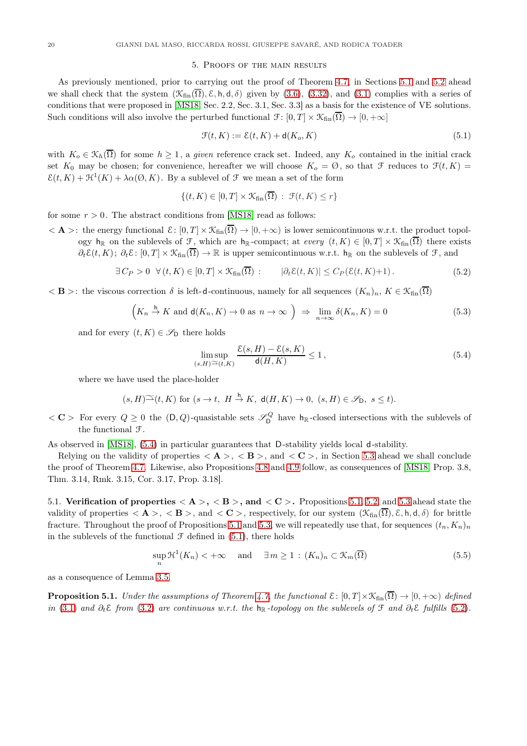## 5. Proofs of the main results

<span id="page-19-0"></span>As previously mentioned, prior to carrying out the proof of Theorem [4.7,](#page-17-0) in Sections [5.1](#page-19-2) and [5.2](#page-21-0) ahead we shall check that the system  $(\mathcal{K}_{fin}(\overline{\Omega}), \mathcal{E}, h, d, \delta)$  given by [\(3.6\)](#page-8-1), [\(3.32\)](#page-12-0), and [\(3.1\)](#page-6-2) complies with a series of conditions that were proposed in [\[MS18,](#page-31-18) Sec. 2.2, Sec. 3.1, Sec. 3.3] as a basis for the existence of VE solutions. Such conditions will also involve the perturbed functional  $\mathcal{F}: [0, T] \times \mathcal{K}_{fin}(\overline{\Omega}) \to [0, +\infty]$ 

<span id="page-19-4"></span>
$$
\mathcal{F}(t,K) := \mathcal{E}(t,K) + \mathsf{d}(K_o, K) \tag{5.1}
$$

with  $K_o \in \mathcal{K}_h(\overline{\Omega})$  for some  $h \geq 1$ , a given reference crack set. Indeed, any  $K_o$  contained in the initial crack set  $K_0$  may be chosen; for convenience, hereafter we will choose  $K_0 = \emptyset$ , so that  $\mathcal F$  reduces to  $\mathcal F(t, K)$  $\mathcal{E}(t,K) + \mathcal{H}^1(K) + \lambda \alpha(\emptyset, K)$ . By a sublevel of  $\mathcal F$  we mean a set of the form

$$
\{(t,K)\in[0,T]\times\mathcal{K}_{\text{fin}}(\overline{\Omega})\;:\;\mathcal{F}(t,K)\leq r\}
$$

for some  $r > 0$ . The abstract conditions from [\[MS18\]](#page-31-18) read as follows:

 $\langle \mathbf{A} \rangle$ : the energy functional  $\mathcal{E}: [0,T] \times \mathcal{K}_{fin}(\overline{\Omega}) \to [0,+\infty)$  is lower semicontinuous w.r.t. the product topology h<sub>R</sub> on the sublevels of F, which are h<sub>R</sub>-compact; at every  $(t, K) \in [0, T] \times \mathcal{K}_{fin}(\overline{\Omega})$  there exists

 $\partial_t \mathcal{E}(t, K)$ ;  $\partial_t \mathcal{E}$ :  $[0, T] \times \mathcal{K}_{fin}(\overline{\Omega}) \to \mathbb{R}$  is upper semicontinuous w.r.t.  $h_{\mathbb{R}}$  on the sublevels of  $\mathcal{F}$ , and

<span id="page-19-5"></span>
$$
\exists C_P > 0 \ \forall (t, K) \in [0, T] \times \mathcal{K}_{\text{fin}}(\overline{\Omega}) : \qquad |\partial_t \mathcal{E}(t, K)| \le C_P(\mathcal{E}(t, K) + 1). \tag{5.2}
$$

 $\langle \mathbf{B} \rangle$ : the viscous correction  $\delta$  is left-d-continuous, namely for all sequences  $(K_n)_n, K \in \mathfrak{K}_{fin}(\overline{\Omega})$ 

<span id="page-19-7"></span>
$$
\left(K_n \stackrel{h}{\to} K \text{ and } \mathsf{d}(K_n, K) \to 0 \text{ as } n \to \infty\right) \Rightarrow \lim_{n \to \infty} \delta(K_n, K) = 0 \tag{5.3}
$$

and for every  $(t, K) \in \mathscr{S}_{\mathsf{D}}$  there holds

<span id="page-19-3"></span>
$$
\limsup_{(s,H)\cong(t,K)}\frac{\mathcal{E}(s,H)-\mathcal{E}(s,K)}{\mathsf{d}(H,K)}\leq 1\,,\tag{5.4}
$$

where we have used the place-holder

$$
(s, H)^{\sim}(t, K) \text{ for } (s \to t, H \xrightarrow{h} K, d(H, K) \to 0, (s, H) \in \mathscr{S}_{\mathsf{D}}, s \leq t).
$$

 $\langle \mathbf{C} \rangle$  For every  $Q \geq 0$  the  $(D, Q)$ -quasistable sets  $\mathscr{S}_{D}^{Q}$  have  $h_{R}$ -closed intersections with the sublevels of the functional F.

As observed in [\[MS18\]](#page-31-18), [\(5.4\)](#page-19-3) in particular guarantees that D-stability yields local d-stability.

Relying on the validity of properties  $\langle \mathbf{A} \rangle$ ,  $\langle \mathbf{B} \rangle$ , and  $\langle \mathbf{C} \rangle$ , in Section [5.3](#page-25-0) ahead we shall conclude the proof of Theorem [4.7.](#page-17-0) Likewise, also Propositions [4.8](#page-18-0) and [4.9](#page-18-1) follow, as consequences of [\[MS18,](#page-31-18) Prop. 3.8, Thm. 3.14, Rmk. 3.15, Cor. 3.17, Prop. 3.18].

<span id="page-19-2"></span>5.1. Verification of properties  $\langle A \rangle$ ,  $\langle B \rangle$ , and  $\langle C \rangle$ . Propositions [5.1,](#page-19-1) [5.2,](#page-20-0) and [5.3](#page-21-1) ahead state the validity of properties  $\langle A \rangle$ ,  $\langle B \rangle$ , and  $\langle C \rangle$ , respectively, for our system  $(\mathcal{K}_{fin}(\overline{\Omega}), \mathcal{E}, h, d, \delta)$  for brittle fracture. Throughout the proof of Propositions [5.1](#page-19-1) and [5.3,](#page-21-1) we will repeatedly use that, for sequences  $(t_n, K_n)_n$ in the sublevels of the functional  $\mathcal F$  defined in [\(5.1\)](#page-19-4), there holds

<span id="page-19-6"></span>
$$
\sup_{n} \mathcal{H}^{1}(K_{n}) < +\infty \quad \text{and} \quad \exists \, m \ge 1 \, : \, (K_{n})_{n} \subset \mathcal{K}_{m}(\overline{\Omega}) \tag{5.5}
$$

as a consequence of Lemma [3.5.](#page-8-6)

<span id="page-19-1"></span>**Proposition 5.1.** Under the assumptions of Theorem [4.7,](#page-17-0) the functional  $\mathcal{E}: [0,T] \times \mathcal{K}_{fin}(\overline{\Omega}) \to [0,+\infty)$  defined in [\(3.1\)](#page-6-2) and  $\partial_t \mathcal{E}$  from [\(3.2\)](#page-6-3) are continuous w.r.t. the h<sub>R</sub> -topology on the sublevels of F and  $\partial_t \mathcal{E}$  fulfills [\(5.2\)](#page-19-5).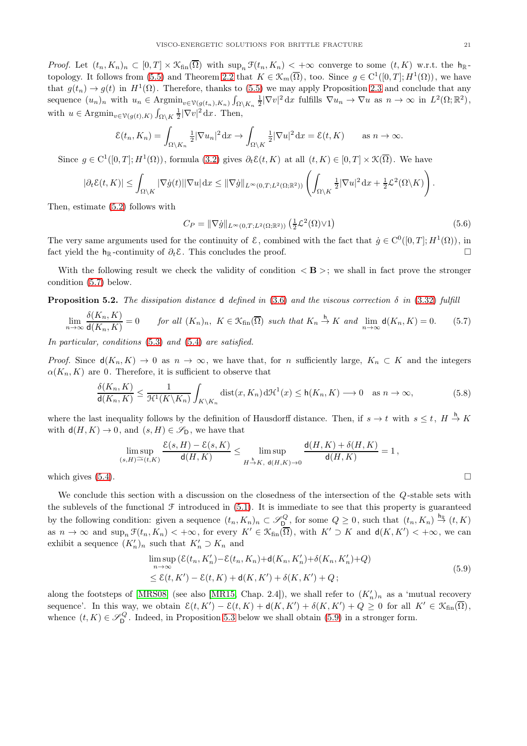*Proof.* Let  $(t_n, K_n)_n \subset [0, T] \times \mathcal{K}_{fin}(\overline{\Omega})$  with  $\sup_n \mathcal{F}(t_n, K_n) < +\infty$  converge to some  $(t, K)$  w.r.t. the  $h_{\mathbb{R}}$ topology. It follows from [\(5.5\)](#page-19-6) and Theorem [2.2](#page-5-1) that  $K \in \mathcal{K}_m(\overline{\Omega})$ , too. Since  $g \in C^1([0,T]; H^1(\Omega))$ , we have that  $g(t_n) \to g(t)$  in  $H^1(\Omega)$ . Therefore, thanks to [\(5.5\)](#page-19-6) we may apply Proposition [2.3](#page-6-4) and conclude that any sequence  $(u_n)_n$  with  $u_n \in \text{Argmin}_{v \in \mathcal{V}(g(t_n), K_n)} \int_{\Omega \setminus K_n} \frac{1}{2} |\nabla v|^2 dx$  fulfills  $\nabla u_n \to \nabla u$  as  $n \to \infty$  in  $L^2(\Omega; \mathbb{R}^2)$ , with  $u \in \text{Argmin}_{v \in \mathcal{V}(g(t), K)} \int_{\Omega \setminus K} \frac{1}{2} |\nabla v|^2 \,dx$ . Then,

$$
\mathcal{E}(t_n, K_n) = \int_{\Omega \setminus K_n} \frac{1}{2} |\nabla u_n|^2 \, dx \to \int_{\Omega \setminus K} \frac{1}{2} |\nabla u|^2 \, dx = \mathcal{E}(t, K) \quad \text{as } n \to \infty.
$$

Since  $g \in C^1([0,T]; H^1(\Omega))$ , formula  $(3.2)$  gives  $\partial_t \mathcal{E}(t,K)$  at all  $(t,K) \in [0,T] \times \mathcal{K}(\overline{\Omega})$ . We have

$$
|\partial_t \mathcal{E}(t,K)| \leq \int_{\Omega \setminus K} |\nabla \dot{g}(t)| |\nabla u| \,dx \leq \|\nabla \dot{g}\|_{L^{\infty}(0,T;L^2(\Omega;\mathbb{R}^2))} \left( \int_{\Omega \setminus K} \frac{1}{2} |\nabla u|^2 \,dx + \frac{1}{2} \mathcal{L}^2(\Omega \setminus K) \right).
$$

Then, estimate [\(5.2\)](#page-19-5) follows with

<span id="page-20-1"></span>
$$
C_P = \|\nabla \dot{g}\|_{L^{\infty}(0,T;L^2(\Omega;\mathbb{R}^2))} \left(\frac{1}{2}\mathcal{L}^2(\Omega)\vee 1\right) \tag{5.6}
$$

The very same arguments used for the continuity of  $\mathcal{E}$ , combined with the fact that  $\dot{g} \in C^0([0,T]; H^1(\Omega))$ , in fact yield the h<sub>R</sub>-continuity of  $\partial_t \mathcal{E}$ . This concludes the proof. □

With the following result we check the validity of condition  $\langle \mathbf{B} \rangle$ ; we shall in fact prove the stronger condition [\(5.7\)](#page-20-2) below.

<span id="page-20-0"></span>**Proposition 5.2.** The dissipation distance d defined in [\(3.6\)](#page-8-1) and the viscous correction  $\delta$  in [\(3.32\)](#page-12-0) fulfill

<span id="page-20-2"></span>
$$
\lim_{n \to \infty} \frac{\delta(K_n, K)}{\mathsf{d}(K_n, K)} = 0 \qquad \text{for all } (K_n)_n, \ K \in \mathfrak{K}_{\text{fin}}(\overline{\Omega}) \ \text{such that } K_n \stackrel{\mathsf{h}}{\to} K \ \text{and} \ \lim_{n \to \infty} \mathsf{d}(K_n, K) = 0. \tag{5.7}
$$

In particular, conditions  $(5.3)$  and  $(5.4)$  are satisfied.

*Proof.* Since  $d(K_n, K) \to 0$  as  $n \to \infty$ , we have that, for n sufficiently large,  $K_n \subset K$  and the integers  $\alpha(K_n, K)$  are 0. Therefore, it is sufficient to observe that

$$
\frac{\delta(K_n, K)}{\mathsf{d}(K_n, K)} \le \frac{1}{\mathcal{H}^1(K \backslash K_n)} \int_{K \backslash K_n} \text{dist}(x, K_n) \, d\mathcal{H}^1(x) \le \mathsf{h}(K_n, K) \longrightarrow 0 \quad \text{as } n \to \infty,
$$
\n(5.8)

where the last inequality follows by the definition of Hausdorff distance. Then, if  $s \to t$  with  $s \leq t$ ,  $H \stackrel{h}{\to} K$ with  $d(H, K) \to 0$ , and  $(s, H) \in \mathscr{S}_{D}$ , we have that

$$
\limsup_{(s,H)\cong(t,K)}\frac{\mathcal{E}(s,H)-\mathcal{E}(s,K)}{\mathsf{d}(H,K)}\leq \limsup_{H\stackrel{h}{\to}K,\ \mathsf{d}(H,K)\to 0}\frac{\mathsf{d}(H,K)+\delta(H,K)}{\mathsf{d}(H,K)}=1,
$$
\nwhich gives (5.4).

We conclude this section with a discussion on the closedness of the intersection of the Q-stable sets with the sublevels of the functional  $\mathcal F$  introduced in [\(5.1\)](#page-19-4). It is immediate to see that this property is guaranteed by the following condition: given a sequence  $(t_n, K_n)_n \subset \mathscr{S}_{\mathsf{D}}^Q$ , for some  $Q \geq 0$ , such that  $(t_n, K_n) \stackrel{\mathsf{h}_\mathbb{R}}{\rightarrow} (t, K)$ as  $n \to \infty$  and  $\sup_n \mathcal{F}(t_n, K_n) < +\infty$ , for every  $K' \in \mathcal{K}_{fin}(\overline{\Omega})$ , with  $K' \supset K$  and  $d(K, K') < +\infty$ , we can exhibit a sequence  $(K'_n)_n$  such that  $K'_n \supset K_n$  and

<span id="page-20-3"></span>
$$
\limsup_{n \to \infty} (\mathcal{E}(t_n, K'_n) - \mathcal{E}(t_n, K_n) + \mathsf{d}(K_n, K'_n) + \delta(K_n, K'_n) + Q)
$$
\n
$$
\leq \mathcal{E}(t, K') - \mathcal{E}(t, K) + \mathsf{d}(K, K') + \delta(K, K') + Q \tag{5.9}
$$

along the footsteps of [\[MRS08\]](#page-31-25) (see also [\[MR15,](#page-31-7) Chap. 2.4]), we shall refer to  $(K'_n)_n$  as a 'mutual recovery sequence'. In this way, we obtain  $\mathcal{E}(t, K') - \mathcal{E}(t, K) + d(K, K') + \delta(K, K') + Q \geq 0$  for all  $K' \in \mathcal{K}_{fin}(\overline{\Omega})$ , whence  $(t, K) \in \mathscr{S}_{D}^{Q}$ . Indeed, in Proposition [5.3](#page-21-1) below we shall obtain [\(5.9\)](#page-20-3) in a stronger form.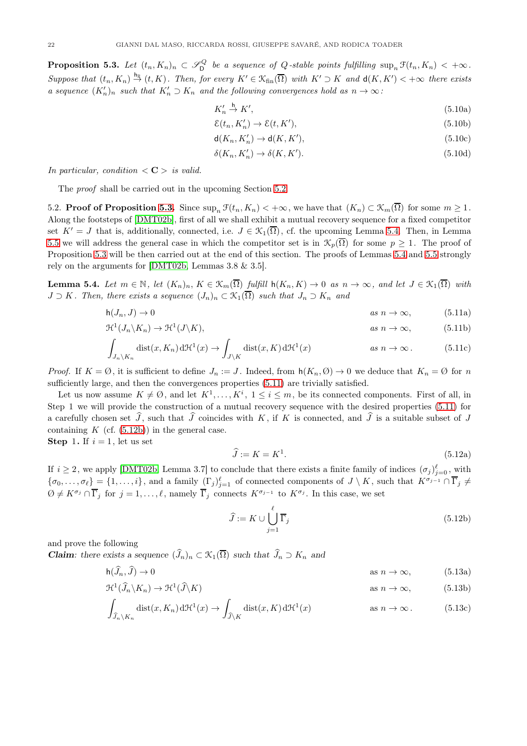<span id="page-21-1"></span>**Proposition 5.3.** Let  $(t_n, K_n)_n \subset \mathscr{S}_{\mathsf{D}}^Q$  be a sequence of Q-stable points fulfilling  $\sup_n \mathfrak{F}(t_n, K_n) < +\infty$ . Suppose that  $(t_n, K_n) \stackrel{h_{\mathbb{R}}}{\rightarrow} (t, K)$ . Then, for every  $K' \in \mathfrak{K}_{fin}(\overline{\Omega})$  with  $K' \supset K$  and  $d(K, K') < +\infty$  there exists a sequence  $(K'_n)_n$  such that  $K'_n \supset K_n$  and the following convergences hold as  $n \to \infty$ :

<span id="page-21-14"></span><span id="page-21-13"></span>
$$
K'_n \stackrel{\mathsf{h}}{\to} K',\tag{5.10a}
$$

<span id="page-21-16"></span><span id="page-21-15"></span>
$$
\mathcal{E}(t_n, K'_n) \to \mathcal{E}(t, K'),\tag{5.10b}
$$

$$
\mathsf{d}(K_n, K'_n) \to \mathsf{d}(K, K'),\tag{5.10c}
$$

<span id="page-21-17"></span><span id="page-21-3"></span>
$$
\delta(K_n, K'_n) \to \delta(K, K'). \tag{5.10d}
$$

In particular, condition  $\langle C \rangle$  is valid.

<span id="page-21-0"></span>The proof shall be carried out in the upcoming Section [5.2.](#page-21-0)

5.2. **Proof of Proposition [5.3.](#page-21-1)** Since  $\sup_n \mathcal{F}(t_n, K_n) < +\infty$ , we have that  $(K_n) \subset \mathcal{K}_m(\overline{\Omega})$  for some  $m \geq 1$ . Along the footsteps of [\[DMT02b\]](#page-30-1), first of all we shall exhibit a mutual recovery sequence for a fixed competitor set  $K' = J$  that is, additionally, connected, i.e.  $J \in \mathcal{K}_1(\overline{\Omega})$ , cf. the upcoming Lemma [5.4.](#page-21-2) Then, in Lemma [5.5](#page-24-0) we will address the general case in which the competitor set is in  $\mathcal{K}_n(\overline{\Omega})$  for some  $p \geq 1$ . The proof of Proposition [5.3](#page-21-1) will be then carried out at the end of this section. The proofs of Lemmas [5.4](#page-21-2) and [5.5](#page-24-0) strongly rely on the arguments for [\[DMT02b,](#page-30-1) Lemmas 3.8 & 3.5].

<span id="page-21-2"></span>**Lemma 5.4.** Let  $m \in \mathbb{N}$ , let  $(K_n)_n$ ,  $K \in \mathcal{K}_m(\overline{\Omega})$  fulfill  $h(K_n, K) \to 0$  as  $n \to \infty$ , and let  $J \in \mathcal{K}_1(\overline{\Omega})$  with  $J \supset K$ . Then, there exists a sequence  $(J_n)_n \subset \mathcal{K}_1(\overline{\Omega})$  such that  $J_n \supset K_n$  and

$$
h(J_n, J) \to 0 \qquad \qquad as \; n \to \infty, \tag{5.11a}
$$

$$
\mathfrak{H}^1(J_n \backslash K_n) \to \mathfrak{H}^1(J \backslash K), \qquad \text{as } n \to \infty,
$$
 (5.11b)

$$
\int_{J_n \backslash K_n} \text{dist}(x, K_n) d\mathcal{H}^1(x) \to \int_{J \backslash K} \text{dist}(x, K) d\mathcal{H}^1(x) \qquad \text{as } n \to \infty. \tag{5.11c}
$$

*Proof.* If  $K = \emptyset$ , it is sufficient to define  $J_n := J$ . Indeed, from  $h(K_n, \emptyset) \to 0$  we deduce that  $K_n = \emptyset$  for n sufficiently large, and then the convergences properties [\(5.11\)](#page-21-3) are trivially satisfied.

Let us now assume  $K \neq \emptyset$ , and let  $K^1, \ldots, K^i$ ,  $1 \leq i \leq m$ , be its connected components. First of all, in Step 1 we will provide the construction of a mutual recovery sequence with the desired properties [\(5.11\)](#page-21-3) for a carefully chosen set  $\widehat{J}$ , such that  $\widehat{J}$  coincides with K, if K is connected, and  $\widehat{J}$  is a suitable subset of J containing  $K$  (cf.  $(5.12b)$ ) in the general case.

**Step 1.** If  $i = 1$ , let us set

<span id="page-21-12"></span><span id="page-21-11"></span><span id="page-21-10"></span><span id="page-21-9"></span>
$$
\widehat{J} := K = K^1. \tag{5.12a}
$$

If  $i \geq 2$ , we apply [\[DMT02b,](#page-30-1) Lemma 3.7] to conclude that there exists a finite family of indices  $(\sigma_j)_{j=0}^{\ell}$ , with  $\{\sigma_0,\ldots,\sigma_\ell\}=\{1,\ldots,i\}$ , and a family  $(\Gamma_j)_{j=1}^\ell$  of connected components of  $J\setminus K$ , such that  $K^{\sigma_{j-1}}\cap\overline{\Gamma}_j\neq\emptyset$  $\emptyset \neq K^{\sigma_j} \cap \overline{\Gamma}_j$  for  $j = 1, \ldots, \ell$ , namely  $\overline{\Gamma}_j$  connects  $K^{\sigma_{j-1}}$  to  $K^{\sigma_j}$ . In this case, we set

<span id="page-21-8"></span><span id="page-21-7"></span><span id="page-21-6"></span><span id="page-21-5"></span><span id="page-21-4"></span>
$$
\hat{J} := K \cup \bigcup_{j=1}^{\ell} \overline{\Gamma}_j \tag{5.12b}
$$

and prove the following

**Claim**: there exists a sequence  $(\widehat{J}_n)_n \subset \mathcal{K}_1(\overline{\Omega})$  such that  $\widehat{J}_n \supset K_n$  and

$$
h(\widehat{J}_n, \widehat{J}) \to 0 \qquad \qquad \text{as } n \to \infty,
$$
 (5.13a)

$$
\mathcal{H}^{1}(\widehat{J}_{n}\backslash K_{n}) \to \mathcal{H}^{1}(\widehat{J}\backslash K) \qquad \text{as } n \to \infty,
$$
 (5.13b)

$$
\int_{\widehat{J}_n \setminus K_n} \text{dist}(x, K_n) d\mathcal{H}^1(x) \to \int_{\widehat{J} \setminus K} \text{dist}(x, K) d\mathcal{H}^1(x) \qquad \text{as } n \to \infty. \tag{5.13c}
$$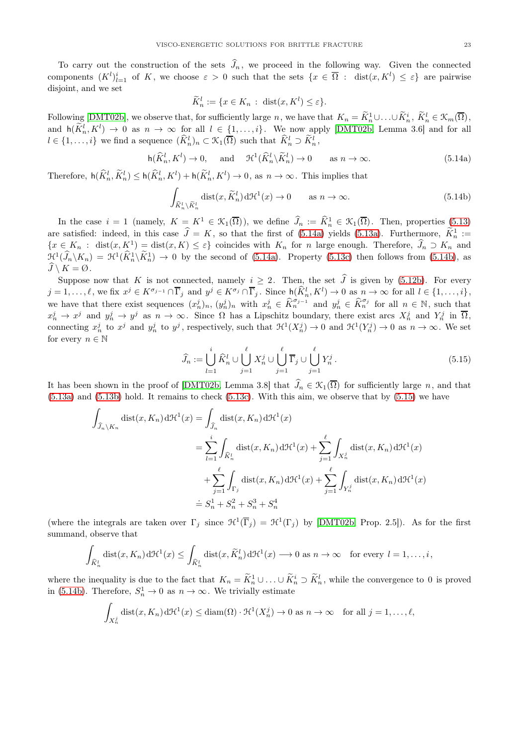To carry out the construction of the sets  $\hat{J}_n$ , we proceed in the following way. Given the connected components  $(K^l)_{l=1}^i$  of K, we choose  $\varepsilon > 0$  such that the sets  $\{x \in \overline{\Omega} : \text{dist}(x, K^l) \leq \varepsilon\}$  are pairwise disjoint, and we set

$$
\widetilde{K}_n^l := \{ x \in K_n : \operatorname{dist}(x, K^l) \le \varepsilon \}.
$$

Following [\[DMT02b\]](#page-30-1), we observe that, for sufficiently large n, we have that  $K_n = \widetilde{K}_n^1 \cup \ldots \cup \widetilde{K}_n^i$ ,  $\widetilde{K}_n^l \in \mathcal{K}_m(\overline{\Omega})$ , and  $h(\widetilde{K}_n^l, K^l) \to 0$  as  $n \to \infty$  for all  $l \in \{1, \ldots, i\}$ . We now apply [\[DMT02b,](#page-30-1) Lemma 3.6] and for all  $l \in \{1, \ldots, i\}$  we find a sequence  $(\widehat{K}_n^l)_n \subset \mathcal{K}_1(\overline{\Omega})$  such that  $\widehat{K}_n^l \supset \widetilde{K}_n^l$ ,

<span id="page-22-0"></span>
$$
\mathsf{h}(\widehat{K}^l_n, K^l) \to 0, \quad \text{and} \quad \mathcal{H}^1(\widehat{K}^l_n \backslash \widetilde{K}^l_n) \to 0 \quad \text{as } n \to \infty. \tag{5.14a}
$$

Therefore,  $h(\widehat{K}_n^l, \widetilde{K}_n^l) \leq h(\widehat{K}_n^l, K^l) + h(\widetilde{K}_n^l, K^l) \to 0$ , as  $n \to \infty$ . This implies that

<span id="page-22-1"></span>
$$
\int_{\widehat{K}_n^l \setminus \widetilde{K}_n^l} \text{dist}(x, \widetilde{K}_n^l) \, d\mathcal{H}^1(x) \to 0 \qquad \text{as } n \to \infty. \tag{5.14b}
$$

In the case  $i = 1$  (namely,  $K = K^1 \in \mathcal{K}_1(\overline{\Omega})$ ), we define  $\widehat{J}_n := \widehat{K}_n^1 \in \mathcal{K}_1(\overline{\Omega})$ . Then, properties [\(5.13\)](#page-21-5) are satisfied: indeed, in this case  $\hat{J} = K$ , so that the first of [\(5.14a\)](#page-22-0) yields [\(5.13a\)](#page-21-6). Furthermore,  $K_n^1 :=$  ${x \in K_n : dist(x, K^1) = dist(x, K) \leq \varepsilon}$  coincides with  $K_n$  for n large enough. Therefore,  $\hat{J}_n \supset K_n$  and  $\mathcal{H}^1(\widehat{J}_n \backslash K_n) = \mathcal{H}^1(\widehat{K}_n^1 \backslash \widetilde{K}_n^1) \to 0$  by the second of [\(5.14a\)](#page-22-0). Property [\(5.13c\)](#page-21-7) then follows from [\(5.14b\)](#page-22-1), as  $\overline{J}\setminus K = \emptyset$ .

Suppose now that K is not connected, namely  $i \geq 2$ . Then, the set  $\hat{J}$  is given by [\(5.12b\)](#page-21-4). For every  $j = 1, \ldots, \ell$ , we fix  $x^j \in K^{\sigma_{j-1}} \cap \overline{\Gamma}_j$  and  $y^j \in K^{\sigma_j} \cap \overline{\Gamma}_j$ . Since  $h(\widehat{K}^l_n, K^l) \to 0$  as  $n \to \infty$  for all  $l \in \{1, \ldots, i\}$ , we have that there exist sequences  $(x_n^j)_n$ ,  $(y_n^j)_n$  with  $x_n^j \in \widehat{K}_n^{\sigma_{j-1}}$  and  $y_n^j \in \widehat{K}_n^{\sigma_j}$  for all  $n \in \mathbb{N}$ , such that  $x_n^j \to x^j$  and  $y_n^j \to y^j$  as  $n \to \infty$ . Since  $\Omega$  has a Lipschitz boundary, there exist arcs  $X_n^j$  and  $Y_n^j$  in  $\overline{\Omega}$ , connecting  $x_n^j$  to  $x^j$  and  $y_n^j$  to  $y^j$ , respectively, such that  $\mathcal{H}^1(X_n^j) \to 0$  and  $\mathcal{H}^1(Y_n^j) \to 0$  as  $n \to \infty$ . We set for every  $n \in \mathbb{N}$ 

<span id="page-22-2"></span>
$$
\widehat{J}_n := \bigcup_{l=1}^i \widehat{K}_n^l \cup \bigcup_{j=1}^\ell X_n^j \cup \bigcup_{j=1}^\ell \overline{\Gamma}_j \cup \bigcup_{j=1}^\ell Y_n^j.
$$
\n(5.15)

It has been shown in the proof of [\[DMT02b,](#page-30-1) Lemma 3.8] that  $\widehat{J}_n \in \mathcal{K}_1(\overline{\Omega})$  for sufficiently large n, and that [\(5.13a\)](#page-21-6) and [\(5.13b\)](#page-21-8) hold. It remains to check [\(5.13c\)](#page-21-7). With this aim, we observe that by [\(5.15\)](#page-22-2) we have

$$
\int_{\widehat{J}_n \backslash K_n} \text{dist}(x, K_n) \, d\mathcal{H}^1(x) = \int_{\widehat{J}_n} \text{dist}(x, K_n) \, d\mathcal{H}^1(x)
$$
\n
$$
= \sum_{l=1}^i \int_{\widehat{K}_n^l} \text{dist}(x, K_n) \, d\mathcal{H}^1(x) + \sum_{j=1}^\ell \int_{X_n^j} \text{dist}(x, K_n) \, d\mathcal{H}^1(x)
$$
\n
$$
+ \sum_{j=1}^\ell \int_{\Gamma_j} \text{dist}(x, K_n) \, d\mathcal{H}^1(x) + \sum_{j=1}^\ell \int_{Y_n^j} \text{dist}(x, K_n) \, d\mathcal{H}^1(x)
$$
\n
$$
\doteq S_n^1 + S_n^2 + S_n^3 + S_n^4
$$

(where the integrals are taken over  $\Gamma_j$  since  $\mathcal{H}^1(\overline{\Gamma}_j) = \mathcal{H}^1(\Gamma_j)$  by [\[DMT02b,](#page-30-1) Prop. 2.5]). As for the first summand, observe that

$$
\int_{\widehat{K}_n^l} \operatorname{dist}(x, K_n) d\mathcal{H}^1(x) \le \int_{\widehat{K}_n^l} \operatorname{dist}(x, \widetilde{K}_n^l) d\mathcal{H}^1(x) \longrightarrow 0 \text{ as } n \to \infty \text{ for every } l = 1, \dots, i,
$$

where the inequality is due to the fact that  $K_n = \tilde{K}_n^1 \cup ... \cup \tilde{K}_n^i \supset \tilde{K}_n^l$ , while the convergence to 0 is proved in [\(5.14b\)](#page-22-1). Therefore,  $S_n^1 \to 0$  as  $n \to \infty$ . We trivially estimate

$$
\int_{X_n^j} \text{dist}(x, K_n) d\mathcal{H}^1(x) \le \text{diam}(\Omega) \cdot \mathcal{H}^1(X_n^j) \to 0 \text{ as } n \to \infty \quad \text{for all } j = 1, \dots, \ell,
$$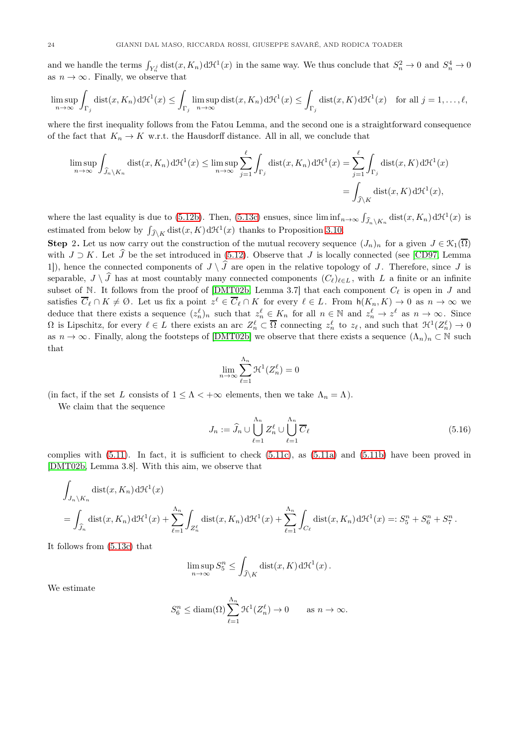and we handle the terms  $\int_{Y_n} \text{dist}(x, K_n) d\mathcal{H}^1(x)$  in the same way. We thus conclude that  $S_n^2 \to 0$  and  $S_n^4 \to 0$ as  $n \to \infty$ . Finally, we observe that

$$
\limsup_{n \to \infty} \int_{\Gamma_j} \text{dist}(x, K_n) d\mathcal{H}^1(x) \le \int_{\Gamma_j} \limsup_{n \to \infty} \text{dist}(x, K_n) d\mathcal{H}^1(x) \le \int_{\Gamma_j} \text{dist}(x, K) d\mathcal{H}^1(x) \quad \text{for all } j = 1, \dots, \ell,
$$

where the first inequality follows from the Fatou Lemma, and the second one is a straightforward consequence of the fact that  $K_n \to K$  w.r.t. the Hausdorff distance. All in all, we conclude that

$$
\limsup_{n \to \infty} \int_{\widehat{J}_n \backslash K_n} \text{dist}(x, K_n) d\mathcal{H}^1(x) \le \limsup_{n \to \infty} \sum_{j=1}^{\ell} \int_{\Gamma_j} \text{dist}(x, K_n) d\mathcal{H}^1(x) = \sum_{j=1}^{\ell} \int_{\Gamma_j} \text{dist}(x, K) d\mathcal{H}^1(x)
$$

$$
= \int_{\widehat{J} \backslash K} \text{dist}(x, K) d\mathcal{H}^1(x),
$$

where the last equality is due to [\(5.12b\)](#page-21-4). Then, [\(5.13c\)](#page-21-7) ensues, since  $\liminf_{n\to\infty} \int_{\widehat{J}_n\setminus K_n} \text{dist}(x, K_n) d\mathcal{H}^1(x)$  is estimated from below by  $\int_{\widehat{\mathcal{J}}\backslash K} \text{dist}(x, K) d\mathcal{H}^1(x)$  thanks to Proposition 3.10.

**Step 2.** Let us now carry out the construction of the mutual recovery sequence  $(J_n)_n$  for a given  $J \in \mathcal{K}_1(\overline{\Omega})$ with  $J \supset K$ . Let  $\widehat{J}$  be the set introduced in [\(5.12\)](#page-21-9). Observe that J is locally connected (see [\[CD97,](#page-30-17) Lemma 1]), hence the connected components of  $J \setminus \widehat{J}$  are open in the relative topology of J. Therefore, since J is separable,  $J \setminus \widehat{J}$  has at most countably many connected components  $(C_{\ell})_{\ell \in L}$ , with L a finite or an infinite subset of N. It follows from the proof of [\[DMT02b,](#page-30-1) Lemma 3.7] that each component  $C_{\ell}$  is open in J and satisfies  $\overline{C}_{\ell} \cap K \neq \emptyset$ . Let us fix a point  $z^{\ell} \in \overline{C}_{\ell} \cap K$  for every  $\ell \in L$ . From  $\mathsf{h}(K_n, K) \to 0$  as  $n \to \infty$  we deduce that there exists a sequence  $(z_n^{\ell})_n$  such that  $z_n^{\ell} \in K_n$  for all  $n \in \mathbb{N}$  and  $z_n^{\ell} \to z^{\ell}$  as  $n \to \infty$ . Since  $\Omega$  is Lipschitz, for every  $\ell \in L$  there exists an arc  $Z_n^{\ell} \subset \overline{\Omega}$  connecting  $z_n^{\ell}$  to  $z_{\ell}$ , and such that  $\mathcal{H}^1(Z_n^{\ell}) \to 0$ as  $n \to \infty$ . Finally, along the footsteps of [\[DMT02b\]](#page-30-1) we observe that there exists a sequence  $(\Lambda_n)_n \subset \mathbb{N}$  such that

$$
\lim_{n \to \infty} \sum_{\ell=1}^{\Lambda_n} \mathcal{H}^1(Z_n^{\ell}) = 0
$$

(in fact, if the set L consists of  $1 \leq \Lambda < +\infty$  elements, then we take  $\Lambda_n = \Lambda$ ).

We claim that the sequence

$$
J_n := \widehat{J}_n \cup \bigcup_{\ell=1}^{\Lambda_n} Z_n^{\ell} \cup \bigcup_{\ell=1}^{\Lambda_n} \overline{C}_{\ell} \tag{5.16}
$$

complies with  $(5.11)$ . In fact, it is sufficient to check  $(5.11c)$ , as  $(5.11a)$  and  $(5.11b)$  have been proved in [\[DMT02b,](#page-30-1) Lemma 3.8]. With this aim, we observe that

$$
\int_{J_n \backslash K_n} \text{dist}(x, K_n) d\mathcal{H}^1(x)
$$
\n
$$
= \int_{\widehat{J}_n} \text{dist}(x, K_n) d\mathcal{H}^1(x) + \sum_{\ell=1}^{\Lambda_n} \int_{Z_n^{\ell}} \text{dist}(x, K_n) d\mathcal{H}^1(x) + \sum_{\ell=1}^{\Lambda_n} \int_{C_{\ell}} \text{dist}(x, K_n) d\mathcal{H}^1(x) =: S_5^n + S_6^n + S_7^n.
$$

It follows from [\(5.13c\)](#page-21-7) that

$$
\limsup_{n \to \infty} S_5^n \le \int_{\widehat{J} \setminus K} \text{dist}(x, K) \, d\mathcal{H}^1(x) \, .
$$

We estimate

$$
S_6^n \le \text{diam}(\Omega) \sum_{\ell=1}^{\Lambda_n} \mathfrak{H}^1(Z_n^{\ell}) \to 0 \quad \text{as } n \to \infty.
$$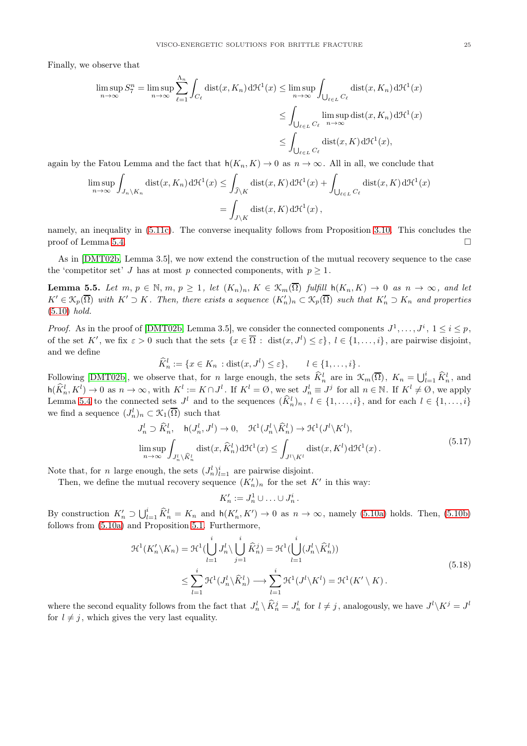Finally, we observe that

$$
\limsup_{n \to \infty} S_7^n = \limsup_{n \to \infty} \sum_{\ell=1}^{\Lambda_n} \int_{C_\ell} \text{dist}(x, K_n) d\mathcal{H}^1(x) \le \limsup_{n \to \infty} \int_{\bigcup_{\ell \in L} C_\ell} \text{dist}(x, K_n) d\mathcal{H}^1(x)
$$

$$
\le \int_{\bigcup_{\ell \in L} C_\ell} \limsup_{n \to \infty} \text{dist}(x, K_n) d\mathcal{H}^1(x)
$$

$$
\le \int_{\bigcup_{\ell \in L} C_\ell} \text{dist}(x, K) d\mathcal{H}^1(x),
$$

again by the Fatou Lemma and the fact that  $h(K_n, K) \to 0$  as  $n \to \infty$ . All in all, we conclude that

$$
\limsup_{n \to \infty} \int_{J_n \backslash K_n} \text{dist}(x, K_n) d\mathcal{H}^1(x) \le \int_{\widehat{J} \backslash K} \text{dist}(x, K) d\mathcal{H}^1(x) + \int_{\bigcup_{\ell \in L} C_\ell} \text{dist}(x, K) d\mathcal{H}^1(x)
$$

$$
= \int_{J \backslash K} \text{dist}(x, K) d\mathcal{H}^1(x),
$$

namely, an inequality in [\(5.11c\)](#page-21-10). The converse inequality follows from Proposition 3.10. This concludes the proof of Lemma [5.4.](#page-21-2)  $\Box$ 

As in [\[DMT02b,](#page-30-1) Lemma 3.5], we now extend the construction of the mutual recovery sequence to the case the 'competitor set' J has at most p connected components, with  $p \geq 1$ .

<span id="page-24-0"></span>**Lemma 5.5.** Let  $m, p \in \mathbb{N}, m, p \ge 1$ , let  $(K_n)_n, K \in \mathcal{K}_m(\overline{\Omega})$  fulfill  $h(K_n, K) \to 0$  as  $n \to \infty$ , and let  $K' \in \mathfrak{K}_p(\overline{\Omega})$  with  $K' \supset K$ . Then, there exists a sequence  $(K'_n)_n \subset \mathfrak{K}_p(\overline{\Omega})$  such that  $K'_n \supset K_n$  and properties [\(5.10\)](#page-21-13) hold.

*Proof.* As in the proof of [\[DMT02b,](#page-30-1) Lemma 3.5], we consider the connected components  $J^1, \ldots, J^i, 1 \le i \le p$ , of the set K', we fix  $\varepsilon > 0$  such that the sets  $\{x \in \overline{\Omega} : \text{dist}(x, J^l) \leq \varepsilon\}, l \in \{1, \ldots, i\}$ , are pairwise disjoint, and we define

$$
\widehat{K}_n^l := \{ x \in K_n : \text{dist}(x, J^l) \le \varepsilon \}, \qquad l \in \{1, \ldots, i\}.
$$

Following [\[DMT02b\]](#page-30-1), we observe that, for n large enough, the sets  $\widehat{K}_n^l$  are in  $\mathcal{K}_m(\overline{\Omega})$ ,  $K_n = \bigcup_{l=1}^i \widehat{K}_n^l$ , and  $h(\widehat{K}_n^l, K^l) \to 0$  as  $n \to \infty$ , with  $K^l := K \cap J^l$ . If  $K^l = \emptyset$ , we set  $J_n^l \equiv J^j$  for all  $n \in \mathbb{N}$ . If  $K^l \neq \emptyset$ , we apply Lemma [5.4](#page-21-2) to the connected sets  $J^l$  and to the sequences  $(\widehat{K}^l_n)_n, l \in \{1, ..., i\}$ , and for each  $l \in \{1, ..., i\}$ we find a sequence  $(J_n^l)_n \subset \mathcal{K}_1(\overline{\Omega})$  such that

<span id="page-24-1"></span>
$$
J_n^l \supset \widehat{K}_n^l, \quad \mathsf{h}(J_n^l, J^l) \to 0, \quad \mathfrak{H}^1(J_n^l \setminus \widehat{K}_n^l) \to \mathfrak{H}^1(J^l \setminus K^l),
$$
  

$$
\limsup_{n \to \infty} \int_{J_n^l \setminus \widehat{K}_n^l} \text{dist}(x, \widehat{K}_n^l) d\mathfrak{H}^1(x) \le \int_{J^l \setminus K^l} \text{dist}(x, K^l) d\mathfrak{H}^1(x).
$$
 (5.17)

Note that, for *n* large enough, the sets  $(J_n^l)_{l=1}^i$  are pairwise disjoint.

Then, we define the mutual recovery sequence  $(K'_n)_n$  for the set K' in this way:

$$
K'_n := J_n^1 \cup \ldots \cup J_n^i.
$$

By construction  $K'_n \supset \bigcup_{l=1}^i \widehat{K}_n^l = K_n$  and  $h(K'_n, K') \to 0$  as  $n \to \infty$ , namely [\(5.10a\)](#page-21-14) holds. Then, [\(5.10b\)](#page-21-15) follows from [\(5.10a\)](#page-21-14) and Proposition [5.1.](#page-19-1) Furthermore,

$$
\mathcal{H}^{1}(K'_{n}\backslash K_{n}) = \mathcal{H}^{1}(\bigcup_{l=1}^{i} J_{n}^{l} \backslash \bigcup_{j=1}^{i} \widehat{K}_{n}^{j}) = \mathcal{H}^{1}(\bigcup_{l=1}^{i} (J_{n}^{l} \backslash \widehat{K}_{n}^{l}))
$$
\n
$$
\leq \sum_{l=1}^{i} \mathcal{H}^{1}(J_{n}^{l} \backslash \widehat{K}_{n}^{l}) \longrightarrow \sum_{l=1}^{i} \mathcal{H}^{1}(J^{l} \backslash K^{l}) = \mathcal{H}^{1}(K' \backslash K).
$$
\n(5.18)

where the second equality follows from the fact that  $J_n^l \setminus \hat{K}_n^j = J_n^l$  for  $l \neq j$ , analogously, we have  $J^l \setminus K^j = J^l$ for  $l \neq j$ , which gives the very last equality.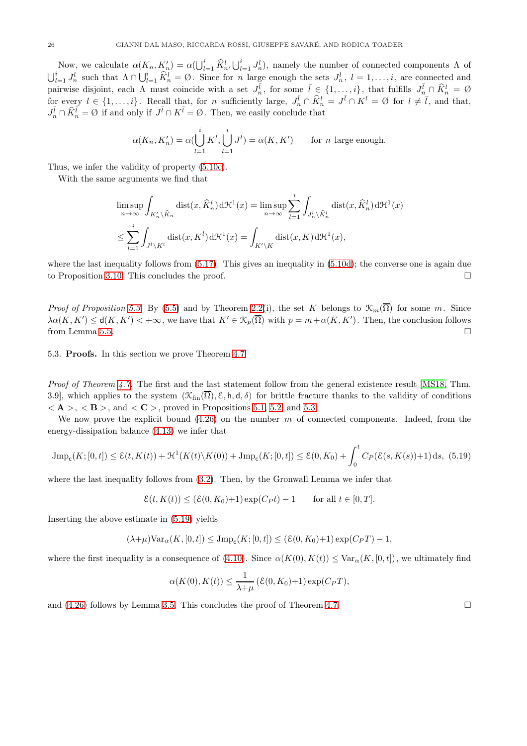Now, we calculate  $\alpha(K_n, K'_n) = \alpha(\bigcup_{l=1}^i \widehat{K}_n^l, \bigcup_{l=1}^i J_n^l)$ , namely the number of connected components  $\Lambda$  of  $\bigcup_{l=1}^{i} J_n^l$  such that  $\Lambda \cap \bigcup_{l=1}^{i} \widehat{K}_n^l = \emptyset$ . Since for n large enough the sets  $J_n^l$ ,  $l = 1, \ldots, i$ , are connected and pairwise disjoint, each  $\Lambda$  must coincide with a set  $J_n^{\overline{l}}$ , for some  $\overline{l} \in \{1, \ldots, i\}$ , that fulfills  $J_n^{\overline{l}} \cap \widehat{K}_n^l = \emptyset$ for every  $l \in \{1, \ldots, i\}$ . Recall that, for n sufficiently large,  $J_n^{\bar{l}} \cap \hat{K}_n^l = J^{\bar{l}} \cap K^l = \emptyset$  for  $l \neq \bar{l}$ , and that,  $J_n^{\bar{l}} \cap \hat{K}_n^{\bar{l}} = \emptyset$  if and only if  $J^{\bar{l}} \cap K^{\bar{l}} = \emptyset$ . Then, we easily conclude that

$$
\alpha(K_n, K'_n) = \alpha(\bigcup_{l=1}^i K^l, \bigcup_{l=1}^i J^l) = \alpha(K, K') \quad \text{for } n \text{ large enough.}
$$

Thus, we infer the validity of property [\(5.10c\)](#page-21-16).

With the same arguments we find that

$$
\limsup_{n \to \infty} \int_{K'_n \backslash \widehat{K}_n} \text{dist}(x, \widehat{K}_n^l) d\mathcal{H}^1(x) = \limsup_{n \to \infty} \sum_{l=1}^i \int_{J_n^l \backslash \widehat{K}_n^l} \text{dist}(x, \widehat{K}_n^l) d\mathcal{H}^1(x)
$$
\n
$$
\leq \sum_{l=1}^i \int_{J^l \backslash K^l} \text{dist}(x, K^l) d\mathcal{H}^1(x) = \int_{K' \backslash K} \text{dist}(x, K) d\mathcal{H}^1(x),
$$

where the last inequality follows from  $(5.17)$ . This gives an inequality in  $(5.10d)$ ; the converse one is again due to Proposition 3.10. This concludes the proof.

*Proof of Proposition [5.3.](#page-21-1)* By [\(5.5\)](#page-19-6) and by Theorem [2.2\(](#page-5-1)i), the set K belongs to  $\mathcal{K}_m(\overline{\Omega})$  for some m. Since  $\lambda \alpha(K,K') \leq d(K,K') < +\infty$ , we have that  $K' \in \mathcal{K}_p(\overline{\Omega})$  with  $p = m + \alpha(K,K')$ . Then, the conclusion follows from Lemma [5.5.](#page-24-0)

<span id="page-25-0"></span>5.3. Proofs. In this section we prove Theorem [4.7.](#page-17-0)

*Proof of Theorem [4.7.](#page-17-0)* The first and the last statement follow from the general existence result [\[MS18,](#page-31-18) Thm. 3.9], which applies to the system  $(\mathcal{K}_{fin}(\overline{\Omega}), \mathcal{E}, h, d, \delta)$  for brittle fracture thanks to the validity of conditions  $\langle A \rangle$ ,  $\langle B \rangle$ , and  $\langle C \rangle$ , proved in Propositions [5.1,](#page-19-1) [5.2,](#page-20-0) and [5.3.](#page-21-1)

We now prove the explicit bound  $(4.26)$  on the number m of connected components. Indeed, from the energy-dissipation balance [\(4.13\)](#page-15-3) we infer that

<span id="page-25-1"></span>
$$
\text{Jmp}_{\text{c}}(K;[0,t]) \le \mathcal{E}(t,K(t)) + \mathcal{H}^1(K(t)\setminus K(0)) + \text{Jmp}_{\text{c}}(K;[0,t]) \le \mathcal{E}(0,K_0) + \int_0^t C_P(\mathcal{E}(s,K(s)) + 1) \,ds,\tag{5.19}
$$

where the last inequality follows from [\(3.2\)](#page-6-3). Then, by the Gronwall Lemma we infer that

$$
\mathcal{E}(t, K(t)) \le (\mathcal{E}(0, K_0) + 1) \exp(C_P t) - 1 \quad \text{for all } t \in [0, T].
$$

Inserting the above estimate in [\(5.19\)](#page-25-1) yields

$$
(\lambda+\mu)\text{Var}_{\alpha}(K,[0,t])\leq\text{Jmp}_{\text{c}}(K;[0,t])\leq(\mathcal{E}(0,K_0)+1)\exp(C_P T)-1,
$$

where the first inequality is a consequence of [\(4.10\)](#page-15-5). Since  $\alpha(K(0), K(t)) \leq \text{Var}_{\alpha}(K, [0, t])$ , we ultimately find

$$
\alpha(K(0), K(t)) \le \frac{1}{\lambda + \mu} \left( \mathcal{E}(0, K_0) + 1 \right) \exp(C_P T),
$$

and  $(4.26)$  follows by Lemma [3.5.](#page-8-6) This concludes the proof of Theorem [4.7.](#page-17-0)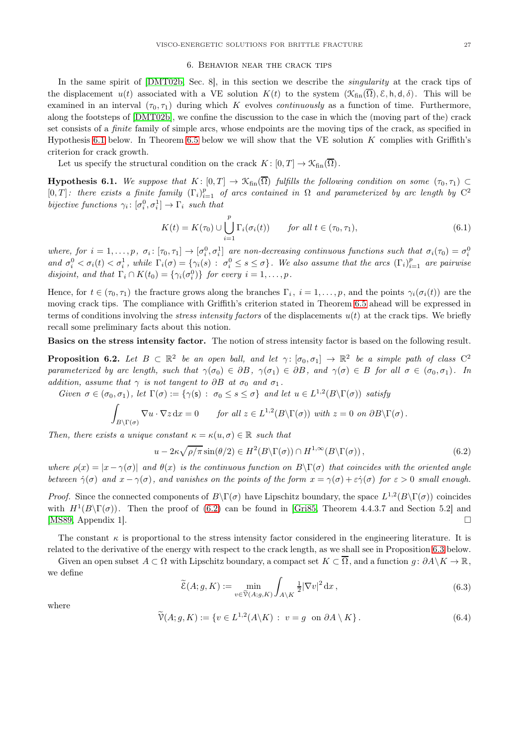## 6. Behavior near the crack tips

<span id="page-26-0"></span>In the same spirit of [\[DMT02b,](#page-30-1) Sec. 8], in this section we describe the *singularity* at the crack tips of the displacement  $u(t)$  associated with a VE solution  $K(t)$  to the system  $(\mathcal{K}_{fin}(\overline{\Omega}), \mathcal{E}, h, d, \delta)$ . This will be examined in an interval  $(\tau_0, \tau_1)$  during which K evolves *continuously* as a function of time. Furthermore, along the footsteps of [\[DMT02b\]](#page-30-1), we confine the discussion to the case in which the (moving part of the) crack set consists of a finite family of simple arcs, whose endpoints are the moving tips of the crack, as specified in Hypothesis [6.1](#page-26-1) below. In Theorem [6.5](#page-27-0) below we will show that the VE solution  $K$  complies with Griffith's criterion for crack growth.

Let us specify the structural condition on the crack  $K: [0, T] \to \mathcal{K}_{fin}(\overline{\Omega})$ .

<span id="page-26-1"></span>**Hypothesis 6.1.** We suppose that  $K : [0, T] \to \mathcal{K}_{fin}(\overline{\Omega})$  fulfills the following condition on some  $(\tau_0, \tau_1) \subset$ [0, T]: there exists a finite family  $(\Gamma_i)_{i=1}^p$  of arcs contained in  $\Omega$  and parameterized by arc length by  $C^2$ bijective functions  $\gamma_i: [\sigma_i^0, \sigma_i^1] \to \Gamma_i$  such that

$$
K(t) = K(\tau_0) \cup \bigcup_{i=1}^p \Gamma_i(\sigma_i(t)) \qquad \text{for all } t \in (\tau_0, \tau_1), \tag{6.1}
$$

where, for  $i = 1, \ldots, p$ ,  $\sigma_i : [\tau_0, \tau_1] \to [\sigma_i^0, \sigma_i^1]$  are non-decreasing continuous functions such that  $\sigma_i(\tau_0) = \sigma_i^0$ and  $\sigma_i^0 < \sigma_i(t) < \sigma_i^1$ , while  $\Gamma_i(\sigma) = \{ \gamma_i(s) : \sigma_i^0 \leq s \leq \sigma \}$ . We also assume that the arcs  $(\Gamma_i)_{i=1}^p$  are pairwise disjoint, and that  $\Gamma_i \cap K(t_0) = \{ \gamma_i(\sigma_i^0) \}$  for every  $i = 1, \ldots, p$ .

Hence, for  $t \in (\tau_0, \tau_1)$  the fracture grows along the branches  $\Gamma_i$ ,  $i = 1, \ldots, p$ , and the points  $\gamma_i(\sigma_i(t))$  are the moving crack tips. The compliance with Griffith's criterion stated in Theorem [6.5](#page-27-0) ahead will be expressed in terms of conditions involving the *stress intensity factors* of the displacements  $u(t)$  at the crack tips. We briefly recall some preliminary facts about this notion.

Basics on the stress intensity factor. The notion of stress intensity factor is based on the following result.

**Proposition 6.2.** Let  $B \subset \mathbb{R}^2$  be an open ball, and let  $\gamma: [\sigma_0, \sigma_1] \to \mathbb{R}^2$  be a simple path of class  $C^2$ parameterized by arc length, such that  $\gamma(\sigma_0) \in \partial B$ ,  $\gamma(\sigma_1) \in \partial B$ , and  $\gamma(\sigma) \in B$  for all  $\sigma \in (\sigma_0, \sigma_1)$ . In addition, assume that  $\gamma$  is not tangent to  $\partial B$  at  $\sigma_0$  and  $\sigma_1$ .

Given  $\sigma \in (\sigma_0, \sigma_1)$ , let  $\Gamma(\sigma) := {\gamma(\mathsf{s})} : \sigma_0 \leq s \leq \sigma$  and let  $u \in L^{1,2}(B \setminus \Gamma(\sigma))$  satisfy

$$
\int_{B\setminus\Gamma(\sigma)} \nabla u \cdot \nabla z \,dx = 0 \quad \text{for all } z \in L^{1,2}(B\setminus\Gamma(\sigma)) \text{ with } z = 0 \text{ on } \partial B\setminus\Gamma(\sigma).
$$

Then, there exists a unique constant  $\kappa = \kappa(u, \sigma) \in \mathbb{R}$  such that

<span id="page-26-2"></span>
$$
u - 2\kappa \sqrt{\rho/\pi} \sin(\theta/2) \in H^2(B \backslash \Gamma(\sigma)) \cap H^{1,\infty}(B \backslash \Gamma(\sigma)), \tag{6.2}
$$

where  $\rho(x) = |x - \gamma(\sigma)|$  and  $\theta(x)$  is the continuous function on  $B\Gamma(\sigma)$  that coincides with the oriented angle between  $\dot{\gamma}(\sigma)$  and  $x - \gamma(\sigma)$ , and vanishes on the points of the form  $x = \gamma(\sigma) + \varepsilon \dot{\gamma}(\sigma)$  for  $\varepsilon > 0$  small enough.

*Proof.* Since the connected components of  $B\Gamma(\sigma)$  have Lipschitz boundary, the space  $L^{1,2}(B\Gamma(\sigma))$  coincides with  $H^1(B\setminus\Gamma(\sigma))$ . Then the proof of [\(6.2\)](#page-26-2) can be found in [\[Gri85,](#page-31-26) Theorem 4.4.3.7 and Section 5.2] and [\[MS89,](#page-31-27) Appendix 1].

The constant  $\kappa$  is proportional to the stress intensity factor considered in the engineering literature. It is related to the derivative of the energy with respect to the crack length, as we shall see in Proposition [6.3](#page-27-1) below.

Given an open subset  $A \subset \Omega$  with Lipschitz boundary, a compact set  $K \subset \overline{\Omega}$ , and a function  $q: \partial A \setminus K \to \mathbb{R}$ , we define

<span id="page-26-3"></span>
$$
\widetilde{\mathcal{E}}(A; g, K) := \min_{v \in \widetilde{\mathcal{V}}(A; g, K)} \int_{A \setminus K} \frac{1}{2} |\nabla v|^2 \, \mathrm{d} x, \tag{6.3}
$$

where

$$
\widetilde{\mathcal{V}}(A;g,K) := \{ v \in L^{1,2}(A \backslash K) : v = g \text{ on } \partial A \setminus K \}. \tag{6.4}
$$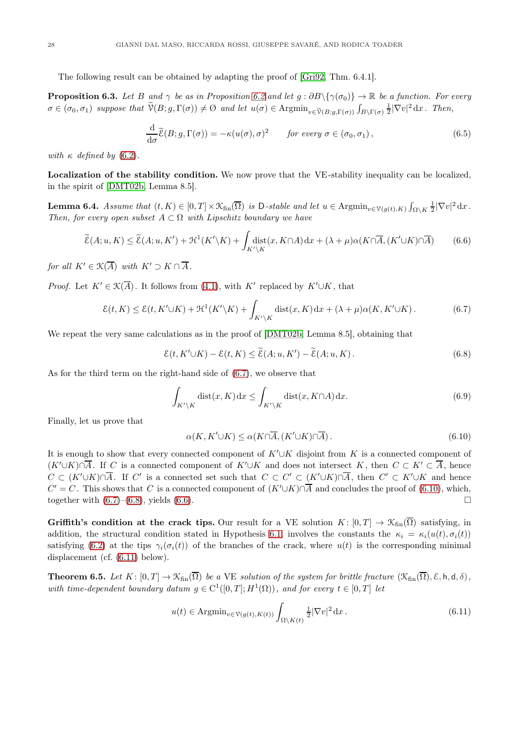The following result can be obtained by adapting the proof of [\[Gri92,](#page-31-28) Thm. 6.4.1].

<span id="page-27-1"></span>**Proposition 6.3.** Let B and  $\gamma$  be as in Proposition [6.2](#page-26-2) and let  $q : \partial B \setminus {\gamma(\sigma_0)} \rightarrow \mathbb{R}$  be a function. For every  $\sigma \in (\sigma_0, \sigma_1)$  suppose that  $\widetilde{\mathcal{V}}(B; g, \Gamma(\sigma)) \neq \emptyset$  and let  $u(\sigma) \in \mathrm{Argmin}_{v \in \widetilde{\mathcal{V}}(B; g, \Gamma(\sigma))} \int_{B \setminus \Gamma(\sigma)} \frac{1}{2} |\nabla v|^2 dx$ . Then,

$$
\frac{\mathrm{d}}{\mathrm{d}\sigma}\widetilde{\mathcal{E}}(B; g, \Gamma(\sigma)) = -\kappa(u(\sigma), \sigma)^2 \qquad \text{for every } \sigma \in (\sigma_0, \sigma_1), \tag{6.5}
$$

with  $\kappa$  defined by [\(6.2\)](#page-26-2).

Localization of the stability condition. We now prove that the VE-stability inequality can be localized, in the spirit of [\[DMT02b,](#page-30-1) Lemma 8.5].

<span id="page-27-7"></span>**Lemma 6.4.** Assume that  $(t, K) \in [0, T] \times \mathcal{K}_{fin}(\overline{\Omega})$  is D-stable and let  $u \in \text{Argmin}_{v \in \mathcal{V}(g(t), K)} \int_{\Omega \setminus K} \frac{1}{2} |\nabla v|^2 dx$ . Then, for every open subset  $A \subset \Omega$  with Lipschitz boundary we have

<span id="page-27-5"></span>
$$
\widetilde{\mathcal{E}}(A; u, K) \le \widetilde{\mathcal{E}}(A; u, K') + \mathcal{H}^1(K' \backslash K) + \int_{K' \backslash K} \text{dist}(x, K \cap A) \, dx + (\lambda + \mu) \alpha(K \cap \overline{A}, (K' \cup K) \cap \overline{A}) \tag{6.6}
$$

for all  $K' \in \mathfrak{K}(\overline{A})$  with  $K' \supset K \cap \overline{A}$ .

*Proof.* Let  $K' \in \mathcal{K}(\overline{A})$ . It follows from [\(4.1\)](#page-14-3), with K' replaced by  $K' \cup K$ , that

<span id="page-27-2"></span>
$$
\mathcal{E}(t,K) \le \mathcal{E}(t,K'\cup K) + \mathcal{H}^1(K'\setminus K) + \int_{K'\setminus K} \text{dist}(x,K)\,dx + (\lambda + \mu)\alpha(K,K'\cup K). \tag{6.7}
$$

We repeat the very same calculations as in the proof of [\[DMT02b,](#page-30-1) Lemma 8.5], obtaining that

<span id="page-27-4"></span>
$$
\mathcal{E}(t, K' \cup K) - \mathcal{E}(t, K) \le \widetilde{\mathcal{E}}(A; u, K') - \widetilde{\mathcal{E}}(A; u, K).
$$
 (6.8)

As for the third term on the right-hand side of [\(6.7\)](#page-27-2), we observe that

$$
\int_{K'\setminus K} \text{dist}(x, K) \, \mathrm{d}x \le \int_{K'\setminus K} \text{dist}(x, K \cap A) \, \mathrm{d}x. \tag{6.9}
$$

Finally, let us prove that

<span id="page-27-3"></span>
$$
\alpha(K, K' \cup K) \le \alpha(K \cap \overline{A}, (K' \cup K) \cap \overline{A}).\tag{6.10}
$$

It is enough to show that every connected component of  $K' \cup K$  disjoint from K is a connected component of  $(K' \cup K) \cap \overline{A}$ . If C is a connected component of  $K' \cup K$  and does not intersect K, then  $C \subset K' \subset \overline{A}$ , hence  $C \subset (K' \cup K) \cap \overline{A}$ . If C' is a connected set such that  $C \subset C' \subset (K' \cup K) \cap \overline{A}$ , then  $C' \subset K' \cup K$  and hence  $C' = C$ . This shows that C is a connected component of  $(K' \cup K) \cap \overline{A}$  and concludes the proof of [\(6.10\)](#page-27-3), which, together with  $(6.7)$ – $(6.8)$ , yields  $(6.6)$ .

Griffith's condition at the crack tips. Our result for a VE solution  $K: [0, T] \to \mathcal{K}_{fin}(\overline{\Omega})$  satisfying, in addition, the structural condition stated in Hypothesis [6.1,](#page-26-1) involves the constants the  $\kappa_i = \kappa_i(u(t), \sigma_i(t))$ satisfying [\(6.2\)](#page-26-2) at the tips  $\gamma_i(\sigma_i(t))$  of the branches of the crack, where  $u(t)$  is the corresponding minimal displacement (cf. [\(6.11\)](#page-27-6) below).

<span id="page-27-0"></span>**Theorem 6.5.** Let  $K: [0, T] \to \mathcal{K}_{fin}(\overline{\Omega})$  be a VE solution of the system for brittle fracture  $(\mathcal{K}_{fin}(\overline{\Omega}), \mathcal{E}, h, d, \delta)$ , with time-dependent boundary datum  $g \in C^1([0,T];H^1(\Omega))$ , and for every  $t \in [0,T]$  let

<span id="page-27-6"></span>
$$
u(t) \in \text{Argmin}_{v \in \mathcal{V}(g(t), K(t))} \int_{\Omega \setminus K(t)} \frac{1}{2} |\nabla v|^2 \, \mathrm{d}x \,. \tag{6.11}
$$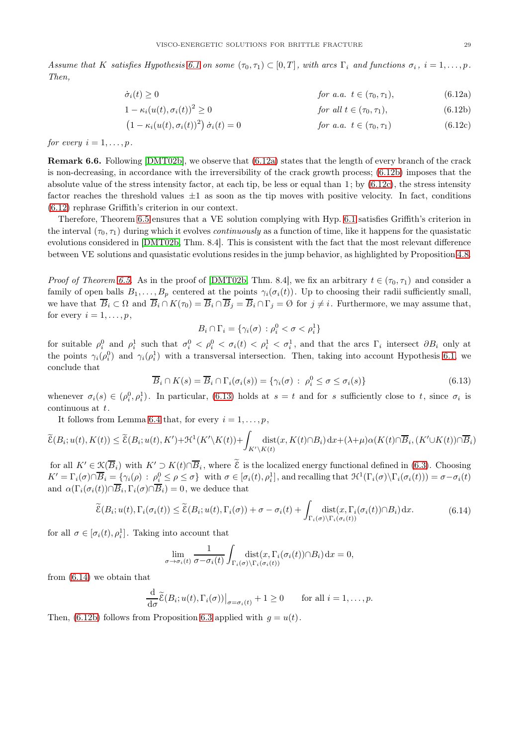<span id="page-28-3"></span>Assume that K satisfies Hypothesis [6.1](#page-26-1) on some  $(\tau_0, \tau_1) \subset [0, T]$ , with arcs  $\Gamma_i$  and functions  $\sigma_i$ ,  $i = 1, \ldots, p$ . Then,

<span id="page-28-0"></span>
$$
\dot{\sigma}_i(t) \ge 0 \qquad \qquad \text{for a.a. } t \in (\tau_0, \tau_1), \tag{6.12a}
$$

$$
1 - \kappa_i(u(t), \sigma_i(t))^2 \ge 0
$$
 *for all*  $t \in (\tau_0, \tau_1)$ ,  $(6.12b)$ 

<span id="page-28-2"></span><span id="page-28-1"></span>
$$
(1 - \kappa_i(u(t), \sigma_i(t))^2) \dot{\sigma}_i(t) = 0
$$
 for a.a.  $t \in (\tau_0, \tau_1)$  (6.12c)

for every  $i = 1, \ldots, p$ .

Remark 6.6. Following [\[DMT02b\]](#page-30-1), we observe that [\(6.12a\)](#page-28-0) states that the length of every branch of the crack is non-decreasing, in accordance with the irreversibility of the crack growth process; [\(6.12b\)](#page-28-1) imposes that the absolute value of the stress intensity factor, at each tip, be less or equal than  $1$ ; by  $(6.12c)$ , the stress intensity factor reaches the threshold values  $\pm 1$  as soon as the tip moves with positive velocity. In fact, conditions [\(6.12\)](#page-28-3) rephrase Griffith's criterion in our context.

Therefore, Theorem [6.5](#page-27-0) ensures that a VE solution complying with Hyp. [6.1](#page-26-1) satisfies Griffith's criterion in the interval  $(\tau_0, \tau_1)$  during which it evolves *continuously* as a function of time, like it happens for the quasistatic evolutions considered in [\[DMT02b,](#page-30-1) Thm. 8.4]. This is consistent with the fact that the most relevant difference between VE solutions and quasistatic evolutions resides in the jump behavior, as highlighted by Proposition [4.8.](#page-18-0)

*Proof of Theorem [6.5.](#page-27-0)* As in the proof of [\[DMT02b,](#page-30-1) Thm. 8.4], we fix an arbitrary  $t \in (\tau_0, \tau_1)$  and consider a family of open balls  $B_1, \ldots, B_p$  centered at the points  $\gamma_i(\sigma_i(t))$ . Up to choosing their radii sufficiently small, we have that  $\overline{B}_i \subset \Omega$  and  $\overline{B}_i \cap K(\tau_0) = \overline{B}_i \cap \overline{B}_j = \overline{B}_i \cap \Gamma_j = \emptyset$  for  $j \neq i$ . Furthermore, we may assume that, for every  $i = 1, \ldots, p$ ,

$$
B_i \cap \Gamma_i = \{ \gamma_i(\sigma) : \rho_i^0 < \sigma < \rho_i^1 \}
$$

for suitable  $\rho_i^0$  and  $\rho_i^1$  such that  $\sigma_i^0 < \rho_i^0 < \sigma_i(t) < \rho_i^1 < \sigma_i^1$ , and that the arcs  $\Gamma_i$  intersect  $\partial B_i$  only at the points  $\gamma_i(\rho_i^0)$  and  $\gamma_i(\rho_i^1)$  with a transversal intersection. Then, taking into account Hypothesis [6.1,](#page-26-1) we conclude that

<span id="page-28-4"></span>
$$
\overline{B}_i \cap K(s) = \overline{B}_i \cap \Gamma_i(\sigma_i(s)) = \{ \gamma_i(\sigma) : \ \rho_i^0 \le \sigma \le \sigma_i(s) \}
$$
\n
$$
(6.13)
$$

whenever  $\sigma_i(s) \in (\rho_i^0, \rho_i^1)$ . In particular, [\(6.13\)](#page-28-4) holds at  $s = t$  and for s sufficiently close to t, since  $\sigma_i$  is continuous at  $t$ .

It follows from Lemma [6.4](#page-27-7) that, for every  $i = 1, \ldots, p$ ,

$$
\widetilde{\mathcal{E}}(B_i; u(t), K(t)) \leq \widetilde{\mathcal{E}}(B_i; u(t), K') + \mathcal{H}^1(K' \backslash K(t)) + \int_{K' \backslash K(t)} \hspace{-0.2cm}\mathrm{dist}(x, K(t) \cap B_i) \hspace{0.2cm}\mathrm{d} x + (\lambda + \mu) \alpha(K(t) \cap \overline{B}_i, (K' \cup K(t)) \cap \overline{B}_i)
$$

for all  $K' \in \mathcal{K}(\overline{B}_i)$  with  $K' \supset K(t) \cap \overline{B}_i$ , where  $\widetilde{\mathcal{E}}$  is the localized energy functional defined in [\(6.3\)](#page-26-3). Choosing  $K' = \Gamma_i(\sigma) \cap \overline{B}_i = \{ \gamma_i(\rho) : \rho_i^0 \leq \rho \leq \sigma \}$  with  $\sigma \in [\sigma_i(t), \rho_i^1]$ , and recalling that  $\mathcal{H}^1(\Gamma_i(\sigma) \setminus \Gamma_i(\sigma_i(t))) = \sigma - \sigma_i(t)$ and  $\alpha(\Gamma_i(\sigma_i(t)) \cap B_i, \Gamma_i(\sigma) \cap B_i) = 0$ , we deduce that

<span id="page-28-5"></span>
$$
\widetilde{\mathcal{E}}(B_i; u(t), \Gamma_i(\sigma_i(t)) \leq \widetilde{\mathcal{E}}(B_i; u(t), \Gamma_i(\sigma)) + \sigma - \sigma_i(t) + \int_{\Gamma_i(\sigma) \backslash \Gamma_i(\sigma_i(t))} \mathrm{dist}(x, \Gamma_i(\sigma_i(t)) \cap B_i) \, \mathrm{d}x. \tag{6.14}
$$

for all  $\sigma \in [\sigma_i(t), \rho_i]$ . Taking into account that

$$
\lim_{\sigma \to \sigma_i(t)} \frac{1}{\sigma - \sigma_i(t)} \int_{\Gamma_i(\sigma) \backslash \Gamma_i(\sigma_i(t))} \operatorname{dist}(x, \Gamma_i(\sigma_i(t)) \cap B_i) \, \mathrm{d}x = 0,
$$

from [\(6.14\)](#page-28-5) we obtain that

$$
\frac{\mathrm{d}}{\mathrm{d}\sigma}\widetilde{\mathcal{E}}(B_i; u(t), \Gamma_i(\sigma))\big|_{\sigma = \sigma_i(t)} + 1 \ge 0 \quad \text{for all } i = 1,\ldots, p.
$$

Then, [\(6.12b\)](#page-28-1) follows from Proposition [6.3](#page-27-1) applied with  $q = u(t)$ .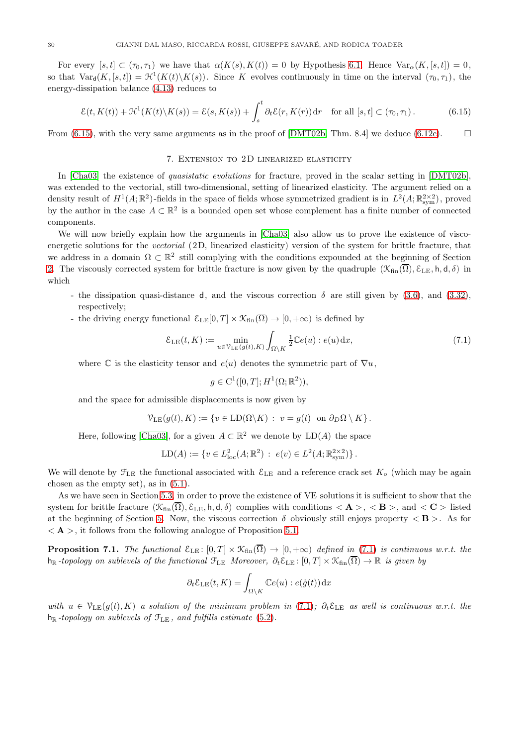For every  $[s,t] \subset (\tau_0, \tau_1)$  we have that  $\alpha(K(s), K(t)) = 0$  by Hypothesis [6.1.](#page-26-1) Hence  $\text{Var}_{\alpha}(K, [s,t]) = 0$ , so that  $Var_d(K, [s,t]) = \mathcal{H}^1(K(t) \setminus K(s))$ . Since K evolves continuously in time on the interval  $(\tau_0, \tau_1)$ , the energy-dissipation balance [\(4.13\)](#page-15-3) reduces to

<span id="page-29-1"></span>
$$
\mathcal{E}(t, K(t)) + \mathcal{H}^1(K(t) \setminus K(s)) = \mathcal{E}(s, K(s)) + \int_s^t \partial_t \mathcal{E}(r, K(r)) dr \quad \text{for all } [s, t] \subset (\tau_0, \tau_1).
$$
 (6.15)

<span id="page-29-0"></span>From [\(6.15\)](#page-29-1), with the very same arguments as in the proof of [\[DMT02b,](#page-30-1) Thm. 8.4] we deduce [\(6.12c\)](#page-28-2).  $\square$ 

## 7. Extension to 2D linearized elasticity

In [\[Cha03\]](#page-30-2) the existence of quasistatic evolutions for fracture, proved in the scalar setting in [\[DMT02b\]](#page-30-1), was extended to the vectorial, still two-dimensional, setting of linearized elasticity. The argument relied on a density result of  $H^1(A;\mathbb{R}^2)$ -fields in the space of fields whose symmetrized gradient is in  $L^2(A;\mathbb{R}^{2\times 2}_{sym})$ , proved by the author in the case  $A \subset \mathbb{R}^2$  is a bounded open set whose complement has a finite number of connected components.

We will now briefly explain how the arguments in [\[Cha03\]](#page-30-2) also allow us to prove the existence of viscoenergetic solutions for the vectorial (2D, linearized elasticity) version of the system for brittle fracture, that we address in a domain  $\Omega \subset \mathbb{R}^2$  still complying with the conditions expounded at the beginning of Section [2.](#page-5-0) The viscously corrected system for brittle fracture is now given by the quadruple  $(\mathcal{K}_{fin}(\overline{\Omega}), \mathcal{E}_{LE}, h, d, \delta)$  in which

- the dissipation quasi-distance d, and the viscous correction  $\delta$  are still given by [\(3.6\)](#page-8-1), and [\(3.32\)](#page-12-0), respectively;
- the driving energy functional  $\mathcal{E}_{LE}[0,T] \times \mathcal{K}_{fin}(\overline{\Omega}) \to [0,+\infty)$  is defined by

<span id="page-29-2"></span>
$$
\mathcal{E}_{\mathrm{LE}}(t, K) := \min_{u \in \mathcal{V}_{\mathrm{LE}}(g(t), K)} \int_{\Omega \setminus K} \frac{1}{2} \mathbb{C}e(u) : e(u) \, \mathrm{d}x,\tag{7.1}
$$

where  $\mathbb C$  is the elasticity tensor and  $e(u)$  denotes the symmetric part of  $\nabla u$ ,

$$
g \in C^1([0,T]; H^1(\Omega;\mathbb{R}^2)),
$$

and the space for admissible displacements is now given by

$$
\mathcal{V}_{\text{LE}}(g(t), K) := \{ v \in \text{LD}(\Omega \backslash K) : v = g(t) \text{ on } \partial_D \Omega \setminus K \}.
$$

Here, following [\[Cha03\]](#page-30-2), for a given  $A \subset \mathbb{R}^2$  we denote by  $LD(A)$  the space

$$
LD(A) := \{ v \in L^2_{loc}(A; \mathbb{R}^2) : e(v) \in L^2(A; \mathbb{R}^{2 \times 2}_{sym}) \}.
$$

We will denote by  $\mathcal{F}_{\text{LE}}$  the functional associated with  $\mathcal{E}_{\text{LE}}$  and a reference crack set  $K_o$  (which may be again chosen as the empty set), as in [\(5.1\)](#page-19-4).

As we have seen in Section [5.3,](#page-25-0) in order to prove the existence of VE solutions it is sufficient to show that the system for brittle fracture  $(\mathcal{K}_{fin}(\overline{\Omega}), \mathcal{E}_{LE}, h, d, \delta)$  complies with conditions  $\langle \mathbf{A} \rangle$ ,  $\langle \mathbf{B} \rangle$ , and  $\langle \mathbf{C} \rangle$  listed at the beginning of Section [5.](#page-19-0) Now, the viscous correction  $\delta$  obviously still enjoys property  $\langle \mathbf{B} \rangle$ . As for  $\langle A \rangle$ , it follows from the following analogue of Proposition [5.1.](#page-19-1)

<span id="page-29-3"></span>**Proposition 7.1.** The functional  $\mathcal{E}_{LE}$ :  $[0, T] \times \mathcal{K}_{fin}(\overline{\Omega}) \to [0, +\infty)$  defined in [\(7.1\)](#page-29-2) is continuous w.r.t. the  $h_{\mathbb{R}}$ -topology on sublevels of the functional  $\mathfrak{F}_{\text{LE}}$  Moreover,  $\partial_t \mathcal{E}_{\text{LE}}$ :  $[0,T] \times \mathcal{K}_{\text{fin}}(\overline{\Omega}) \to \mathbb{R}$  is given by

$$
\partial_t \mathcal{E}_{\text{LE}}(t, K) = \int_{\Omega \setminus K} \mathbb{C}e(u) : e(\dot{g}(t)) \, dx
$$

with  $u \in \mathcal{V}_{LE}(g(t), K)$  a solution of the minimum problem in [\(7.1\)](#page-29-2);  $\partial_t \mathcal{E}_{LE}$  as well is continuous w.r.t. the  $h_{\mathbb{R}}$ -topology on sublevels of  $\mathcal{F}_{\text{LE}}$ , and fulfills estimate [\(5.2\)](#page-19-5).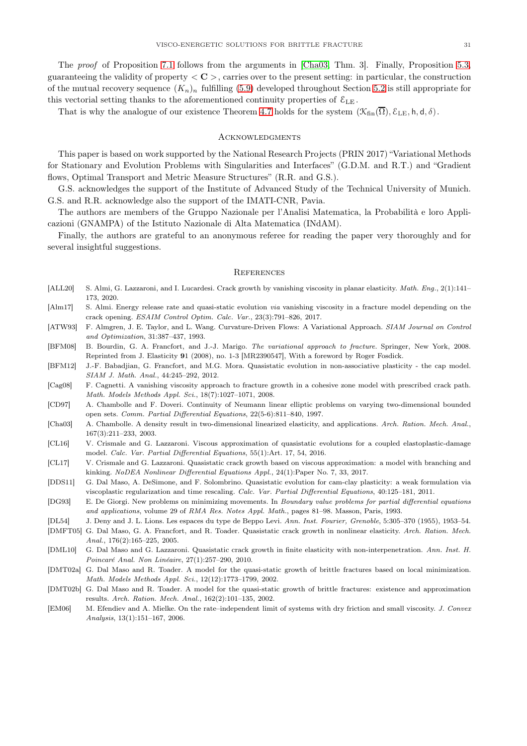The proof of Proposition [7.1](#page-29-3) follows from the arguments in [\[Cha03,](#page-30-2) Thm. 3]. Finally, Proposition [5.3,](#page-21-1) guaranteeing the validity of property  $\langle C \rangle$ , carries over to the present setting: in particular, the construction of the mutual recovery sequence  $(K_n)_n$  fulfilling [\(5.9\)](#page-20-3) developed throughout Section [5.2](#page-21-0) is still appropriate for this vectorial setting thanks to the aforementioned continuity properties of  $\mathcal{E}_{LE}$ .

That is why the analogue of our existence Theorem [4.7](#page-17-0) holds for the system  $(\mathcal{K}_{fin}(\overline{\Omega}), \mathcal{E}_{LE}, \mathsf{h}, \mathsf{d}, \delta)$ .

#### **ACKNOWLEDGMENTS**

This paper is based on work supported by the National Research Projects (PRIN 2017) "Variational Methods for Stationary and Evolution Problems with Singularities and Interfaces" (G.D.M. and R.T.) and "Gradient flows, Optimal Transport and Metric Measure Structures" (R.R. and G.S.).

G.S. acknowledges the support of the Institute of Advanced Study of the Technical University of Munich. G.S. and R.R. acknowledge also the support of the IMATI-CNR, Pavia.

The authors are members of the Gruppo Nazionale per l'Analisi Matematica, la Probabilità e loro Applicazioni (GNAMPA) of the Istituto Nazionale di Alta Matematica (INdAM).

Finally, the authors are grateful to an anonymous referee for reading the paper very thoroughly and for several insightful suggestions.

#### **REFERENCES**

- <span id="page-30-13"></span>[ALL20] S. Almi, G. Lazzaroni, and I. Lucardesi. Crack growth by vanishing viscosity in planar elasticity. Math. Eng., 2(1):141-173, 2020.
- <span id="page-30-11"></span>[Alm17] S. Almi. Energy release rate and quasi-static evolution via vanishing viscosity in a fracture model depending on the crack opening. ESAIM Control Optim. Calc. Var., 23(3):791–826, 2017.
- <span id="page-30-14"></span>[ATW93] F. Almgren, J. E. Taylor, and L. Wang. Curvature-Driven Flows: A Variational Approach. SIAM Journal on Control and Optimization, 31:387–437, 1993.
- <span id="page-30-0"></span>[BFM08] B. Bourdin, G. A. Francfort, and J.-J. Marigo. The variational approach to fracture. Springer, New York, 2008. Reprinted from J. Elasticity 91 (2008), no. 1-3 [MR2390547], With a foreword by Roger Fosdick.
- <span id="page-30-8"></span>[BFM12] J.-F. Babadjian, G. Francfort, and M.G. Mora. Quasistatic evolution in non-associative plasticity - the cap model. SIAM J. Math. Anal., 44:245–292, 2012.
- <span id="page-30-10"></span>[Cag08] F. Cagnetti. A vanishing viscosity approach to fracture growth in a cohesive zone model with prescribed crack path. Math. Models Methods Appl. Sci., 18(7):1027–1071, 2008.
- <span id="page-30-17"></span>[CD97] A. Chambolle and F. Doveri. Continuity of Neumann linear elliptic problems on varying two-dimensional bounded open sets. Comm. Partial Differential Equations, 22(5-6):811–840, 1997.
- <span id="page-30-2"></span>[Cha03] A. Chambolle. A density result in two-dimensional linearized elasticity, and applications. Arch. Ration. Mech. Anal., 167(3):211–233, 2003.
- <span id="page-30-9"></span>[CL16] V. Crismale and G. Lazzaroni. Viscous approximation of quasistatic evolutions for a coupled elastoplastic-damage model. Calc. Var. Partial Differential Equations, 55(1):Art. 17, 54, 2016.
- <span id="page-30-12"></span>[CL17] V. Crismale and G. Lazzaroni. Quasistatic crack growth based on viscous approximation: a model with branching and kinking. NoDEA Nonlinear Differential Equations Appl., 24(1):Paper No. 7, 33, 2017.
- <span id="page-30-7"></span>[DDS11] G. Dal Maso, A. DeSimone, and F. Solombrino. Quasistatic evolution for cam-clay plasticity: a weak formulation via viscoplastic regularization and time rescaling. Calc. Var. Partial Differential Equations, 40:125–181, 2011.
- <span id="page-30-15"></span>[DG93] E. De Giorgi. New problems on minimizing movements. In Boundary value problems for partial differential equations and applications, volume 29 of RMA Res. Notes Appl. Math., pages 81–98. Masson, Paris, 1993.
- <span id="page-30-16"></span>[DL54] J. Deny and J. L. Lions. Les espaces du type de Beppo Levi. Ann. Inst. Fourier, Grenoble, 5:305–370 (1955), 1953–54.
- <span id="page-30-3"></span>[DMFT05] G. Dal Maso, G. A. Francfort, and R. Toader. Quasistatic crack growth in nonlinear elasticity. Arch. Ration. Mech. Anal., 176(2):165–225, 2005.
- <span id="page-30-4"></span>[DML10] G. Dal Maso and G. Lazzaroni. Quasistatic crack growth in finite elasticity with non-interpenetration. Ann. Inst. H. Poincaré Anal. Non Linéaire, 27(1):257–290, 2010.
- <span id="page-30-5"></span>[DMT02a] G. Dal Maso and R. Toader. A model for the quasi-static growth of brittle fractures based on local minimization. Math. Models Methods Appl. Sci., 12(12):1773–1799, 2002.
- <span id="page-30-1"></span>[DMT02b] G. Dal Maso and R. Toader. A model for the quasi-static growth of brittle fractures: existence and approximation results. Arch. Ration. Mech. Anal., 162(2):101–135, 2002.
- <span id="page-30-6"></span>[EM06] M. Efendiev and A. Mielke. On the rate–independent limit of systems with dry friction and small viscosity. J. Convex Analysis, 13(1):151–167, 2006.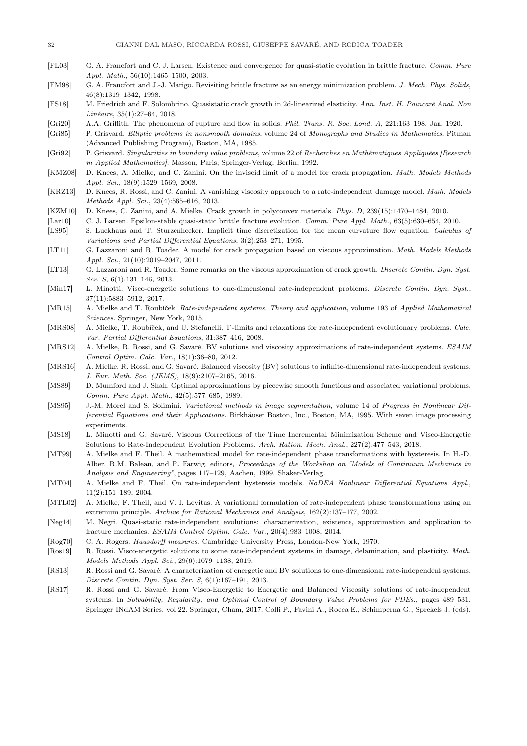- <span id="page-31-5"></span>[FL03] G. A. Francfort and C. J. Larsen. Existence and convergence for quasi-static evolution in brittle fracture. Comm. Pure Appl. Math., 56(10):1465–1500, 2003.
- <span id="page-31-1"></span>[FM98] G. A. Francfort and J.-J. Marigo. Revisiting brittle fracture as an energy minimization problem. J. Mech. Phys. Solids, 46(8):1319–1342, 1998.
- <span id="page-31-6"></span>[FS18] M. Friedrich and F. Solombrino. Quasistatic crack growth in 2d-linearized elasticity. Ann. Inst. H. Poincaré Anal. Non Linéaire, 35(1):27–64, 2018.
- <span id="page-31-0"></span>[Gri20] A.A. Griffith. The phenomena of rupture and flow in solids. Phil. Trans. R. Soc. Lond. A, 221:163–198, Jan. 1920.
- <span id="page-31-26"></span>[Gri85] P. Grisvard. Elliptic problems in nonsmooth domains, volume 24 of Monographs and Studies in Mathematics. Pitman (Advanced Publishing Program), Boston, MA, 1985.
- <span id="page-31-28"></span>[Gri92] P. Grisvard. Singularities in boundary value problems, volume 22 of Recherches en Mathématiques Appliquées [Research in Applied Mathematics]. Masson, Paris; Springer-Verlag, Berlin, 1992.
- <span id="page-31-8"></span>[KMZ08] D. Knees, A. Mielke, and C. Zanini. On the inviscid limit of a model for crack propagation. Math. Models Methods Appl. Sci., 18(9):1529–1569, 2008.
- <span id="page-31-14"></span>[KRZ13] D. Knees, R. Rossi, and C. Zanini. A vanishing viscosity approach to a rate-independent damage model. Math. Models Methods Appl. Sci., 23(4):565–616, 2013.
- <span id="page-31-15"></span>[KZM10] D. Knees, C. Zanini, and A. Mielke. Crack growth in polyconvex materials. Phys. D, 239(15):1470–1484, 2010.
- <span id="page-31-10"></span>[Lar10] C. J. Larsen. Epsilon-stable quasi-static brittle fracture evolution. Comm. Pure Appl. Math., 63(5):630–654, 2010.
- <span id="page-31-22"></span>[LS95] S. Luckhaus and T. Sturzenhecker. Implicit time discretization for the mean curvature flow equation. Calculus of Variations and Partial Differential Equations, 3(2):253–271, 1995.
- <span id="page-31-16"></span>[LT11] G. Lazzaroni and R. Toader. A model for crack propagation based on viscous approximation. Math. Models Methods Appl. Sci., 21(10):2019–2047, 2011.
- <span id="page-31-17"></span>[LT13] G. Lazzaroni and R. Toader. Some remarks on the viscous approximation of crack growth. Discrete Contin. Dyn. Syst. Ser. S, 6(1):131–146, 2013.
- <span id="page-31-19"></span>[Min17] L. Minotti. Visco-energetic solutions to one-dimensional rate-independent problems. Discrete Contin. Dyn. Syst., 37(11):5883–5912, 2017.
- <span id="page-31-7"></span>[MR15] A. Mielke and T. Roubíček. Rate-independent systems. Theory and application, volume 193 of Applied Mathematical Sciences. Springer, New York, 2015.
- <span id="page-31-25"></span>[MRS08] A. Mielke, T. Roubíček, and U. Stefanelli. Γ-limits and relaxations for rate-independent evolutionary problems. Calc. Var. Partial Differential Equations, 31:387–416, 2008.
- <span id="page-31-11"></span>[MRS12] A. Mielke, R. Rossi, and G. Savaré. BV solutions and viscosity approximations of rate-independent systems. ESAIM Control Optim. Calc. Var., 18(1):36–80, 2012.
- <span id="page-31-12"></span>[MRS16] A. Mielke, R. Rossi, and G. Savaré. Balanced viscosity (BV) solutions to infinite-dimensional rate-independent systems. J. Eur. Math. Soc. (JEMS), 18(9):2107–2165, 2016.
- <span id="page-31-27"></span>[MS89] D. Mumford and J. Shah. Optimal approximations by piecewise smooth functions and associated variational problems. Comm. Pure Appl. Math., 42(5):577–685, 1989.
- <span id="page-31-24"></span>[MS95] J.-M. Morel and S. Solimini. Variational methods in image segmentation, volume 14 of Progress in Nonlinear Differential Equations and their Applications. Birkhäuser Boston, Inc., Boston, MA, 1995. With seven image processing experiments.
- <span id="page-31-18"></span>[MS18] L. Minotti and G. Savaré. Viscous Corrections of the Time Incremental Minimization Scheme and Visco-Energetic Solutions to Rate-Independent Evolution Problems. Arch. Ration. Mech. Anal., 227(2):477–543, 2018.
- <span id="page-31-2"></span>[MT99] A. Mielke and F. Theil. A mathematical model for rate-independent phase transformations with hysteresis. In H.-D. Alber, R.M. Balean, and R. Farwig, editors, Proceedings of the Workshop on "Models of Continuum Mechanics in Analysis and Engineering", pages 117–129, Aachen, 1999. Shaker-Verlag.
- <span id="page-31-4"></span>[MT04] A. Mielke and F. Theil. On rate-independent hysteresis models. NoDEA Nonlinear Differential Equations Appl., 11(2):151–189, 2004.
- <span id="page-31-3"></span>[MTL02] A. Mielke, F. Theil, and V. I. Levitas. A variational formulation of rate-independent phase transformations using an extremum principle. Archive for Rational Mechanics and Analysis, 162(2):137–177, 2002.
- <span id="page-31-13"></span>[Neg14] M. Negri. Quasi-static rate-independent evolutions: characterization, existence, approximation and application to fracture mechanics. ESAIM Control Optim. Calc. Var., 20(4):983–1008, 2014.
- <span id="page-31-23"></span>[Rog70] C. A. Rogers. Hausdorff measures. Cambridge University Press, London-New York, 1970.
- <span id="page-31-21"></span>[Ros19] R. Rossi. Visco-energetic solutions to some rate-independent systems in damage, delamination, and plasticity. Math. Models Methods Appl. Sci., 29(6):1079–1138, 2019.
- <span id="page-31-9"></span>[RS13] R. Rossi and G. Savaré. A characterization of energetic and BV solutions to one-dimensional rate-independent systems. Discrete Contin. Dyn. Syst. Ser. S, 6(1):167–191, 2013.
- <span id="page-31-20"></span>[RS17] R. Rossi and G. Savaré. From Visco-Energetic to Energetic and Balanced Viscosity solutions of rate-independent systems. In Solvability, Regularity, and Optimal Control of Boundary Value Problems for PDEs., pages 489-531. Springer INdAM Series, vol 22. Springer, Cham, 2017. Colli P., Favini A., Rocca E., Schimperna G., Sprekels J. (eds).